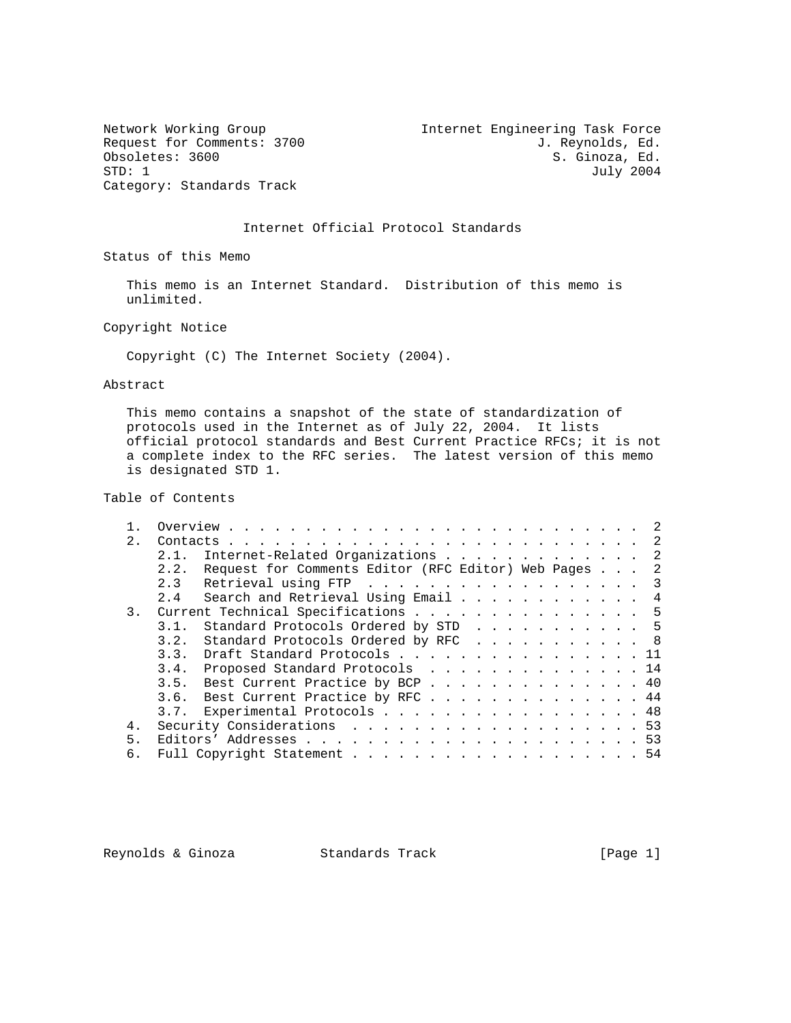Category: Standards Track

Network Working Group Internet Engineering Task Force Request for Comments: 3700 J. Reynolds, Ed. (b) J. Reynolds, Ed. (b) J. Reynolds, Ed. (a) S. Ginoza, Ed. Obsoletes: 3600 S. Ginoza, Ed. S. Ginoza, Ed. S. Ginoza, Ed. S. Ginoza, Ed. S. Ginoza, Ed. S. Ginoza, Ed. S. Ginoza, Ed. S. Ginoza, Ed. S. Ginoza, Ed. S. Ginoza, Ed. S. Ginoza, Ed. S. Ginoza, Ed. S. Ginoza, Ed. S. Ginoza, July 2004

### Internet Official Protocol Standards

Status of this Memo

 This memo is an Internet Standard. Distribution of this memo is unlimited.

Copyright Notice

Copyright (C) The Internet Society (2004).

Abstract

 This memo contains a snapshot of the state of standardization of protocols used in the Internet as of July 22, 2004. It lists official protocol standards and Best Current Practice RFCs; it is not a complete index to the RFC series. The latest version of this memo is designated STD 1.

### Table of Contents

| 2. |                                                           |
|----|-----------------------------------------------------------|
|    | Internet-Related Organizations 2<br>2.1.                  |
|    | 2.2. Request for Comments Editor (RFC Editor) Web Pages 2 |
|    | Retrieval using FTP 3<br>2.3                              |
|    | 2.4 Search and Retrieval Using Email 4                    |
| 3. | Current Technical Specifications 5                        |
|    | Standard Protocols Ordered by STD 5<br>3.1.               |
|    | Standard Protocols Ordered by RFC 8<br>3.2.               |
|    | 3.3. Draft Standard Protocols 11                          |
|    | 3.4. Proposed Standard Protocols 14                       |
|    | 3.5. Best Current Practice by BCP 40                      |
|    | 3.6. Best Current Practice by RFC 44                      |
|    | 3.7. Experimental Protocols 48                            |
| 4. | Security Considerations 53                                |
| 5. |                                                           |
| б. | Full Copyright Statement 54                               |

Reynolds & Ginoza (Brandards Track Track [Page 1]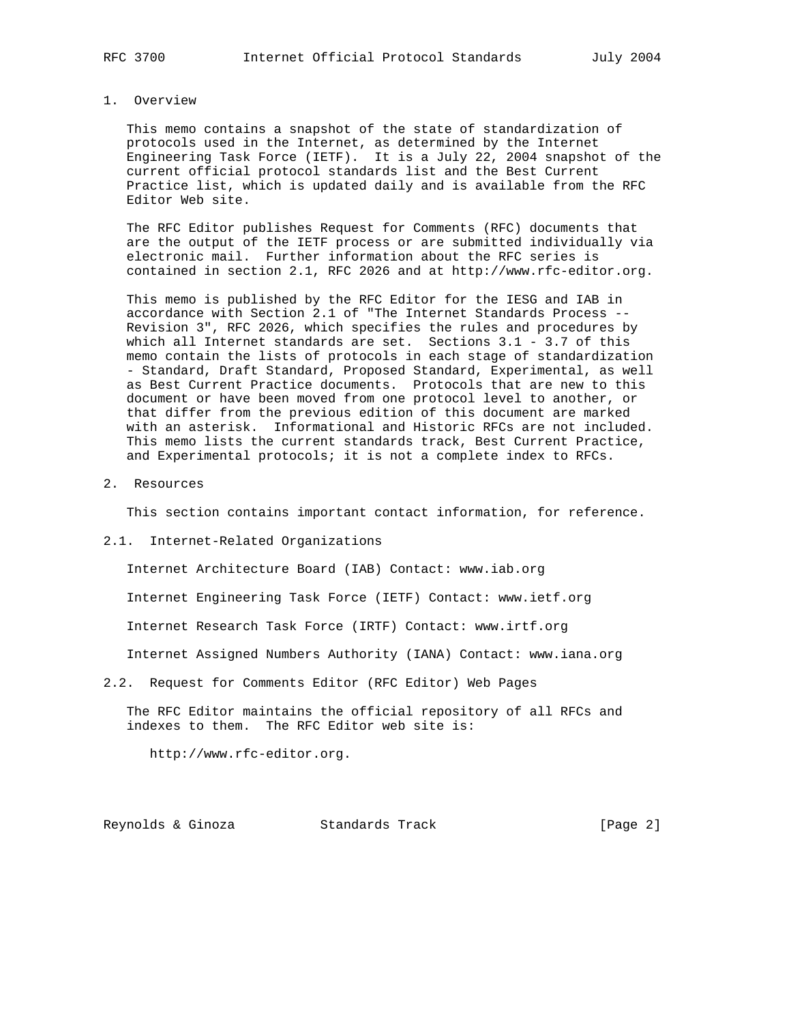#### 1. Overview

 This memo contains a snapshot of the state of standardization of protocols used in the Internet, as determined by the Internet Engineering Task Force (IETF). It is a July 22, 2004 snapshot of the current official protocol standards list and the Best Current Practice list, which is updated daily and is available from the RFC Editor Web site.

 The RFC Editor publishes Request for Comments (RFC) documents that are the output of the IETF process or are submitted individually via electronic mail. Further information about the RFC series is contained in section 2.1, RFC 2026 and at http://www.rfc-editor.org.

 This memo is published by the RFC Editor for the IESG and IAB in accordance with Section 2.1 of "The Internet Standards Process -- Revision 3", RFC 2026, which specifies the rules and procedures by which all Internet standards are set. Sections 3.1 - 3.7 of this memo contain the lists of protocols in each stage of standardization - Standard, Draft Standard, Proposed Standard, Experimental, as well as Best Current Practice documents. Protocols that are new to this document or have been moved from one protocol level to another, or that differ from the previous edition of this document are marked with an asterisk. Informational and Historic RFCs are not included. This memo lists the current standards track, Best Current Practice, and Experimental protocols; it is not a complete index to RFCs.

2. Resources

This section contains important contact information, for reference.

2.1. Internet-Related Organizations

 Internet Architecture Board (IAB) Contact: www.iab.org Internet Engineering Task Force (IETF) Contact: www.ietf.org Internet Research Task Force (IRTF) Contact: www.irtf.org Internet Assigned Numbers Authority (IANA) Contact: www.iana.org

2.2. Request for Comments Editor (RFC Editor) Web Pages

 The RFC Editor maintains the official repository of all RFCs and indexes to them. The RFC Editor web site is:

http://www.rfc-editor.org.

Reynolds & Ginoza Standards Track [Page 2]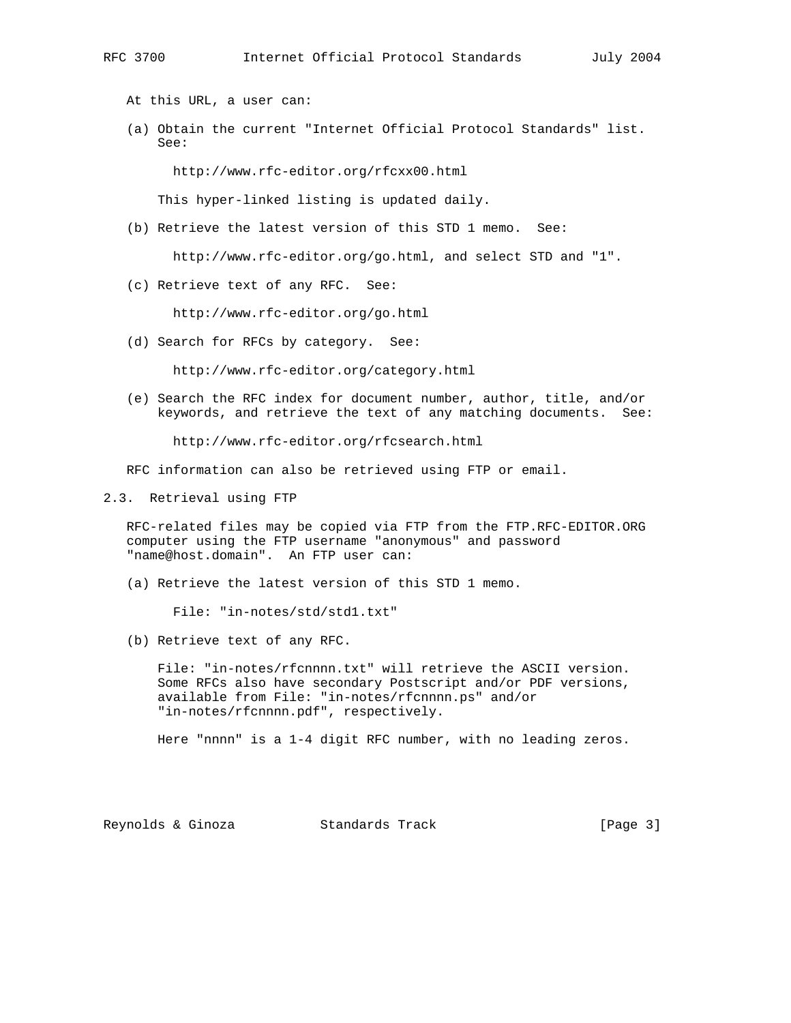At this URL, a user can:

 (a) Obtain the current "Internet Official Protocol Standards" list. See:

http://www.rfc-editor.org/rfcxx00.html

This hyper-linked listing is updated daily.

(b) Retrieve the latest version of this STD 1 memo. See:

http://www.rfc-editor.org/go.html, and select STD and "1".

(c) Retrieve text of any RFC. See:

http://www.rfc-editor.org/go.html

(d) Search for RFCs by category. See:

http://www.rfc-editor.org/category.html

 (e) Search the RFC index for document number, author, title, and/or keywords, and retrieve the text of any matching documents. See:

http://www.rfc-editor.org/rfcsearch.html

RFC information can also be retrieved using FTP or email.

2.3. Retrieval using FTP

 RFC-related files may be copied via FTP from the FTP.RFC-EDITOR.ORG computer using the FTP username "anonymous" and password "name@host.domain". An FTP user can:

(a) Retrieve the latest version of this STD 1 memo.

File: "in-notes/std/std1.txt"

(b) Retrieve text of any RFC.

 File: "in-notes/rfcnnnn.txt" will retrieve the ASCII version. Some RFCs also have secondary Postscript and/or PDF versions, available from File: "in-notes/rfcnnnn.ps" and/or "in-notes/rfcnnnn.pdf", respectively.

Here "nnnn" is a 1-4 digit RFC number, with no leading zeros.

Reynolds & Ginoza Standards Track [Page 3]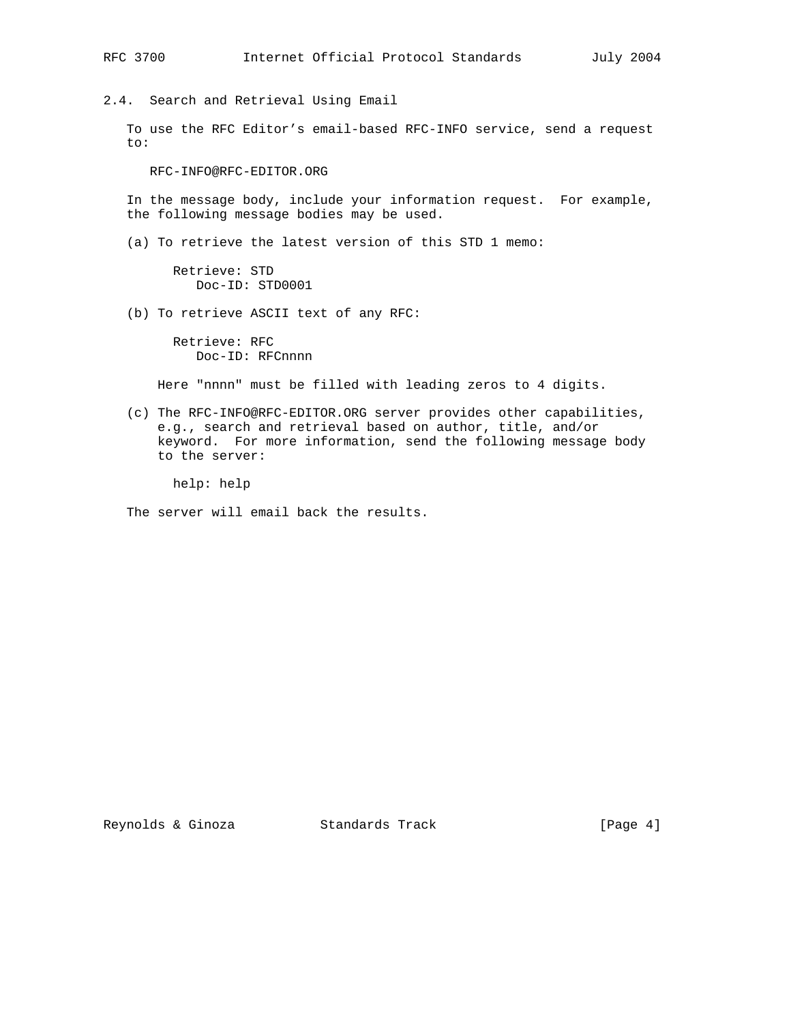2.4. Search and Retrieval Using Email

 To use the RFC Editor's email-based RFC-INFO service, send a request to:

RFC-INFO@RFC-EDITOR.ORG

 In the message body, include your information request. For example, the following message bodies may be used.

(a) To retrieve the latest version of this STD 1 memo:

 Retrieve: STD Doc-ID: STD0001

(b) To retrieve ASCII text of any RFC:

 Retrieve: RFC Doc-ID: RFCnnnn

Here "nnnn" must be filled with leading zeros to 4 digits.

 (c) The RFC-INFO@RFC-EDITOR.ORG server provides other capabilities, e.g., search and retrieval based on author, title, and/or keyword. For more information, send the following message body to the server:

help: help

The server will email back the results.

Reynolds & Ginoza  $S$  Standards Track  $[Page 4]$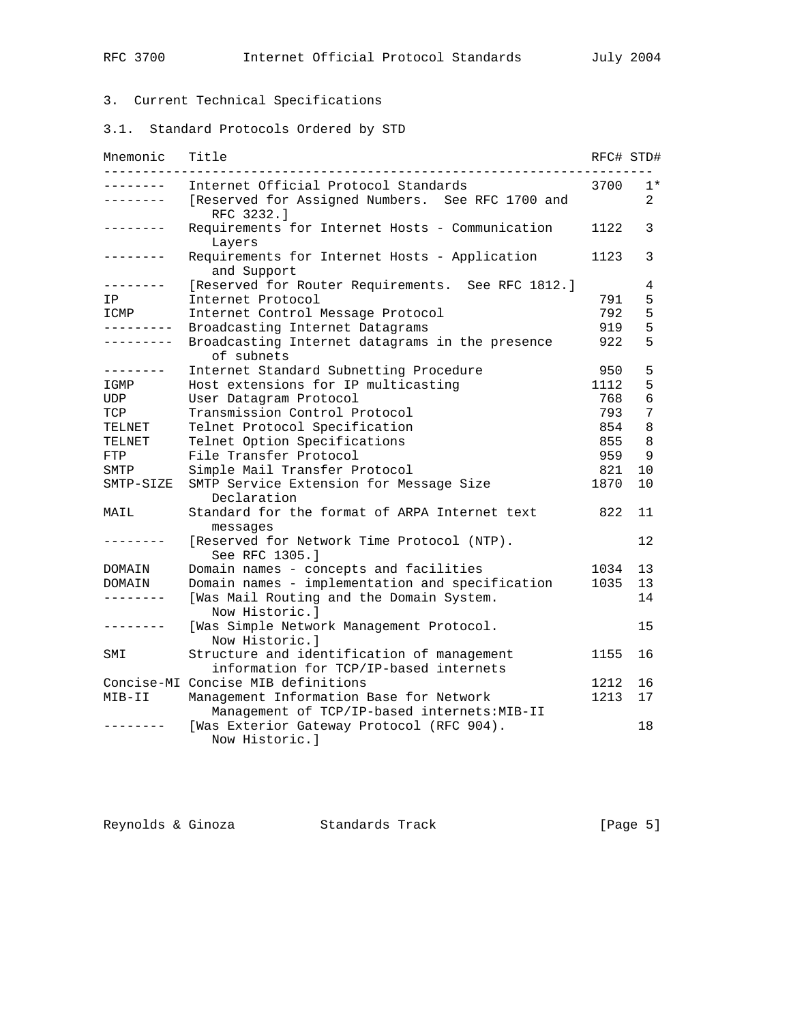# 3. Current Technical Specifications

3.1. Standard Protocols Ordered by STD

| Mnemonic          | Title                                                                                | RFC# STD# |      |
|-------------------|--------------------------------------------------------------------------------------|-----------|------|
| . <u>.</u>        | Internet Official Protocol Standards                                                 | 3700      | $1*$ |
| - - - - - - -     | [Reserved for Assigned Numbers. See RFC 1700 and<br>RFC 3232.1                       |           | 2    |
|                   | Requirements for Internet Hosts - Communication<br>Layers                            | 1122      | 3    |
| $- - - - - - -$   | Requirements for Internet Hosts - Application<br>and Support                         | 1123      | 3    |
|                   | [Reserved for Router Requirements. See RFC 1812.]                                    |           | 4    |
| IP                | Internet Protocol                                                                    | 791       | 5    |
| ICMP              | Internet Control Message Protocol                                                    | 792       | 5    |
| ---------         | Broadcasting Internet Datagrams                                                      | 919       | 5    |
| . _ _ _ _ _ _ _ _ | Broadcasting Internet datagrams in the presence<br>of subnets                        | 922       | 5    |
| --------          | Internet Standard Subnetting Procedure                                               | 950       | 5    |
| IGMP              | Host extensions for IP multicasting                                                  | 1112      | 5    |
| UDP               | User Datagram Protocol                                                               | 768       | 6    |
| TCP               | Transmission Control Protocol                                                        | 793       | 7    |
| TELNET            | Telnet Protocol Specification                                                        | 854       | 8    |
| TELNET            | Telnet Option Specifications                                                         | 855       | 8    |
| FTP               | File Transfer Protocol                                                               | 959       | 9    |
| SMTP              | Simple Mail Transfer Protocol                                                        | 821       | 10   |
| SMTP-SIZE         | SMTP Service Extension for Message Size                                              | 1870      | 10   |
|                   | Declaration                                                                          |           |      |
| MAIL              | Standard for the format of ARPA Internet text<br>messages                            | 822       | 11   |
|                   | [Reserved for Network Time Protocol (NTP).<br>See RFC 1305.]                         |           | 12   |
| DOMAIN            | Domain names - concepts and facilities                                               | 1034      | 13   |
| DOMAIN            | Domain names - implementation and specification                                      | 1035      | 13   |
|                   | [Was Mail Routing and the Domain System.<br>Now Historic.                            |           | 14   |
|                   | [Was Simple Network Management Protocol.<br>Now Historic.]                           |           | 15   |
| SMI               | Structure and identification of management<br>information for TCP/IP-based internets | 1155      | 16   |
|                   | Concise-MI Concise MIB definitions                                                   | 1212      | 16   |
| MIB-II            | Management Information Base for Network                                              | 1213      | 17   |
|                   | Management of TCP/IP-based internets: MIB-II                                         |           |      |
|                   | [Was Exterior Gateway Protocol (RFC 904).<br>Now Historic.l                          |           | 18   |

| Reynolds & Ginoza | Standards Track | [Page 5] |  |
|-------------------|-----------------|----------|--|
|-------------------|-----------------|----------|--|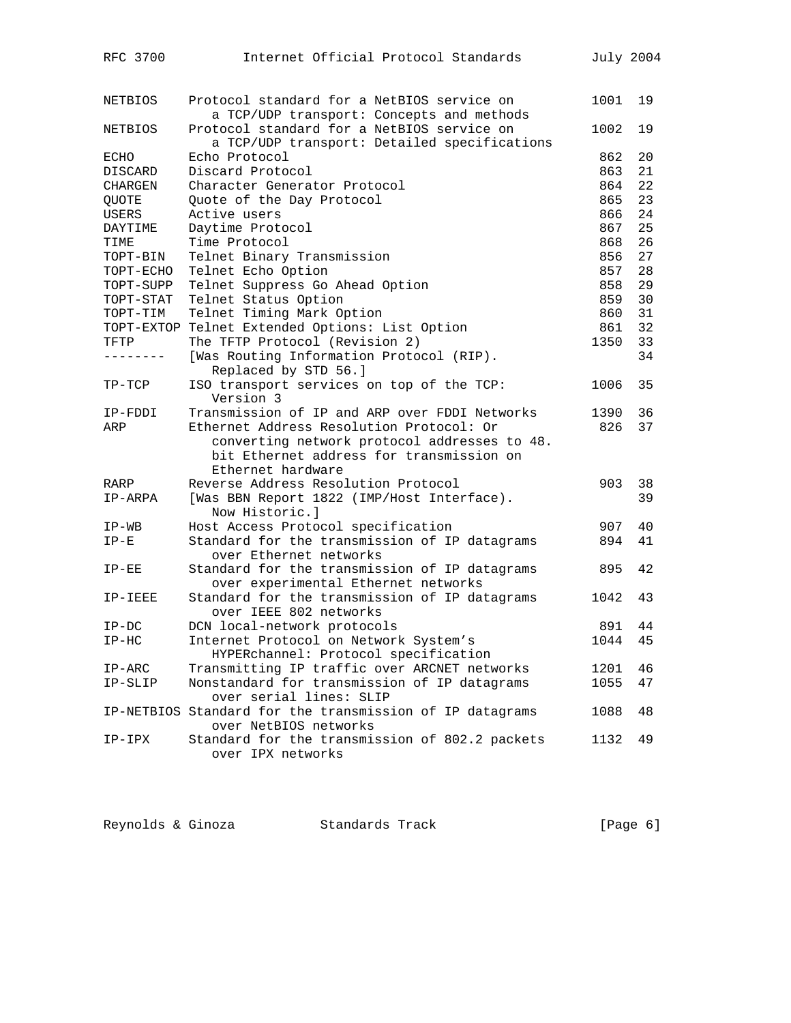| RFC 3700     | Internet Official Protocol Standards                                    |      | July 2004 |
|--------------|-------------------------------------------------------------------------|------|-----------|
|              |                                                                         |      |           |
| NETBIOS      | Protocol standard for a NetBIOS service on                              | 1001 | 19        |
|              | a TCP/UDP transport: Concepts and methods                               |      |           |
| NETBIOS      | Protocol standard for a NetBIOS service on                              | 1002 | 19        |
|              | a TCP/UDP transport: Detailed specifications                            |      |           |
| ECHO         | Echo Protocol                                                           | 862  | 20        |
| DISCARD      | Discard Protocol                                                        | 863  | 21        |
| CHARGEN      | Character Generator Protocol                                            | 864  | 22        |
| QUOTE        | Quote of the Day Protocol                                               | 865  | 23        |
| <b>USERS</b> | Active users                                                            | 866  | 24        |
| DAYTIME      | Daytime Protocol                                                        | 867  | 25        |
| TIME         | Time Protocol                                                           | 868  | 26        |
| TOPT-BIN     | Telnet Binary Transmission                                              | 856  | 27        |
| TOPT-ECHO    | Telnet Echo Option                                                      | 857  | 28        |
| TOPT-SUPP    | Telnet Suppress Go Ahead Option                                         | 858  | 29        |
| TOPT-STAT    | Telnet Status Option                                                    | 859  | 30        |
| TOPT-TIM     | Telnet Timing Mark Option                                               | 860  | 31        |
|              | TOPT-EXTOP Telnet Extended Options: List Option                         | 861  | 32        |
| TFTP         | The TFTP Protocol (Revision 2)                                          | 1350 | 33        |
| -------      | [Was Routing Information Protocol (RIP).<br>Replaced by STD 56.]        |      | 34        |
| TP-TCP       | ISO transport services on top of the TCP:<br>Version 3                  | 1006 | 35        |
| IP-FDDI      | Transmission of IP and ARP over FDDI Networks                           | 1390 | 36        |
| ARP          | Ethernet Address Resolution Protocol: Or                                | 826  | 37        |
|              | converting network protocol addresses to 48.                            |      |           |
|              | bit Ethernet address for transmission on                                |      |           |
|              | Ethernet hardware                                                       |      |           |
| RARP         | Reverse Address Resolution Protocol                                     | 903  | 38        |
| IP-ARPA      | [Was BBN Report 1822 (IMP/Host Interface).                              |      | 39        |
|              | Now Historic.]                                                          |      |           |
| $IP-WB$      | Host Access Protocol specification                                      | 907  | 40        |
| $IP-E$       | Standard for the transmission of IP datagrams                           | 894  | 41        |
|              | over Ethernet networks                                                  |      |           |
| $IP-EE$      | Standard for the transmission of IP datagrams                           | 895  | 42        |
|              | over experimental Ethernet networks                                     |      |           |
| IP-IEEE      | Standard for the transmission of IP datagrams<br>over IEEE 802 networks | 1042 | 43        |
| $IP-DC$      | DCN local-network protocols                                             | 891  | 44        |
| $IP-HC$      | Internet Protocol on Network System's                                   | 1044 | 45        |
|              | HYPERchannel: Protocol specification                                    |      |           |
| $IP-ARC$     | Transmitting IP traffic over ARCNET networks                            | 1201 | 46        |
| IP-SLIP      | Nonstandard for transmission of IP datagrams                            | 1055 | 47        |
|              | over serial lines: SLIP                                                 |      |           |
|              | IP-NETBIOS Standard for the transmission of IP datagrams                | 1088 | 48        |
|              | over NetBIOS networks                                                   |      |           |
| IP-IPX       | Standard for the transmission of 802.2 packets                          | 1132 | 49        |
|              | over IPX networks                                                       |      |           |
|              |                                                                         |      |           |

| Reynolds & Ginoza<br>Standards Track | [Page $6$ ] |  |  |  |
|--------------------------------------|-------------|--|--|--|
|--------------------------------------|-------------|--|--|--|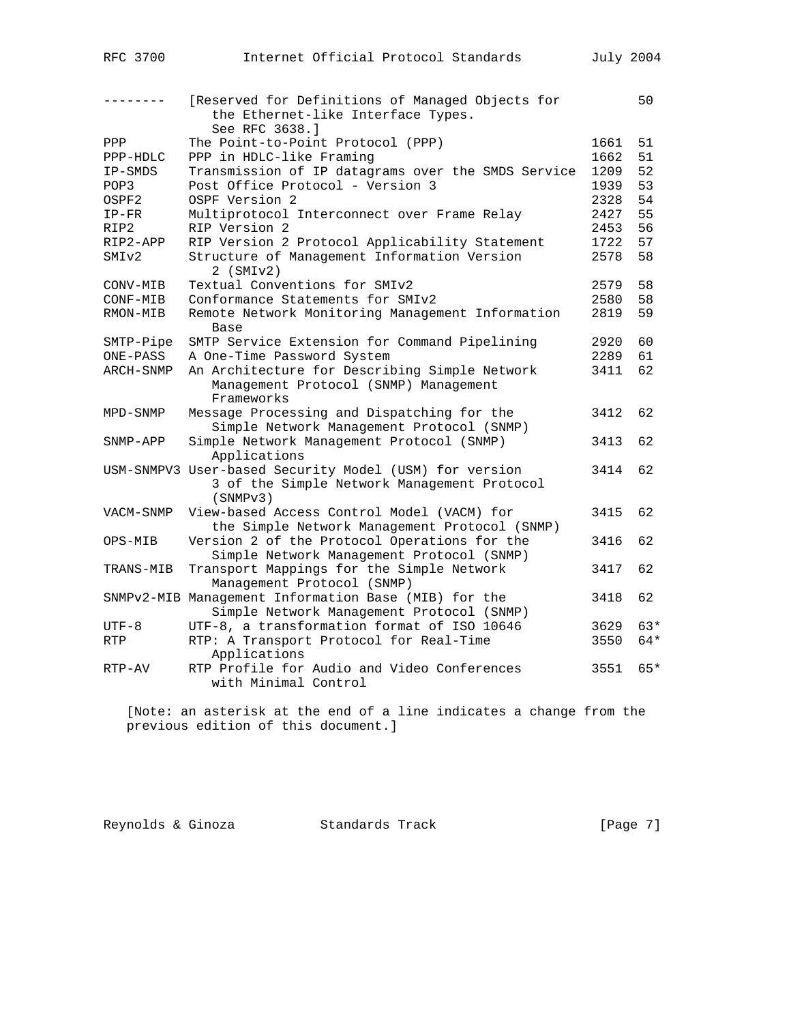|                     | [Reserved for Definitions of Managed Objects for<br>the Ethernet-like Interface Types.<br>See RFC 3638.1 |      | 50    |
|---------------------|----------------------------------------------------------------------------------------------------------|------|-------|
| $_{\rm PPP}$        | The Point-to-Point Protocol (PPP)                                                                        | 1661 | 51    |
|                     | PPP in HDLC-like Framing                                                                                 | 1662 | 51    |
| PPP-HDLC<br>IP-SMDS | Transmission of IP datagrams over the SMDS Service                                                       | 1209 | 52    |
| POP3                | Post Office Protocol - Version 3                                                                         | 1939 | 53    |
| OSPF2               | OSPF Version 2                                                                                           | 2328 | 54    |
|                     |                                                                                                          | 2427 | 55    |
| $IP-FR$<br>RIP2     | Multiprotocol Interconnect over Frame Relay<br>RIP Version 2                                             | 2453 | 56    |
| RIP2-APP            | RIP Version 2 Protocol Applicability Statement                                                           | 1722 | 57    |
|                     |                                                                                                          |      |       |
| SMIv2               | Structure of Management Information Version<br>$2$ (SMI $v2$ )                                           | 2578 | 58    |
| CONV-MIB            | Textual Conventions for SMIv2                                                                            | 2579 | 58    |
| CONF-MIB            | Conformance Statements for SMIv2                                                                         | 2580 | 58    |
| RMON-MIB            | Remote Network Monitoring Management Information                                                         | 2819 | 59    |
|                     | Base                                                                                                     |      |       |
| SMTP-Pipe           | SMTP Service Extension for Command Pipelining                                                            | 2920 | 60    |
| ONE-PASS            | A One-Time Password System                                                                               | 2289 | 61    |
| ARCH-SNMP           | An Architecture for Describing Simple Network                                                            | 3411 | 62    |
|                     | Management Protocol (SNMP) Management<br>Frameworks                                                      |      |       |
| MPD-SNMP            | Message Processing and Dispatching for the                                                               | 3412 | 62    |
|                     | Simple Network Management Protocol (SNMP)                                                                |      |       |
| SNMP-APP            | Simple Network Management Protocol (SNMP)                                                                | 3413 | 62    |
|                     | Applications                                                                                             |      |       |
|                     | USM-SNMPV3 User-based Security Model (USM) for version                                                   | 3414 | 62    |
|                     | 3 of the Simple Network Management Protocol<br>(SNMPv3)                                                  |      |       |
| VACM-SNMP           | View-based Access Control Model (VACM) for                                                               | 3415 | 62    |
|                     | the Simple Network Management Protocol (SNMP)                                                            |      |       |
| OPS-MIB             | Version 2 of the Protocol Operations for the                                                             | 3416 | 62    |
|                     | Simple Network Management Protocol (SNMP)                                                                |      |       |
| TRANS-MIB           | Transport Mappings for the Simple Network                                                                | 3417 | 62    |
|                     | Management Protocol (SNMP)                                                                               |      |       |
|                     | SNMPv2-MIB Management Information Base (MIB) for the                                                     | 3418 | 62    |
|                     | Simple Network Management Protocol (SNMP)                                                                |      |       |
| $UTF-8$             | UTF-8, a transformation format of ISO 10646                                                              | 3629 | 63*   |
| RTP                 | RTP: A Transport Protocol for Real-Time                                                                  | 3550 | $64*$ |
|                     | Applications                                                                                             |      |       |
| RTP-AV              | RTP Profile for Audio and Video Conferences                                                              | 3551 | 65*   |
|                     | with Minimal Control                                                                                     |      |       |
|                     |                                                                                                          |      |       |

 [Note: an asterisk at the end of a line indicates a change from the previous edition of this document.]

Reynolds & Ginoza Standards Track [Page 7]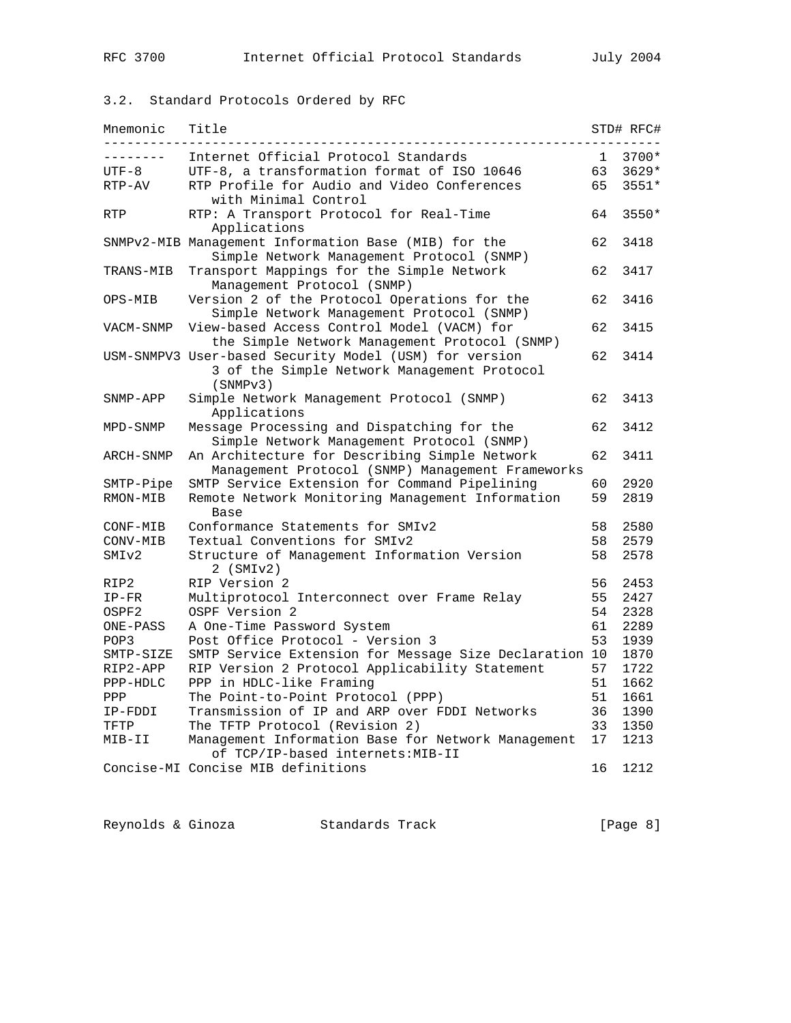## 3.2. Standard Protocols Ordered by RFC

| Mnemonic          | Title                                                                                                             |    | STD# RFC# |
|-------------------|-------------------------------------------------------------------------------------------------------------------|----|-----------|
| .                 | Internet Official Protocol Standards                                                                              | 1  | 3700*     |
| $UTF-8$           | UTF-8, a transformation format of ISO 10646                                                                       | 63 | $3629*$   |
| RTP-AV            | RTP Profile for Audio and Video Conferences<br>with Minimal Control                                               | 65 | 3551*     |
| <b>RTP</b>        | RTP: A Transport Protocol for Real-Time<br>Applications                                                           | 64 | $3550*$   |
|                   | SNMPv2-MIB Management Information Base (MIB) for the<br>Simple Network Management Protocol (SNMP)                 | 62 | 3418      |
| TRANS-MIB         | Transport Mappings for the Simple Network<br>Management Protocol (SNMP)                                           | 62 | 3417      |
| OPS-MIB           | Version 2 of the Protocol Operations for the<br>Simple Network Management Protocol (SNMP)                         | 62 | 3416      |
| VACM-SNMP         | View-based Access Control Model (VACM) for<br>the Simple Network Management Protocol (SNMP)                       | 62 | 3415      |
|                   | USM-SNMPV3 User-based Security Model (USM) for version<br>3 of the Simple Network Management Protocol<br>(SNMPv3) | 62 | 3414      |
| SNMP-APP          | Simple Network Management Protocol (SNMP)<br>Applications                                                         | 62 | 3413      |
| MPD-SNMP          | Message Processing and Dispatching for the<br>Simple Network Management Protocol (SNMP)                           | 62 | 3412      |
| ARCH-SNMP         | An Architecture for Describing Simple Network<br>Management Protocol (SNMP) Management Frameworks                 | 62 | 3411      |
| SMTP-Pipe         | SMTP Service Extension for Command Pipelining                                                                     | 60 | 2920      |
| RMON-MIB          | Remote Network Monitoring Management Information<br>Base                                                          | 59 | 2819      |
| CONF-MIB          | Conformance Statements for SMIv2                                                                                  | 58 | 2580      |
| CONV-MIB          | Textual Conventions for SMIv2                                                                                     | 58 | 2579      |
| SMI <sub>v2</sub> | Structure of Management Information Version<br>$2$ (SMI $v2$ )                                                    | 58 | 2578      |
| RIP2              | RIP Version 2                                                                                                     | 56 | 2453      |
| $IP-FR$           | Multiprotocol Interconnect over Frame Relay                                                                       | 55 | 2427      |
| OSPF2             | OSPF Version 2                                                                                                    | 54 | 2328      |
| ONE-PASS          | A One-Time Password System                                                                                        | 61 | 2289      |
| POP3              | Post Office Protocol - Version 3                                                                                  | 53 | 1939      |
| SMTP-SIZE         | SMTP Service Extension for Message Size Declaration                                                               | 10 | 1870      |
| RIP2-APP          | RIP Version 2 Protocol Applicability Statement                                                                    | 57 | 1722      |
| PPP-HDLC          | PPP in HDLC-like Framing                                                                                          | 51 | 1662      |
| PPP               | The Point-to-Point Protocol (PPP)                                                                                 | 51 | 1661      |
| IP-FDDI           | Transmission of IP and ARP over FDDI Networks                                                                     | 36 | 1390      |
| TFTP              | The TFTP Protocol (Revision 2)                                                                                    | 33 | 1350      |
| MIB-II            | Management Information Base for Network Management<br>of TCP/IP-based internets: MIB-II                           | 17 | 1213      |
|                   | Concise-MI Concise MIB definitions                                                                                | 16 | 1212      |

Reynolds & Ginoza Standards Track [Page 8]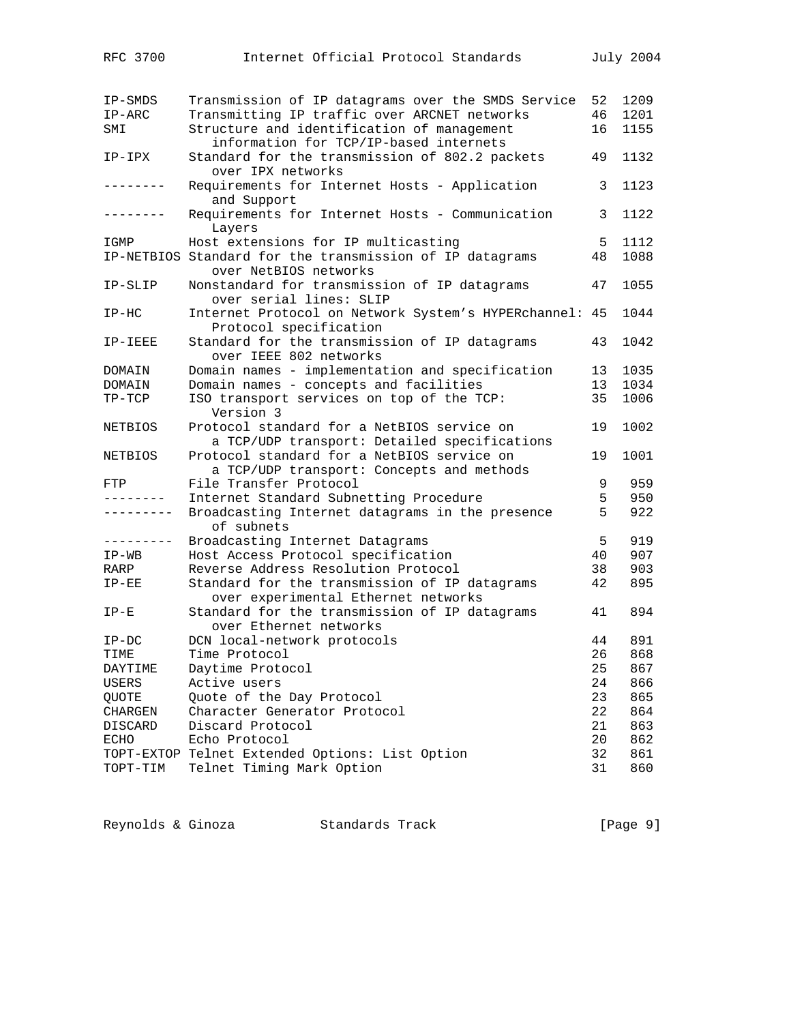| IP-SMDS      | Transmission of IP datagrams over the SMDS Service                                         | 52 | 1209 |
|--------------|--------------------------------------------------------------------------------------------|----|------|
| $IP-ARC$     | Transmitting IP traffic over ARCNET networks                                               | 46 | 1201 |
| SMI          | Structure and identification of management<br>information for TCP/IP-based internets       | 16 | 1155 |
| $IP-IPX$     | Standard for the transmission of 802.2 packets<br>over IPX networks                        | 49 | 1132 |
|              | Requirements for Internet Hosts - Application<br>and Support                               | 3  | 1123 |
| . <u>.</u> . | Requirements for Internet Hosts - Communication<br>Layers                                  | 3  | 1122 |
| IGMP         | Host extensions for IP multicasting                                                        | 5  | 1112 |
|              | IP-NETBIOS Standard for the transmission of IP datagrams<br>over NetBIOS networks          | 48 | 1088 |
| IP-SLIP      | Nonstandard for transmission of IP datagrams<br>over serial lines: SLIP                    | 47 | 1055 |
| $IP-HC$      | Internet Protocol on Network System's HYPERchannel: 45<br>Protocol specification           |    | 1044 |
| IP-IEEE      | Standard for the transmission of IP datagrams<br>over IEEE 802 networks                    | 43 | 1042 |
| DOMAIN       | Domain names - implementation and specification                                            | 13 | 1035 |
| DOMAIN       | Domain names - concepts and facilities                                                     | 13 | 1034 |
| $TP-TCP$     | ISO transport services on top of the TCP:<br>Version 3                                     | 35 | 1006 |
| NETBIOS      | Protocol standard for a NetBIOS service on<br>a TCP/UDP transport: Detailed specifications | 19 | 1002 |
| NETBIOS      | Protocol standard for a NetBIOS service on<br>a TCP/UDP transport: Concepts and methods    | 19 | 1001 |
| FTP          | File Transfer Protocol                                                                     | 9  | 959  |
| --------     | Internet Standard Subnetting Procedure                                                     | 5  | 950  |
| ----------   | Broadcasting Internet datagrams in the presence<br>of subnets                              | 5  | 922  |
| ---------    | Broadcasting Internet Datagrams                                                            | 5  | 919  |
| $IP-WB$      | Host Access Protocol specification                                                         | 40 | 907  |
| RARP         | Reverse Address Resolution Protocol                                                        | 38 | 903  |
| $IP-EE$      | Standard for the transmission of IP datagrams                                              | 42 | 895  |
|              | over experimental Ethernet networks                                                        |    |      |
| $IP-E$       | Standard for the transmission of IP datagrams<br>over Ethernet networks                    | 41 | 894  |
| $IP-DC$      | DCN local-network protocols                                                                | 44 | 891  |
| TIME         | Time Protocol                                                                              | 26 | 868  |
| DAYTIME      | Daytime Protocol                                                                           | 25 | 867  |
| USERS        | Active users                                                                               | 24 | 866  |
| QUOTE        | Quote of the Day Protocol                                                                  | 23 | 865  |
| CHARGEN      | Character Generator Protocol                                                               | 22 | 864  |
| DISCARD      | Discard Protocol                                                                           | 21 | 863  |
| ECHO         | Echo Protocol                                                                              | 20 | 862  |
|              | TOPT-EXTOP Telnet Extended Options: List Option                                            | 32 | 861  |
| TOPT-TIM     | Telnet Timing Mark Option                                                                  | 31 | 860  |

Reynolds & Ginoza Standards Track [Page 9]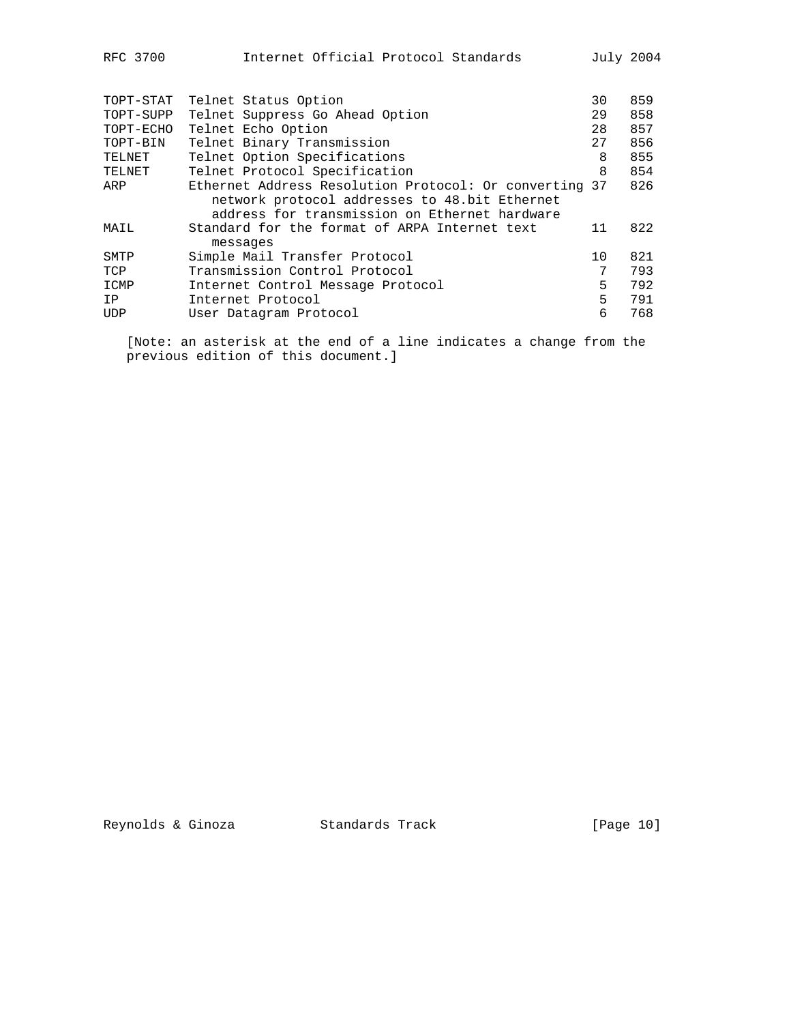| TOPT-STAT | Telnet Status Option                                                                                    | 30 | 859 |
|-----------|---------------------------------------------------------------------------------------------------------|----|-----|
| TOPT-SUPP | Telnet Suppress Go Ahead Option                                                                         | 29 | 858 |
| TOPT-ECHO | Telnet Echo Option                                                                                      | 28 | 857 |
| TOPT-BIN  | Telnet Binary Transmission                                                                              | 27 | 856 |
| TELNET    | Telnet Option Specifications                                                                            | 8  | 855 |
| TELNET    | Telnet Protocol Specification                                                                           | 8  | 854 |
| ARP       | Ethernet Address Resolution Protocol: Or converting 37<br>network protocol addresses to 48.bit Ethernet |    | 826 |
| MAIL      | address for transmission on Ethernet hardware<br>Standard for the format of ARPA Internet text          | 11 | 822 |
|           | messages                                                                                                |    |     |
| SMTP      | Simple Mail Transfer Protocol                                                                           | 10 | 821 |
| TCP       | Transmission Control Protocol                                                                           | 7  | 793 |
| ICMP      | Internet Control Message Protocol                                                                       | 5  | 792 |
| IP        | Internet Protocol                                                                                       | 5  | 791 |
| UDP       | User Datagram Protocol                                                                                  | 6  | 768 |
|           |                                                                                                         |    |     |

 [Note: an asterisk at the end of a line indicates a change from the previous edition of this document.]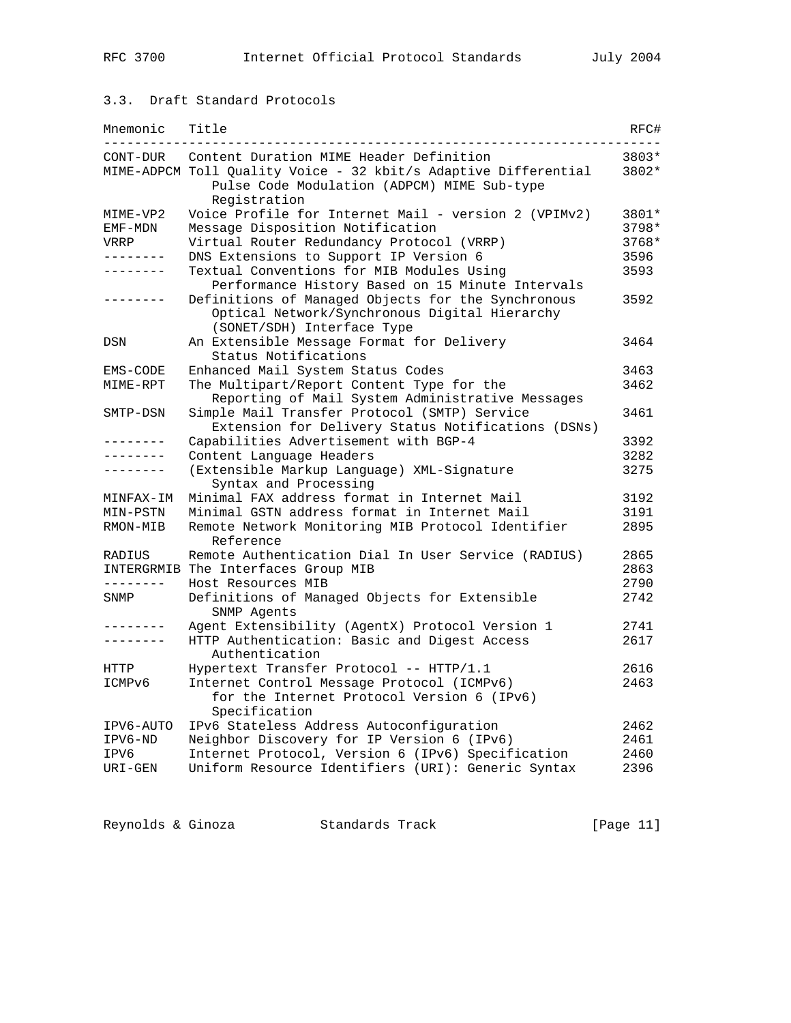## 3.3. Draft Standard Protocols

| Mnemonic          | Title                                                                                                                             | RFC#    |
|-------------------|-----------------------------------------------------------------------------------------------------------------------------------|---------|
| CONT-DUR          | Content Duration MIME Header Definition                                                                                           | 3803*   |
|                   | MIME-ADPCM Toll Ouality Voice - 32 kbit/s Adaptive Differential<br>Pulse Code Modulation (ADPCM) MIME Sub-type<br>Registration    | 3802*   |
| MIME-VP2          | Voice Profile for Internet Mail - version 2 (VPIMv2)                                                                              | 3801*   |
| EMF-MDN           | Message Disposition Notification                                                                                                  | $3798*$ |
| VRRP              | Virtual Router Redundancy Protocol (VRRP)                                                                                         | $3768*$ |
| $- - - - - - - -$ | DNS Extensions to Support IP Version 6                                                                                            | 3596    |
| -------           | Textual Conventions for MIB Modules Using<br>Performance History Based on 15 Minute Intervals                                     | 3593    |
|                   | Definitions of Managed Objects for the Synchronous<br>Optical Network/Synchronous Digital Hierarchy<br>(SONET/SDH) Interface Type | 3592    |
| DSN               | An Extensible Message Format for Delivery<br>Status Notifications                                                                 | 3464    |
| EMS-CODE          | Enhanced Mail System Status Codes                                                                                                 | 3463    |
| MIME-RPT          | The Multipart/Report Content Type for the<br>Reporting of Mail System Administrative Messages                                     | 3462    |
| SMTP-DSN          | Simple Mail Transfer Protocol (SMTP) Service<br>Extension for Delivery Status Notifications (DSNs)                                | 3461    |
| --------          | Capabilities Advertisement with BGP-4                                                                                             | 3392    |
| -------           | Content Language Headers                                                                                                          | 3282    |
|                   | (Extensible Markup Language) XML-Signature<br>Syntax and Processing                                                               | 3275    |
| MINFAX-IM         | Minimal FAX address format in Internet Mail                                                                                       | 3192    |
| MIN-PSTN          | Minimal GSTN address format in Internet Mail                                                                                      | 3191    |
| RMON-MIB          | Remote Network Monitoring MIB Protocol Identifier<br>Reference                                                                    | 2895    |
| RADIUS            | Remote Authentication Dial In User Service (RADIUS)                                                                               | 2865    |
|                   | INTERGRMIB The Interfaces Group MIB                                                                                               | 2863    |
| --------          | Host Resources MIB                                                                                                                | 2790    |
| SNMP              | Definitions of Managed Objects for Extensible<br>SNMP Agents                                                                      | 2742    |
|                   | Agent Extensibility (AgentX) Protocol Version 1                                                                                   | 2741    |
| -------           | HTTP Authentication: Basic and Digest Access<br>Authentication                                                                    | 2617    |
| HTTP              | Hypertext Transfer Protocol -- HTTP/1.1                                                                                           | 2616    |
| ICMPv6            | Internet Control Message Protocol (ICMPv6)<br>for the Internet Protocol Version 6 (IPv6)<br>Specification                         | 2463    |
| IPV6-AUTO         | IPv6 Stateless Address Autoconfiguration                                                                                          | 2462    |
| IPV6-ND           | Neighbor Discovery for IP Version 6 (IPv6)                                                                                        | 2461    |
| IPV6              | Internet Protocol, Version 6 (IPv6) Specification                                                                                 | 2460    |
| URI-GEN           | Uniform Resource Identifiers (URI): Generic Syntax                                                                                | 2396    |

Reynolds & Ginoza Standards Track [Page 11]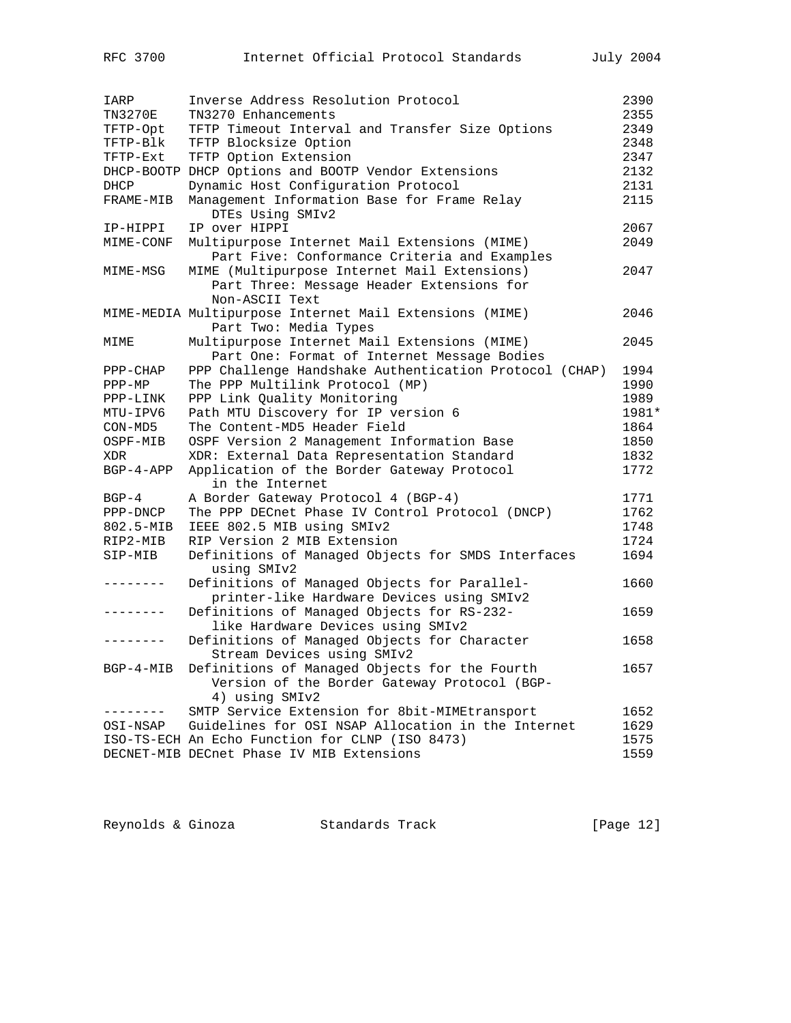| IARP           | Inverse Address Resolution Protocol                                                                             | 2390  |
|----------------|-----------------------------------------------------------------------------------------------------------------|-------|
| <b>TN3270E</b> | TN3270 Enhancements                                                                                             | 2355  |
| TFTP-Opt       | TFTP Timeout Interval and Transfer Size Options                                                                 | 2349  |
| TFTP-Blk       | TFTP Blocksize Option                                                                                           | 2348  |
| TFTP-Ext       | TFTP Option Extension                                                                                           | 2347  |
|                | DHCP-BOOTP DHCP Options and BOOTP Vendor Extensions                                                             | 2132  |
| DHCP           | Dynamic Host Configuration Protocol                                                                             | 2131  |
| FRAME-MIB      | Management Information Base for Frame Relay<br>DTEs Using SMIv2                                                 | 2115  |
| IP-HIPPI       | IP over HIPPI                                                                                                   | 2067  |
| MIME-CONF      | Multipurpose Internet Mail Extensions (MIME)<br>Part Five: Conformance Criteria and Examples                    | 2049  |
| MIME-MSG       | MIME (Multipurpose Internet Mail Extensions)<br>Part Three: Message Header Extensions for<br>Non-ASCII Text     | 2047  |
|                | MIME-MEDIA Multipurpose Internet Mail Extensions (MIME)<br>Part Two: Media Types                                | 2046  |
| MIME           | Multipurpose Internet Mail Extensions (MIME)<br>Part One: Format of Internet Message Bodies                     | 2045  |
| $PPP-CHAP$     | PPP Challenge Handshake Authentication Protocol (CHAP)                                                          | 1994  |
| PPP-MP         | The PPP Multilink Protocol (MP)                                                                                 | 1990  |
| PPP-LINK       | PPP Link Quality Monitoring                                                                                     | 1989  |
| MTU-IPV6       | Path MTU Discovery for IP version 6                                                                             | 1981* |
| CON-MD5        | The Content-MD5 Header Field                                                                                    | 1864  |
| OSPF-MIB       | OSPF Version 2 Management Information Base                                                                      | 1850  |
| XDR            | XDR: External Data Representation Standard                                                                      | 1832  |
| $BGP-4-APP$    | Application of the Border Gateway Protocol<br>in the Internet                                                   | 1772  |
| $BGP-4$        | A Border Gateway Protocol 4 (BGP-4)                                                                             | 1771  |
| PPP-DNCP       | The PPP DECnet Phase IV Control Protocol (DNCP)                                                                 | 1762  |
| 802.5-MIB      | IEEE 802.5 MIB using SMIv2                                                                                      | 1748  |
| RIP2-MIB       | RIP Version 2 MIB Extension                                                                                     | 1724  |
| SIP-MIB        | Definitions of Managed Objects for SMDS Interfaces<br>using SMIv2                                               | 1694  |
|                | Definitions of Managed Objects for Parallel-<br>printer-like Hardware Devices using SMIv2                       | 1660  |
| .              | Definitions of Managed Objects for RS-232-<br>like Hardware Devices using SMIv2                                 | 1659  |
|                | Definitions of Managed Objects for Character<br>Stream Devices using SMIv2                                      | 1658  |
| BGP-4-MIB      | Definitions of Managed Objects for the Fourth<br>Version of the Border Gateway Protocol (BGP-<br>4) using SMIv2 | 1657  |
|                | SMTP Service Extension for 8bit-MIMEtransport                                                                   | 1652  |
| OSI-NSAP       | Guidelines for OSI NSAP Allocation in the Internet                                                              | 1629  |
|                | ISO-TS-ECH An Echo Function for CLNP (ISO 8473)                                                                 | 1575  |
|                | DECNET-MIB DECnet Phase IV MIB Extensions                                                                       | 1559  |

| Reynolds & Ginoza |  | Standards Track |  | [Page 12] |  |
|-------------------|--|-----------------|--|-----------|--|
|-------------------|--|-----------------|--|-----------|--|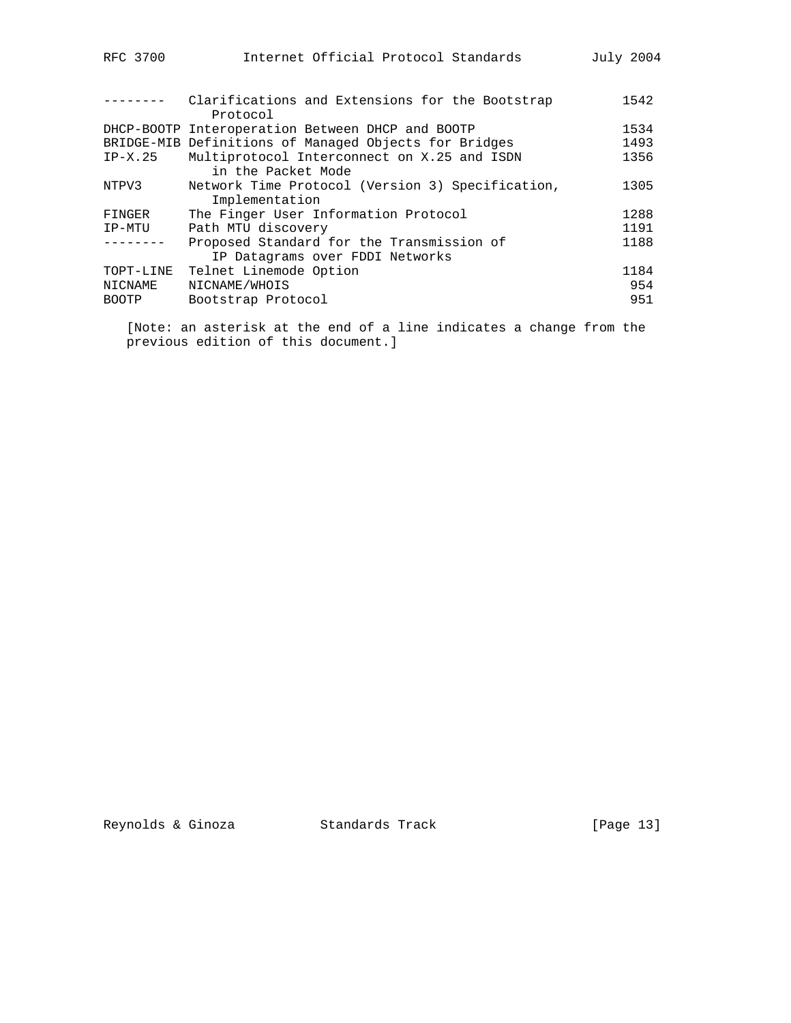| Internet Official Protocol Standards<br>July 2004<br>RFC 3700 |  |
|---------------------------------------------------------------|--|
|---------------------------------------------------------------|--|

|              | Clarifications and Extensions for the Bootstrap<br>Protocol | 1542 |
|--------------|-------------------------------------------------------------|------|
|              | DHCP-BOOTP Interoperation Between DHCP and BOOTP            | 1534 |
|              | BRIDGE-MIB Definitions of Managed Objects for Bridges       | 1493 |
| $IP-X.25$    | Multiprotocol Interconnect on X.25 and ISDN                 | 1356 |
|              | in the Packet Mode                                          |      |
| NTPV3        | Network Time Protocol (Version 3) Specification,            | 1305 |
|              | Implementation                                              |      |
| FINGER       | The Finger User Information Protocol                        | 1288 |
| IP-MTU       | Path MTU discovery                                          | 1191 |
|              | Proposed Standard for the Transmission of                   | 1188 |
|              | IP Datagrams over FDDI Networks                             |      |
| TOPT-LINE    | Telnet Linemode Option                                      | 1184 |
| NICNAME      | NICNAME/WHOIS                                               | 954  |
| <b>BOOTP</b> | Bootstrap Protocol                                          | 951  |
|              |                                                             |      |

 [Note: an asterisk at the end of a line indicates a change from the previous edition of this document.]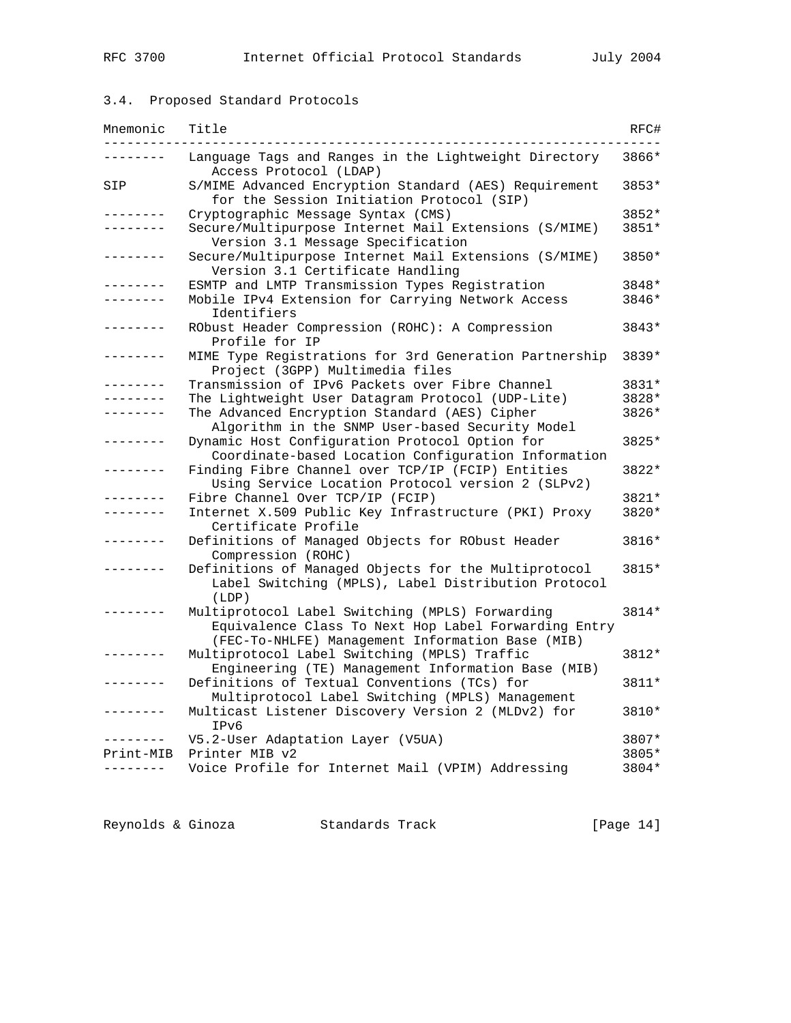## 3.4. Proposed Standard Protocols

| Mnemonic        | Title                                                                                                                                                       | RFC#    |
|-----------------|-------------------------------------------------------------------------------------------------------------------------------------------------------------|---------|
|                 | Language Tags and Ranges in the Lightweight Directory<br>Access Protocol (LDAP)                                                                             | 3866*   |
| SIP             | S/MIME Advanced Encryption Standard (AES) Requirement<br>for the Session Initiation Protocol (SIP)                                                          | 3853*   |
|                 | Cryptographic Message Syntax (CMS)                                                                                                                          | 3852*   |
|                 | Secure/Multipurpose Internet Mail Extensions (S/MIME)<br>Version 3.1 Message Specification                                                                  | 3851*   |
| $- - - - - - -$ | Secure/Multipurpose Internet Mail Extensions (S/MIME)<br>Version 3.1 Certificate Handling                                                                   | 3850*   |
|                 | ESMTP and LMTP Transmission Types Registration                                                                                                              | 3848*   |
|                 | Mobile IPv4 Extension for Carrying Network Access<br>Identifiers                                                                                            | 3846*   |
| $- - - - - - -$ | RObust Header Compression (ROHC): A Compression<br>Profile for IP                                                                                           | $3843*$ |
| -------         | MIME Type Registrations for 3rd Generation Partnership<br>Project (3GPP) Multimedia files                                                                   | 3839*   |
|                 | Transmission of IPv6 Packets over Fibre Channel                                                                                                             | 3831*   |
|                 | The Lightweight User Datagram Protocol (UDP-Lite)                                                                                                           | 3828*   |
| $\frac{1}{2}$   | The Advanced Encryption Standard (AES) Cipher<br>Algorithm in the SNMP User-based Security Model                                                            | 3826*   |
|                 | Dynamic Host Configuration Protocol Option for<br>Coordinate-based Location Configuration Information                                                       | 3825*   |
|                 | Finding Fibre Channel over TCP/IP (FCIP) Entities<br>Using Service Location Protocol version 2 (SLPv2)                                                      | 3822*   |
|                 | Fibre Channel Over TCP/IP (FCIP)                                                                                                                            | 3821*   |
| -------         | Internet X.509 Public Key Infrastructure (PKI) Proxy<br>Certificate Profile                                                                                 | 3820*   |
|                 | Definitions of Managed Objects for RObust Header<br>Compression (ROHC)                                                                                      | 3816*   |
|                 | Definitions of Managed Objects for the Multiprotocol<br>Label Switching (MPLS), Label Distribution Protocol<br>(LDP)                                        | 3815*   |
|                 | Multiprotocol Label Switching (MPLS) Forwarding<br>Equivalence Class To Next Hop Label Forwarding Entry<br>(FEC-To-NHLFE) Management Information Base (MIB) | $3814*$ |
|                 | Multiprotocol Label Switching (MPLS) Traffic<br>Engineering (TE) Management Information Base (MIB)                                                          | 3812*   |
|                 | Definitions of Textual Conventions (TCs) for<br>Multiprotocol Label Switching (MPLS) Management                                                             | 3811*   |
|                 | Multicast Listener Discovery Version 2 (MLDv2) for<br>TPv6                                                                                                  | 3810*   |
|                 | V5.2-User Adaptation Layer (V5UA)                                                                                                                           | 3807*   |
| Print-MIB       | Printer MIB v2                                                                                                                                              | 3805*   |
|                 | Voice Profile for Internet Mail (VPIM) Addressing                                                                                                           | 3804*   |

Reynolds & Ginoza Standards Track [Page 14]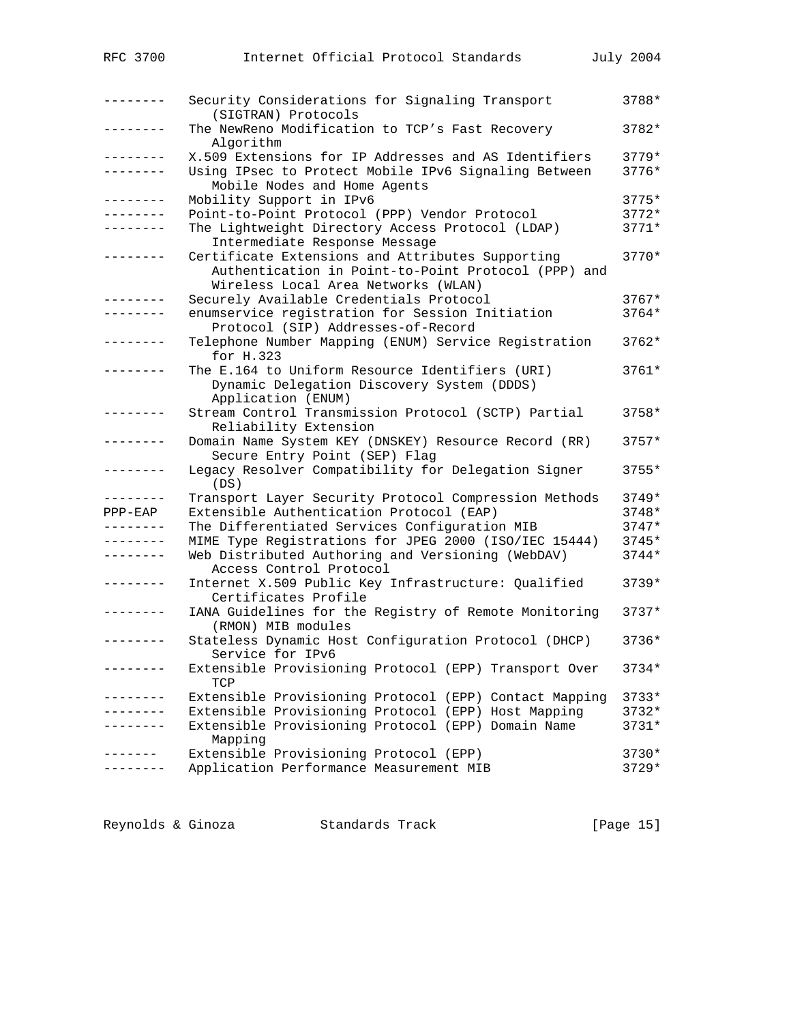| RFC 3700        | Internet Official Protocol Standards                                                                                                           | <b>July 2004</b> |
|-----------------|------------------------------------------------------------------------------------------------------------------------------------------------|------------------|
|                 |                                                                                                                                                |                  |
| $- - - - - - -$ | Security Considerations for Signaling Transport<br>(SIGTRAN) Protocols                                                                         | 3788*            |
| . <u>.</u> .    | The NewReno Modification to TCP's Fast Recovery<br>Algorithm                                                                                   | 3782*            |
| . <u>.</u> .    | X.509 Extensions for IP Addresses and AS Identifiers                                                                                           | $3779*$          |
| --------        | Using IPsec to Protect Mobile IPv6 Signaling Between<br>Mobile Nodes and Home Agents                                                           | 3776*            |
| . <u>.</u>      | Mobility Support in IPv6                                                                                                                       | $3775*$          |
| --------        | Point-to-Point Protocol (PPP) Vendor Protocol                                                                                                  | $3772*$          |
|                 | The Lightweight Directory Access Protocol (LDAP)                                                                                               | $3771*$          |
|                 | Intermediate Response Message                                                                                                                  |                  |
| --------        | Certificate Extensions and Attributes Supporting<br>Authentication in Point-to-Point Protocol (PPP) and<br>Wireless Local Area Networks (WLAN) | $3770*$          |
| . - - - - - - - | Securely Available Credentials Protocol                                                                                                        | $3767*$          |
|                 | enumservice registration for Session Initiation                                                                                                | $3764*$          |
|                 | Protocol (SIP) Addresses-of-Record                                                                                                             |                  |
| --------        | Telephone Number Mapping (ENUM) Service Registration<br>for H.323                                                                              | $3762*$          |
| -------         | The E.164 to Uniform Resource Identifiers (URI)                                                                                                | $3761*$          |
|                 | Dynamic Delegation Discovery System (DDDS)<br>Application (ENUM)                                                                               |                  |
| $- - - - - - -$ | Stream Control Transmission Protocol (SCTP) Partial                                                                                            | $3758*$          |
|                 | Reliability Extension                                                                                                                          |                  |
|                 | Domain Name System KEY (DNSKEY) Resource Record (RR)<br>Secure Entry Point (SEP) Flag                                                          | $3757*$          |
| - - - - - - - - | Legacy Resolver Compatibility for Delegation Signer<br>(DS)                                                                                    | 3755*            |
| . <u>.</u> .    | Transport Layer Security Protocol Compression Methods                                                                                          | $3749*$          |
| $PPP-EAP$       | Extensible Authentication Protocol (EAP)                                                                                                       | $3748*$          |
| --------        | The Differentiated Services Configuration MIB                                                                                                  | $3747*$          |
| --------        | MIME Type Registrations for JPEG 2000 (ISO/IEC 15444)                                                                                          | $3745*$          |
| --------        | Web Distributed Authoring and Versioning (WebDAV)<br>Access Control Protocol                                                                   | $3744*$          |
| --------        | Internet X.509 Public Key Infrastructure: Qualified                                                                                            | $3739*$          |
|                 | Certificates Profile                                                                                                                           |                  |
|                 | IANA Guidelines for the Registry of Remote Monitoring<br>(RMON) MIB modules                                                                    | $3737*$          |
| --------        | Stateless Dynamic Host Configuration Protocol (DHCP)<br>Service for IPv6                                                                       | 3736*            |
| . <u>.</u> .    | Extensible Provisioning Protocol (EPP) Transport Over<br>TCP                                                                                   | $3734*$          |
|                 | Extensible Provisioning Protocol (EPP) Contact Mapping                                                                                         | $3733*$          |
|                 | Extensible Provisioning Protocol (EPP) Host Mapping                                                                                            | $3732*$          |
| . _ _ _ _ _ _ _ | Extensible Provisioning Protocol (EPP) Domain Name                                                                                             | $3731*$          |
|                 | Mapping                                                                                                                                        |                  |
| . <u>.</u> .    | Extensible Provisioning Protocol (EPP)                                                                                                         | $3730*$          |
| --------        | Application Performance Measurement MIB                                                                                                        | $3729*$          |
|                 |                                                                                                                                                |                  |

Reynolds & Ginoza Standards Track [Page 15]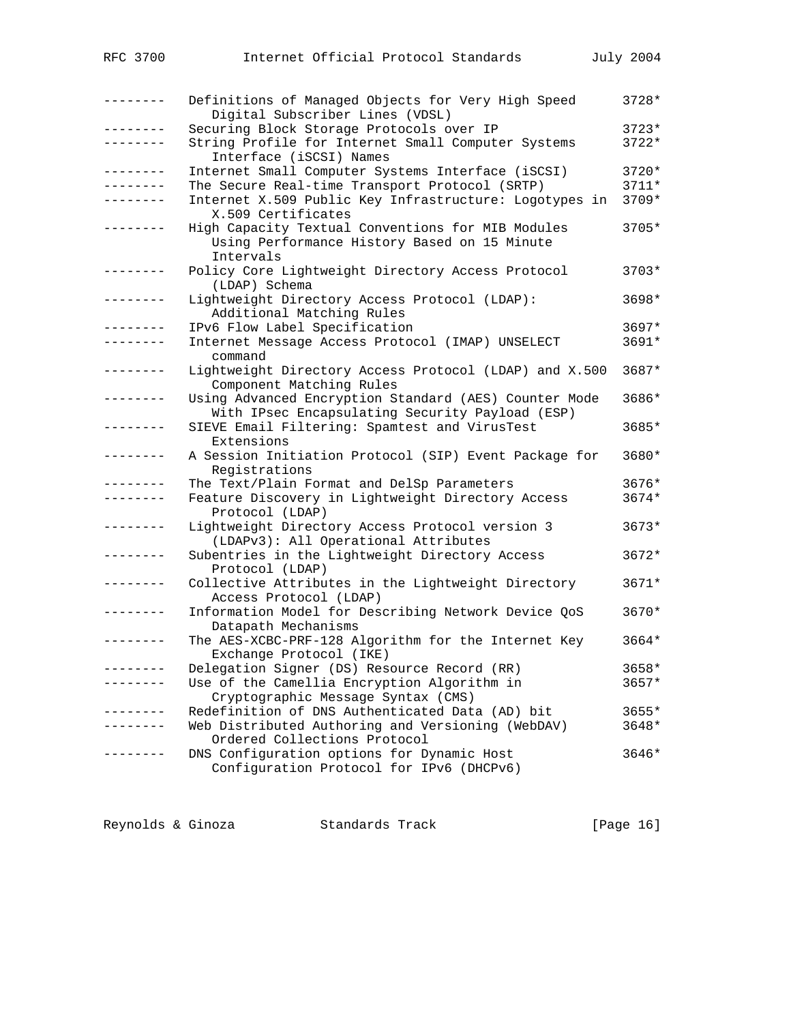| RFC 3700            | Internet Official Protocol Standards                                                                           | July 2004 |
|---------------------|----------------------------------------------------------------------------------------------------------------|-----------|
| . – – – – – – –     | Definitions of Managed Objects for Very High Speed<br>Digital Subscriber Lines (VDSL)                          | 3728*     |
| .                   | Securing Block Storage Protocols over IP                                                                       | $3723*$   |
| . _ _ _ _ _ _ _     | String Profile for Internet Small Computer Systems<br>Interface (iSCSI) Names                                  | $3722*$   |
| . <u>.</u> .        | Internet Small Computer Systems Interface (iSCSI)                                                              | $3720*$   |
| --------            | The Secure Real-time Transport Protocol (SRTP)                                                                 | $3711*$   |
| --------            | Internet X.509 Public Key Infrastructure: Logotypes in<br>X.509 Certificates                                   | 3709*     |
| . <u>.</u> .        | High Capacity Textual Conventions for MIB Modules<br>Using Performance History Based on 15 Minute<br>Intervals | 3705*     |
| -------             | Policy Core Lightweight Directory Access Protocol<br>(LDAP) Schema                                             | 3703*     |
| $- - - - - - - - -$ | Lightweight Directory Access Protocol (LDAP):<br>Additional Matching Rules                                     | $3698*$   |
|                     | IPv6 Flow Label Specification                                                                                  | $3697*$   |
| ب کا کا کا کا کا کا | Internet Message Access Protocol (IMAP) UNSELECT<br>command                                                    | 3691*     |
| . _ _ _ _ _ _ _     | Lightweight Directory Access Protocol (LDAP) and X.500<br>Component Matching Rules                             | $3687*$   |
| .                   | Using Advanced Encryption Standard (AES) Counter Mode<br>With IPsec Encapsulating Security Payload (ESP)       | 3686*     |
| -------             | SIEVE Email Filtering: Spamtest and VirusTest<br>Extensions                                                    | 3685*     |
| .                   | A Session Initiation Protocol (SIP) Event Package for<br>Registrations                                         | 3680*     |
| -------             | The Text/Plain Format and DelSp Parameters                                                                     | $3676*$   |
| .                   | Feature Discovery in Lightweight Directory Access<br>Protocol (LDAP)                                           | 3674*     |
|                     | Lightweight Directory Access Protocol version 3<br>(LDAPv3): All Operational Attributes                        | $3673*$   |
| .                   | Subentries in the Lightweight Directory Access<br>Protocol (LDAP)                                              | $3672*$   |
|                     | Collective Attributes in the Lightweight Directory<br>Access Protocol (LDAP)                                   | $3671*$   |
|                     | Information Model for Describing Network Device OoS<br>Datapath Mechanisms                                     | $3670*$   |
| .                   | The AES-XCBC-PRF-128 Algorithm for the Internet Key<br>Exchange Protocol (IKE)                                 | $3664*$   |
|                     | Delegation Signer (DS) Resource Record (RR)                                                                    | $3658*$   |
|                     | Use of the Camellia Encryption Algorithm in<br>Cryptographic Message Syntax (CMS)                              | 3657*     |
| -------             | Redefinition of DNS Authenticated Data (AD) bit                                                                | $3655*$   |
|                     | Web Distributed Authoring and Versioning (WebDAV)<br>Ordered Collections Protocol                              | 3648*     |
|                     | DNS Configuration options for Dynamic Host<br>Configuration Protocol for IPv6 (DHCPv6)                         | 3646*     |

Reynolds & Ginoza Standards Track [Page 16]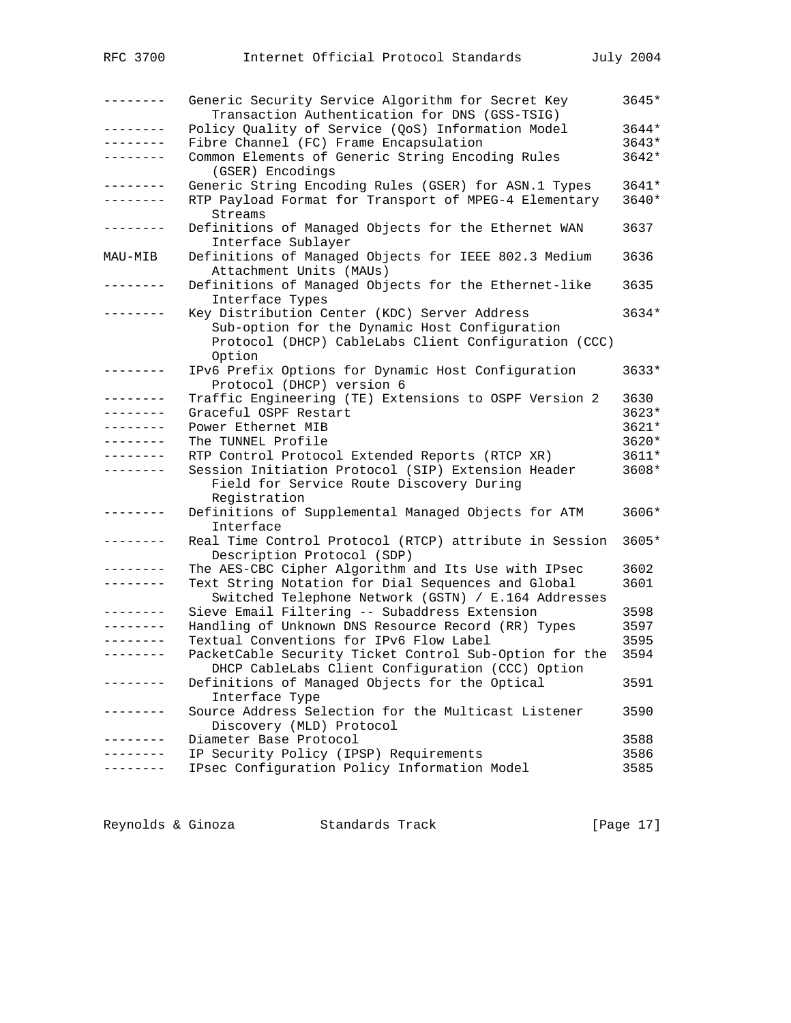| --------        | Generic Security Service Algorithm for Secret Key<br>Transaction Authentication for DNS (GSS-TSIG)              | 3645*   |
|-----------------|-----------------------------------------------------------------------------------------------------------------|---------|
| .               | Policy Quality of Service (QoS) Information Model                                                               | 3644*   |
| --------        | Fibre Channel (FC) Frame Encapsulation                                                                          | $3643*$ |
| -------         | Common Elements of Generic String Encoding Rules<br>(GSER) Encodings                                            | $3642*$ |
| .               | Generic String Encoding Rules (GSER) for ASN.1 Types                                                            | 3641*   |
| . <u>.</u> .    | RTP Payload Format for Transport of MPEG-4 Elementary<br>Streams                                                | 3640*   |
| . <u>.</u> .    | Definitions of Managed Objects for the Ethernet WAN<br>Interface Sublayer                                       | 3637    |
| MAU-MIB         | Definitions of Managed Objects for IEEE 802.3 Medium<br>Attachment Units (MAUs)                                 | 3636    |
| --------        | Definitions of Managed Objects for the Ethernet-like<br>Interface Types                                         | 3635    |
| . <i>.</i> .    | Key Distribution Center (KDC) Server Address                                                                    | $3634*$ |
|                 | Sub-option for the Dynamic Host Configuration<br>Protocol (DHCP) CableLabs Client Configuration (CCC)<br>Option |         |
| $- - - - - - -$ | IPv6 Prefix Options for Dynamic Host Configuration<br>Protocol (DHCP) version 6                                 | $3633*$ |
| . <u>.</u> .    | Traffic Engineering (TE) Extensions to OSPF Version 2                                                           | 3630    |
| --------        | Graceful OSPF Restart                                                                                           | $3623*$ |
| --------        | Power Ethernet MIB                                                                                              | 3621*   |
| --------        | The TUNNEL Profile                                                                                              | 3620*   |
| --------        | RTP Control Protocol Extended Reports (RTCP XR)                                                                 | 3611*   |
| --------        | Session Initiation Protocol (SIP) Extension Header<br>Field for Service Route Discovery During<br>Registration  | 3608*   |
| $- - - - - - -$ | Definitions of Supplemental Managed Objects for ATM<br>Interface                                                | 3606*   |
| .               | Real Time Control Protocol (RTCP) attribute in Session<br>Description Protocol (SDP)                            | 3605*   |
| -------         | The AES-CBC Cipher Algorithm and Its Use with IPsec                                                             | 3602    |
| --------        | Text String Notation for Dial Sequences and Global<br>Switched Telephone Network (GSTN) / E.164 Addresses       | 3601    |
| . <u>.</u> .    | Sieve Email Filtering -- Subaddress Extension                                                                   | 3598    |
|                 | Handling of Unknown DNS Resource Record (RR) Types                                                              | 3597    |
| --------        | Textual Conventions for IPv6 Flow Label                                                                         | 3595    |
|                 | PacketCable Security Ticket Control Sub-Option for the<br>DHCP CableLabs Client Configuration (CCC) Option      | 3594    |
|                 | Definitions of Managed Objects for the Optical<br>Interface Type                                                | 3591    |
| $- - - - - -$   | Source Address Selection for the Multicast Listener<br>Discovery (MLD) Protocol                                 | 3590    |
|                 | Diameter Base Protocol                                                                                          | 3588    |
|                 | IP Security Policy (IPSP) Requirements                                                                          | 3586    |
|                 | IPsec Configuration Policy Information Model                                                                    | 3585    |

| Reynolds & Ginoza | Standards Track | [Page 17] |  |
|-------------------|-----------------|-----------|--|
|                   |                 |           |  |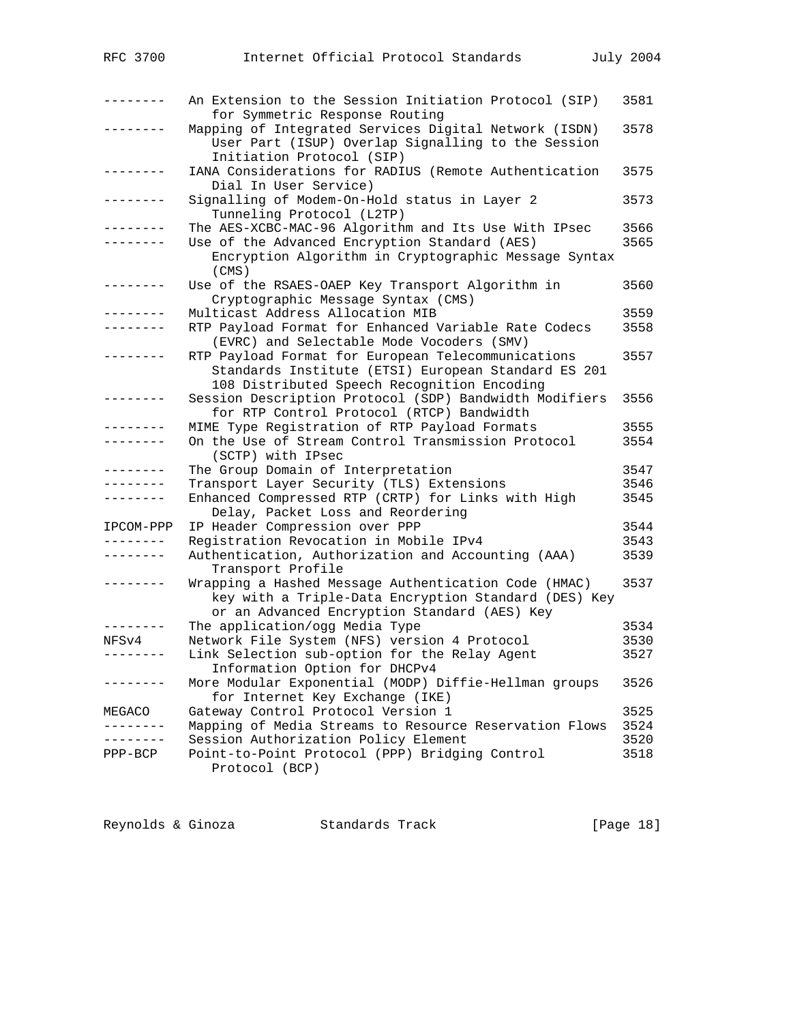| RFC 3700        | Internet Official Protocol Standards                                                     | July 2004    |
|-----------------|------------------------------------------------------------------------------------------|--------------|
|                 |                                                                                          |              |
| -------         | An Extension to the Session Initiation Protocol (SIP)                                    | 3581         |
|                 | for Symmetric Response Routing                                                           |              |
| .               | Mapping of Integrated Services Digital Network (ISDN)                                    | 3578         |
|                 | User Part (ISUP) Overlap Signalling to the Session                                       |              |
|                 | Initiation Protocol (SIP)                                                                |              |
| -------         | IANA Considerations for RADIUS (Remote Authentication<br>Dial In User Service)           | 3575         |
| .               | Signalling of Modem-On-Hold status in Layer 2                                            | 3573         |
|                 | Tunneling Protocol (L2TP)                                                                |              |
| . <i>.</i> .    | The AES-XCBC-MAC-96 Algorithm and Its Use With IPsec                                     | 3566         |
| -------         | Use of the Advanced Encryption Standard (AES)                                            | 3565         |
|                 | Encryption Algorithm in Cryptographic Message Syntax<br>(CMS)                            |              |
| . – – – – – – – | Use of the RSAES-OAEP Key Transport Algorithm in                                         | 3560         |
| $- - - - - - -$ | Cryptographic Message Syntax (CMS)                                                       |              |
| . _ _ _ _ _ _ _ | Multicast Address Allocation MIB<br>RTP Payload Format for Enhanced Variable Rate Codecs | 3559<br>3558 |
|                 | (EVRC) and Selectable Mode Vocoders (SMV)                                                |              |
| .               | RTP Payload Format for European Telecommunications                                       | 3557         |
|                 | Standards Institute (ETSI) European Standard ES 201                                      |              |
|                 | 108 Distributed Speech Recognition Encoding                                              |              |
| $- - - - - - -$ | Session Description Protocol (SDP) Bandwidth Modifiers                                   | 3556         |
|                 | for RTP Control Protocol (RTCP) Bandwidth                                                |              |
| . <u>.</u> .    | MIME Type Registration of RTP Payload Formats                                            | 3555         |
| - - - - - - - - | On the Use of Stream Control Transmission Protocol<br>(SCTP) with IPsec                  | 3554         |
| ---------       | The Group Domain of Interpretation                                                       | 3547         |
| .               | Transport Layer Security (TLS) Extensions                                                | 3546         |
| --------        | Enhanced Compressed RTP (CRTP) for Links with High                                       | 3545         |
|                 | Delay, Packet Loss and Reordering                                                        |              |
| IPCOM-PPP       | IP Header Compression over PPP                                                           | 3544         |
| --------        | Registration Revocation in Mobile IPv4                                                   | 3543         |
| --------        | Authentication, Authorization and Accounting (AAA)                                       | 3539         |
| --------        | Transport Profile<br>Wrapping a Hashed Message Authentication Code (HMAC)                | 3537         |
|                 | key with a Triple-Data Encryption Standard (DES) Key                                     |              |
|                 | or an Advanced Encryption Standard (AES) Key                                             |              |
| --------        | The application/ogg Media Type                                                           | 3534         |
| NFSv4           | Network File System (NFS) version 4 Protocol                                             | 3530         |
|                 | Link Selection sub-option for the Relay Agent                                            | 3527         |
|                 | Information Option for DHCPv4                                                            |              |
|                 | More Modular Exponential (MODP) Diffie-Hellman groups<br>for Internet Key Exchange (IKE) | 3526         |
| MEGACO          | Gateway Control Protocol Version 1                                                       | 3525         |
| --------        | Mapping of Media Streams to Resource Reservation Flows                                   | 3524         |
| ------          | Session Authorization Policy Element                                                     | 3520         |
| $PPP-BCP$       | Point-to-Point Protocol (PPP) Bridging Control                                           | 3518         |
|                 | Protocol (BCP)                                                                           |              |

Reynolds & Ginoza Standards Track [Page 18]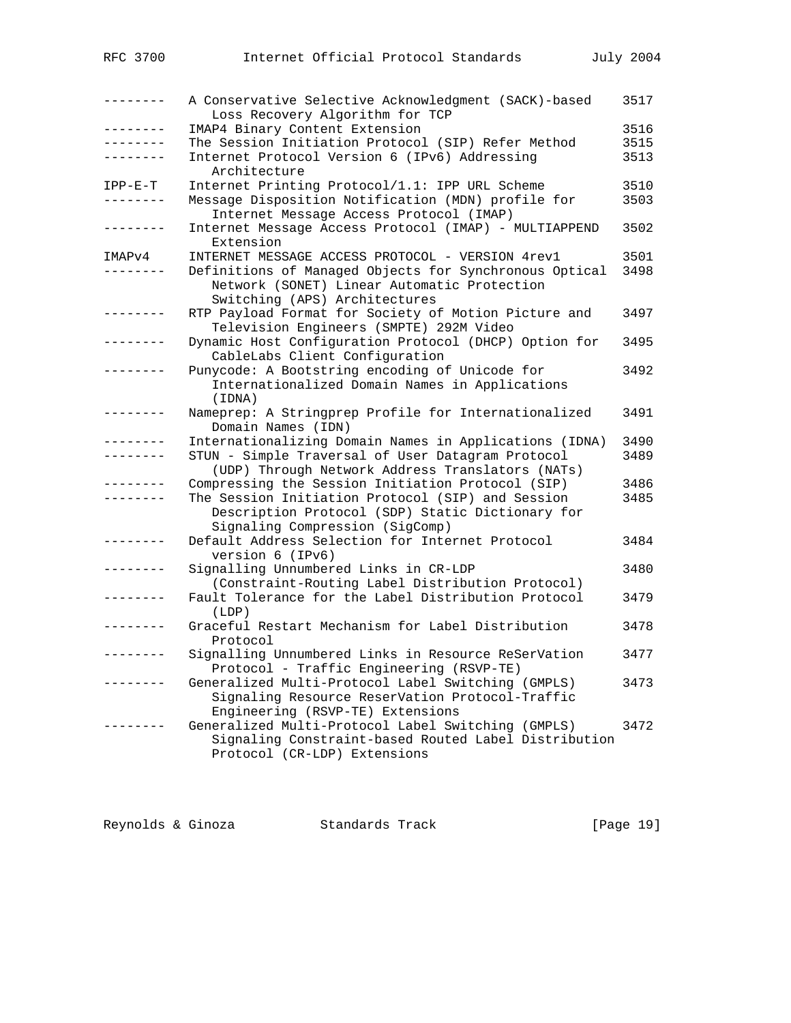| RFC 3700        | Internet Official Protocol Standards                                                                                                       | July 2004 |
|-----------------|--------------------------------------------------------------------------------------------------------------------------------------------|-----------|
| $- - - - - - -$ | A Conservative Selective Acknowledgment (SACK)-based<br>Loss Recovery Algorithm for TCP                                                    | 3517      |
| .               | IMAP4 Binary Content Extension                                                                                                             | 3516      |
| --------        | The Session Initiation Protocol (SIP) Refer Method                                                                                         | 3515      |
| - - - - - - - - | Internet Protocol Version 6 (IPv6) Addressing<br>Architecture                                                                              | 3513      |
| $IPP-E-T$       | Internet Printing Protocol/1.1: IPP URL Scheme                                                                                             | 3510      |
|                 | Message Disposition Notification (MDN) profile for<br>Internet Message Access Protocol (IMAP)                                              | 3503      |
| $- - - - - - -$ | Internet Message Access Protocol (IMAP) - MULTIAPPEND<br>Extension                                                                         | 3502      |
| IMAPv4          | INTERNET MESSAGE ACCESS PROTOCOL - VERSION 4rev1                                                                                           | 3501      |
|                 | Definitions of Managed Objects for Synchronous Optical<br>Network (SONET) Linear Automatic Protection<br>Switching (APS) Architectures     | 3498      |
| -------         | RTP Payload Format for Society of Motion Picture and<br>Television Engineers (SMPTE) 292M Video                                            | 3497      |
| $- - - - - - -$ | Dynamic Host Configuration Protocol (DHCP) Option for<br>CableLabs Client Configuration                                                    | 3495      |
|                 | Punycode: A Bootstring encoding of Unicode for<br>Internationalized Domain Names in Applications<br>(IDNA)                                 | 3492      |
| $- - - - - - -$ | Nameprep: A Stringprep Profile for Internationalized<br>Domain Names (IDN)                                                                 | 3491      |
| $- - - - - - -$ | Internationalizing Domain Names in Applications (IDNA)                                                                                     | 3490      |
| .               | STUN - Simple Traversal of User Datagram Protocol<br>(UDP) Through Network Address Translators (NATs)                                      | 3489      |
|                 | Compressing the Session Initiation Protocol (SIP)                                                                                          | 3486      |
| --------        | The Session Initiation Protocol (SIP) and Session<br>Description Protocol (SDP) Static Dictionary for<br>Signaling Compression (SigComp)   | 3485      |
|                 | Default Address Selection for Internet Protocol<br>version 6 (IPv6)                                                                        | 3484      |
|                 | Signalling Unnumbered Links in CR-LDP<br>(Constraint-Routing Label Distribution Protocol)                                                  | 3480      |
| --------        | Fault Tolerance for the Label Distribution Protocol<br>(LDP)                                                                               | 3479      |
|                 | Graceful Restart Mechanism for Label Distribution<br>Protocol                                                                              | 3478      |
|                 | Signalling Unnumbered Links in Resource ReSerVation<br>Protocol - Traffic Engineering (RSVP-TE)                                            | 3477      |
| - - - - - -     | Generalized Multi-Protocol Label Switching (GMPLS)<br>Signaling Resource ReserVation Protocol-Traffic<br>Engineering (RSVP-TE) Extensions  | 3473      |
|                 | Generalized Multi-Protocol Label Switching (GMPLS)<br>Signaling Constraint-based Routed Label Distribution<br>Protocol (CR-LDP) Extensions | 3472      |
|                 |                                                                                                                                            |           |

| Reynolds & Ginoza<br>Standards Track | [Page 19] |  |
|--------------------------------------|-----------|--|
|--------------------------------------|-----------|--|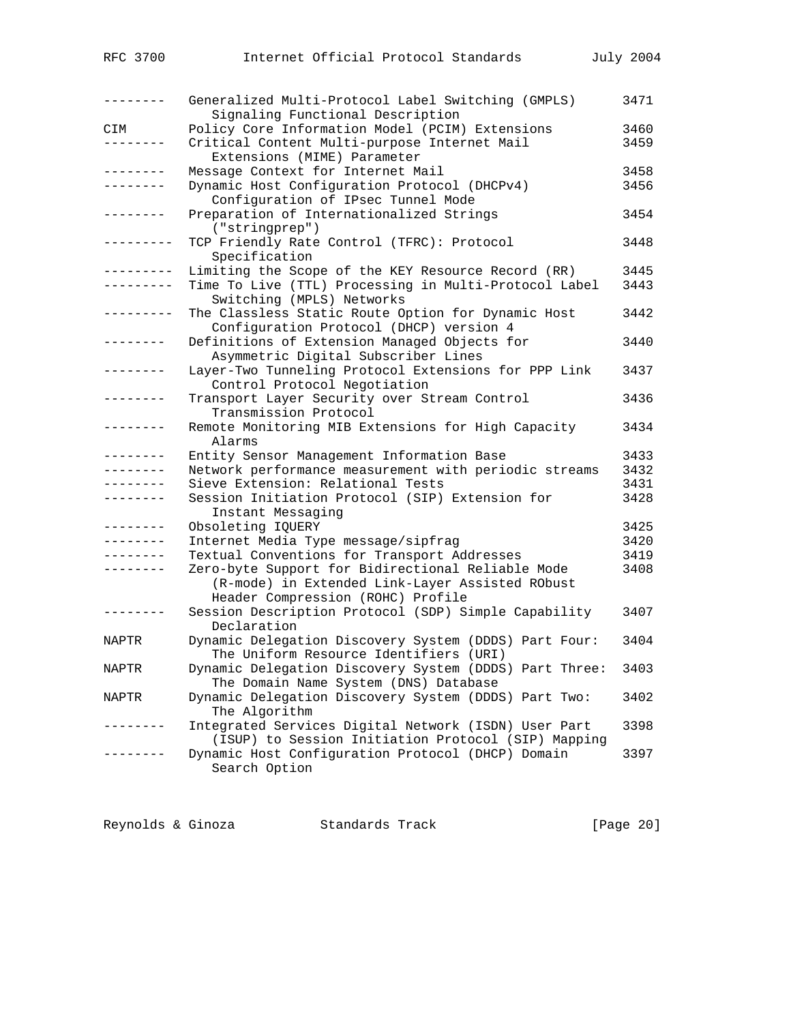| --------        | Generalized Multi-Protocol Label Switching (GMPLS)<br>Signaling Functional Description                                                    | 3471 |
|-----------------|-------------------------------------------------------------------------------------------------------------------------------------------|------|
| CIM             | Policy Core Information Model (PCIM) Extensions                                                                                           | 3460 |
| $- - - - - - -$ | Critical Content Multi-purpose Internet Mail<br>Extensions (MIME) Parameter                                                               | 3459 |
| -------         | Message Context for Internet Mail                                                                                                         | 3458 |
| .               | Dynamic Host Configuration Protocol (DHCPv4)<br>Configuration of IPsec Tunnel Mode                                                        | 3456 |
| $- - - - - - -$ | Preparation of Internationalized Strings<br>("stringprep")                                                                                | 3454 |
| --------        | TCP Friendly Rate Control (TFRC): Protocol<br>Specification                                                                               | 3448 |
| . <u>.</u> .    | Limiting the Scope of the KEY Resource Record (RR)                                                                                        | 3445 |
| --------        | Time To Live (TTL) Processing in Multi-Protocol Label<br>Switching (MPLS) Networks                                                        | 3443 |
| ----------      | The Classless Static Route Option for Dynamic Host<br>Configuration Protocol (DHCP) version 4                                             | 3442 |
| -------         | Definitions of Extension Managed Objects for<br>Asymmetric Digital Subscriber Lines                                                       | 3440 |
|                 | Layer-Two Tunneling Protocol Extensions for PPP Link<br>Control Protocol Negotiation                                                      | 3437 |
| --------        | Transport Layer Security over Stream Control<br>Transmission Protocol                                                                     | 3436 |
| --------        | Remote Monitoring MIB Extensions for High Capacity<br>Alarms                                                                              | 3434 |
| --------        | Entity Sensor Management Information Base                                                                                                 | 3433 |
| .               | Network performance measurement with periodic streams                                                                                     | 3432 |
| . <u>.</u> .    | Sieve Extension: Relational Tests                                                                                                         | 3431 |
|                 | Session Initiation Protocol (SIP) Extension for<br>Instant Messaging                                                                      | 3428 |
| --------        | Obsoleting IQUERY                                                                                                                         | 3425 |
| --------        | Internet Media Type message/sipfrag                                                                                                       | 3420 |
| -------         | Textual Conventions for Transport Addresses                                                                                               | 3419 |
| --------        | Zero-byte Support for Bidirectional Reliable Mode<br>(R-mode) in Extended Link-Layer Assisted RObust<br>Header Compression (ROHC) Profile | 3408 |
| --------        | Session Description Protocol (SDP) Simple Capability<br>Declaration                                                                       | 3407 |
| NAPTR           | Dynamic Delegation Discovery System (DDDS) Part Four:<br>The Uniform Resource Identifiers (URI)                                           | 3404 |
| NAPTR           | Dynamic Delegation Discovery System (DDDS) Part Three:<br>The Domain Name System (DNS) Database                                           | 3403 |
| NAPTR           | Dynamic Delegation Discovery System (DDDS) Part Two:<br>The Algorithm                                                                     | 3402 |
|                 | Integrated Services Digital Network (ISDN) User Part<br>(ISUP) to Session Initiation Protocol (SIP) Mapping                               | 3398 |
|                 | Dynamic Host Configuration Protocol (DHCP) Domain<br>Search Option                                                                        | 3397 |
|                 |                                                                                                                                           |      |

Reynolds & Ginoza Standards Track [Page 20]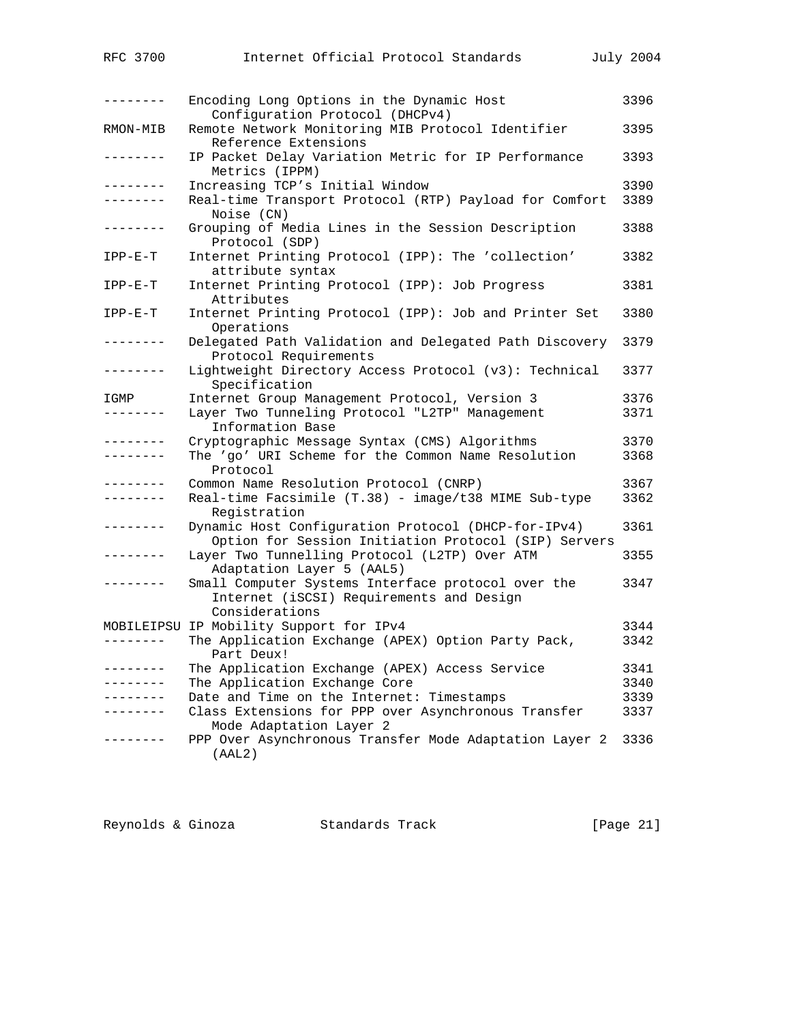| RFC 3700                  | Internet Official Protocol Standards                                                                                | July 2004    |
|---------------------------|---------------------------------------------------------------------------------------------------------------------|--------------|
| $- - - - - - - - -$       | Encoding Long Options in the Dynamic Host<br>Configuration Protocol (DHCPv4)                                        | 3396         |
| RMON-MIB                  | Remote Network Monitoring MIB Protocol Identifier<br>Reference Extensions                                           | 3395         |
| --------                  | IP Packet Delay Variation Metric for IP Performance<br>Metrics (IPPM)                                               | 3393         |
| ---------<br>. <u>.</u> . | Increasing TCP's Initial Window<br>Real-time Transport Protocol (RTP) Payload for Comfort<br>Noise (CN)             | 3390<br>3389 |
| --------                  | Grouping of Media Lines in the Session Description<br>Protocol (SDP)                                                | 3388         |
| $IPP-E-T$                 | Internet Printing Protocol (IPP): The 'collection'<br>attribute syntax                                              | 3382         |
| $IPP-E-T$                 | Internet Printing Protocol (IPP): Job Progress<br>Attributes                                                        | 3381         |
| $IPP-E-T$                 | Internet Printing Protocol (IPP): Job and Printer Set<br>Operations                                                 | 3380         |
| . <u>.</u> .              | Delegated Path Validation and Delegated Path Discovery<br>Protocol Requirements                                     | 3379         |
| --------                  | Lightweight Directory Access Protocol (v3): Technical<br>Specification                                              | 3377         |
| IGMP<br>--------          | Internet Group Management Protocol, Version 3<br>Layer Two Tunneling Protocol "L2TP" Management<br>Information Base | 3376<br>3371 |
| .<br>--------             | Cryptographic Message Syntax (CMS) Algorithms<br>The 'go' URI Scheme for the Common Name Resolution<br>Protocol     | 3370<br>3368 |
| --------                  | Common Name Resolution Protocol (CNRP)                                                                              | 3367         |
| --------                  | Real-time Facsimile (T.38) - image/t38 MIME Sub-type<br>Registration                                                | 3362         |
| --------                  | Dynamic Host Configuration Protocol (DHCP-for-IPv4)<br>Option for Session Initiation Protocol (SIP) Servers         | 3361         |
| . <i>.</i> .              | Layer Two Tunnelling Protocol (L2TP) Over ATM<br>Adaptation Layer 5 (AAL5)                                          | 3355         |
| --------                  | Small Computer Systems Interface protocol over the<br>Internet (iSCSI) Requirements and Design<br>Considerations    | 3347         |
|                           | MOBILEIPSU IP Mobility Support for IPv4                                                                             | 3344         |
|                           | The Application Exchange (APEX) Option Party Pack,<br>Part Deux!                                                    | 3342         |
| --------                  | The Application Exchange (APEX) Access Service                                                                      | 3341         |
| --------                  | The Application Exchange Core                                                                                       | 3340         |
|                           | Date and Time on the Internet: Timestamps                                                                           | 3339         |
| . <u>.</u> .              | Class Extensions for PPP over Asynchronous Transfer<br>Mode Adaptation Layer 2                                      | 3337         |
|                           | PPP Over Asynchronous Transfer Mode Adaptation Layer 2<br>(AAL2)                                                    | 3336         |

| Reynolds & Ginoza |  | Standards Track | [Page 21] |  |
|-------------------|--|-----------------|-----------|--|
|-------------------|--|-----------------|-----------|--|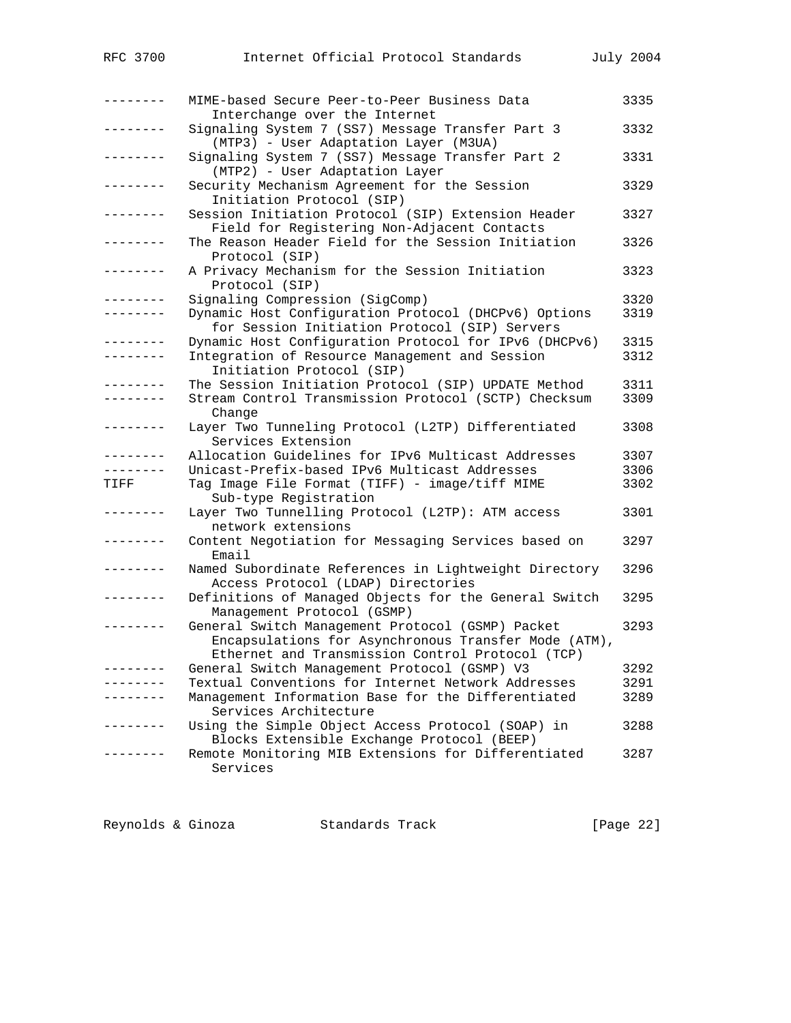| --------        | MIME-based Secure Peer-to-Peer Business Data                                                                                                                 | 3335 |
|-----------------|--------------------------------------------------------------------------------------------------------------------------------------------------------------|------|
| -------         | Interchange over the Internet<br>Signaling System 7 (SS7) Message Transfer Part 3                                                                            | 3332 |
| -------         | (MTP3) - User Adaptation Layer (M3UA)<br>Signaling System 7 (SS7) Message Transfer Part 2                                                                    | 3331 |
| ---------       | (MTP2) - User Adaptation Layer<br>Security Mechanism Agreement for the Session<br>Initiation Protocol (SIP)                                                  | 3329 |
| -------         | Session Initiation Protocol (SIP) Extension Header<br>Field for Registering Non-Adjacent Contacts                                                            | 3327 |
| -------         | The Reason Header Field for the Session Initiation<br>Protocol (SIP)                                                                                         | 3326 |
| --------        | A Privacy Mechanism for the Session Initiation<br>Protocol (SIP)                                                                                             | 3323 |
| -------         | Signaling Compression (SigComp)                                                                                                                              | 3320 |
| --------        | Dynamic Host Configuration Protocol (DHCPv6) Options<br>for Session Initiation Protocol (SIP) Servers                                                        | 3319 |
| -------         | Dynamic Host Configuration Protocol for IPv6 (DHCPv6)                                                                                                        | 3315 |
| --------        | Integration of Resource Management and Session                                                                                                               | 3312 |
|                 | Initiation Protocol (SIP)                                                                                                                                    |      |
| -------         | The Session Initiation Protocol (SIP) UPDATE Method                                                                                                          | 3311 |
| . <u>.</u> .    | Stream Control Transmission Protocol (SCTP) Checksum                                                                                                         | 3309 |
|                 | Change                                                                                                                                                       |      |
| . _ _ _ _ _ _ _ | Layer Two Tunneling Protocol (L2TP) Differentiated<br>Services Extension                                                                                     | 3308 |
| --------        | Allocation Guidelines for IPv6 Multicast Addresses                                                                                                           | 3307 |
| -------         | Unicast-Prefix-based IPv6 Multicast Addresses                                                                                                                | 3306 |
| TIFF            | Tag Image File Format (TIFF) - image/tiff MIME<br>Sub-type Registration                                                                                      | 3302 |
| -------         | Layer Two Tunnelling Protocol (L2TP): ATM access<br>network extensions                                                                                       | 3301 |
| . <u>.</u> .    | Content Negotiation for Messaging Services based on<br>Email                                                                                                 | 3297 |
| -------         | Named Subordinate References in Lightweight Directory<br>Access Protocol (LDAP) Directories                                                                  | 3296 |
|                 | Definitions of Managed Objects for the General Switch<br>Management Protocol (GSMP)                                                                          | 3295 |
|                 | General Switch Management Protocol (GSMP) Packet<br>Encapsulations for Asynchronous Transfer Mode (ATM),<br>Ethernet and Transmission Control Protocol (TCP) | 3293 |
|                 | General Switch Management Protocol (GSMP) V3                                                                                                                 | 3292 |
|                 | Textual Conventions for Internet Network Addresses                                                                                                           | 3291 |
|                 | Management Information Base for the Differentiated<br>Services Architecture                                                                                  | 3289 |
|                 | Using the Simple Object Access Protocol (SOAP) in<br>Blocks Extensible Exchange Protocol (BEEP)                                                              | 3288 |
|                 | Remote Monitoring MIB Extensions for Differentiated<br>Services                                                                                              | 3287 |
|                 |                                                                                                                                                              |      |

Reynolds & Ginoza Standards Track [Page 22]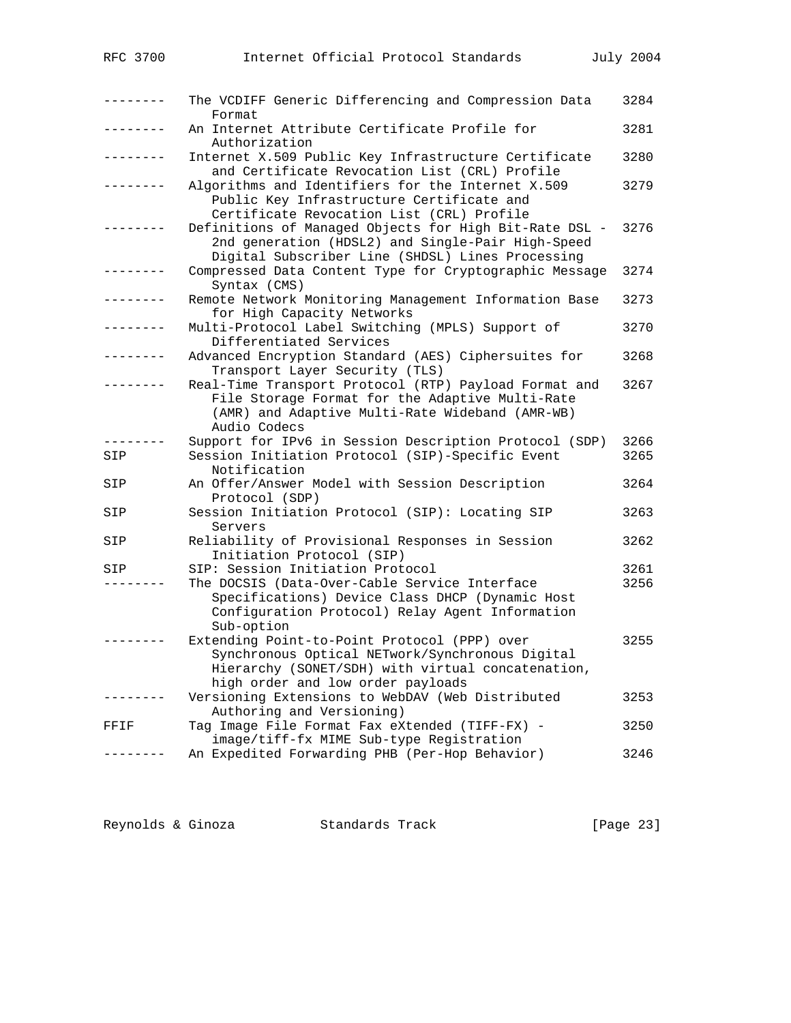| -------   | The VCDIFF Generic Differencing and Compression Data<br>Format                                                                                                                                        | 3284         |
|-----------|-------------------------------------------------------------------------------------------------------------------------------------------------------------------------------------------------------|--------------|
| -------   | An Internet Attribute Certificate Profile for<br>Authorization                                                                                                                                        | 3281         |
| --------- | Internet X.509 Public Key Infrastructure Certificate<br>and Certificate Revocation List (CRL) Profile                                                                                                 | 3280         |
|           | Algorithms and Identifiers for the Internet X.509<br>Public Key Infrastructure Certificate and<br>Certificate Revocation List (CRL) Profile                                                           | 3279         |
|           | Definitions of Managed Objects for High Bit-Rate DSL -<br>2nd generation (HDSL2) and Single-Pair High-Speed<br>Digital Subscriber Line (SHDSL) Lines Processing                                       | 3276         |
| -------   | Compressed Data Content Type for Cryptographic Message<br>Syntax (CMS)                                                                                                                                | 3274         |
| -------   | Remote Network Monitoring Management Information Base<br>for High Capacity Networks                                                                                                                   | 3273         |
| --------- | Multi-Protocol Label Switching (MPLS) Support of<br>Differentiated Services                                                                                                                           | 3270         |
|           | Advanced Encryption Standard (AES) Ciphersuites for<br>Transport Layer Security (TLS)                                                                                                                 | 3268         |
|           | Real-Time Transport Protocol (RTP) Payload Format and<br>File Storage Format for the Adaptive Multi-Rate<br>(AMR) and Adaptive Multi-Rate Wideband (AMR-WB)<br>Audio Codecs                           | 3267         |
|           | Support for IPv6 in Session Description Protocol (SDP)                                                                                                                                                | 3266         |
| SIP       | Session Initiation Protocol (SIP)-Specific Event<br>Notification                                                                                                                                      | 3265         |
| SIP       | An Offer/Answer Model with Session Description<br>Protocol (SDP)                                                                                                                                      | 3264         |
| SIP       | Session Initiation Protocol (SIP): Locating SIP<br>Servers                                                                                                                                            | 3263         |
| SIP       | Reliability of Provisional Responses in Session<br>Initiation Protocol (SIP)                                                                                                                          | 3262         |
| SIP       | SIP: Session Initiation Protocol<br>The DOCSIS (Data-Over-Cable Service Interface<br>Specifications) Device Class DHCP (Dynamic Host<br>Configuration Protocol) Relay Agent Information<br>Sub-option | 3261<br>3256 |
|           | Extending Point-to-Point Protocol (PPP) over<br>Synchronous Optical NETwork/Synchronous Digital<br>Hierarchy (SONET/SDH) with virtual concatenation,<br>high order and low order payloads             | 3255         |
|           | Versioning Extensions to WebDAV (Web Distributed<br>Authoring and Versioning)                                                                                                                         | 3253         |
| FFIF      | Tag Image File Format Fax eXtended (TIFF-FX) -<br>image/tiff-fx MIME Sub-type Registration                                                                                                            | 3250         |
|           | An Expedited Forwarding PHB (Per-Hop Behavior)                                                                                                                                                        | 3246         |

| Reynolds & Ginoza | Standards Track | [Page 23] |
|-------------------|-----------------|-----------|
|-------------------|-----------------|-----------|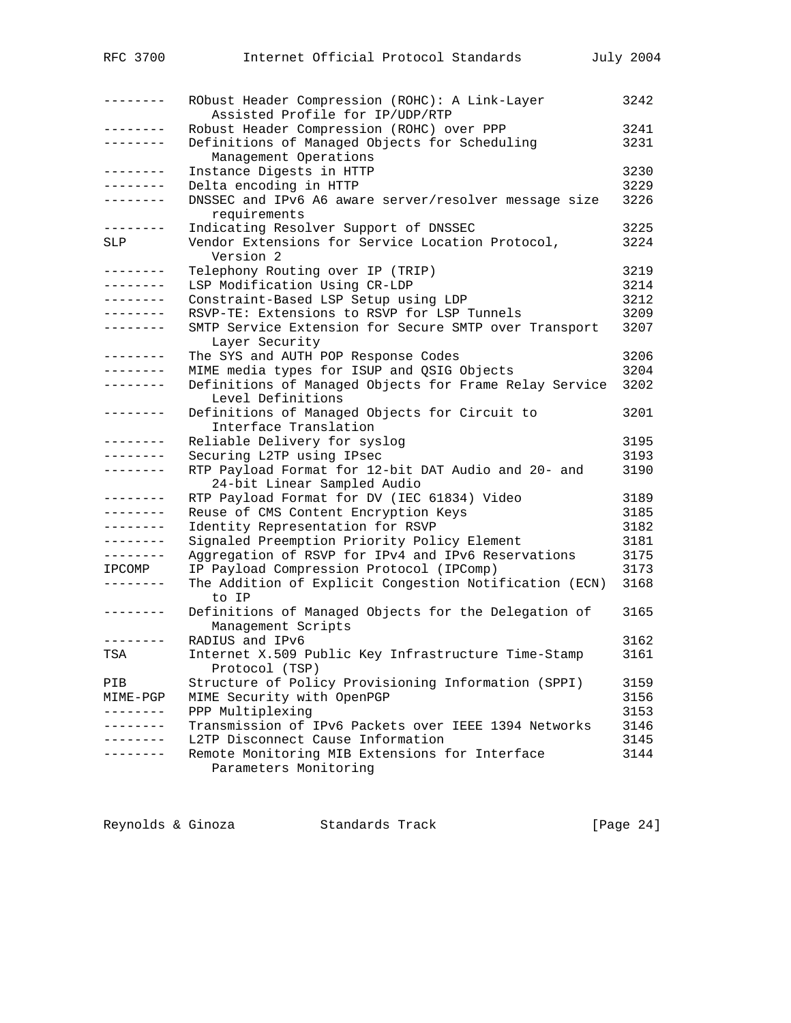| RFC 3700            | Internet Official Protocol Standards                                               | July 2004 |
|---------------------|------------------------------------------------------------------------------------|-----------|
| --------            | RObust Header Compression (ROHC): A Link-Layer<br>Assisted Profile for IP/UDP/RTP  | 3242      |
| . _ _ _ _ _ _ _     | Robust Header Compression (ROHC) over PPP                                          | 3241      |
| --------            | Definitions of Managed Objects for Scheduling<br>Management Operations             | 3231      |
| . <u>.</u> .        | Instance Digests in HTTP                                                           | 3230      |
|                     | Delta encoding in HTTP                                                             | 3229      |
| - - - - - - - -     | DNSSEC and IPv6 A6 aware server/resolver message size<br>requirements              | 3226      |
| --------            | Indicating Resolver Support of DNSSEC                                              | 3225      |
| SLP                 | Vendor Extensions for Service Location Protocol,<br>Version 2                      | 3224      |
| . <u>.</u> .        | Telephony Routing over IP (TRIP)                                                   | 3219      |
| --------            | LSP Modification Using CR-LDP                                                      | 3214      |
| .                   | Constraint-Based LSP Setup using LDP                                               | 3212      |
| $- - - - - - - - -$ | RSVP-TE: Extensions to RSVP for LSP Tunnels                                        | 3209      |
| --------            | SMTP Service Extension for Secure SMTP over Transport<br>Layer Security            | 3207      |
| - - - - - - - - -   | The SYS and AUTH POP Response Codes                                                | 3206      |
| --------            | MIME media types for ISUP and QSIG Objects                                         | 3204      |
| ________            | Definitions of Managed Objects for Frame Relay Service<br>Level Definitions        | 3202      |
| --------            | Definitions of Managed Objects for Circuit to<br>Interface Translation             | 3201      |
| - - - - - - - -     | Reliable Delivery for syslog                                                       | 3195      |
|                     | Securing L2TP using IPsec                                                          | 3193      |
| . <u>.</u> .        | RTP Payload Format for 12-bit DAT Audio and 20- and<br>24-bit Linear Sampled Audio | 3190      |
| --------            | RTP Payload Format for DV (IEC 61834) Video                                        | 3189      |
| --------            | Reuse of CMS Content Encryption Keys                                               | 3185      |
| .                   | Identity Representation for RSVP                                                   | 3182      |
| --------            | Signaled Preemption Priority Policy Element                                        | 3181      |
| --------            | Aggregation of RSVP for IPv4 and IPv6 Reservations                                 | 3175      |
| <b>IPCOMP</b>       | IP Payload Compression Protocol (IPComp)                                           | 3173      |
| ---------           | The Addition of Explicit Congestion Notification (ECN)<br>to IP                    | 3168      |
| --------            | Definitions of Managed Objects for the Delegation of<br>Management Scripts         | 3165      |
| $- - - - -$         | RADIUS and IPv6                                                                    | 3162      |
| TSA                 | Internet X.509 Public Key Infrastructure Time-Stamp<br>Protocol (TSP)              | 3161      |
| PIB                 | Structure of Policy Provisioning Information (SPPI)                                | 3159      |
| MIME-PGP            | MIME Security with OpenPGP                                                         | 3156      |
| --------            | PPP Multiplexing                                                                   | 3153      |
|                     | Transmission of IPv6 Packets over IEEE 1394 Networks                               | 3146      |
|                     | L2TP Disconnect Cause Information                                                  | 3145      |
| - - - - - - -       | Remote Monitoring MIB Extensions for Interface<br>Parameters Monitoring            | 3144      |
|                     |                                                                                    |           |

Reynolds & Ginoza Standards Track [Page 24]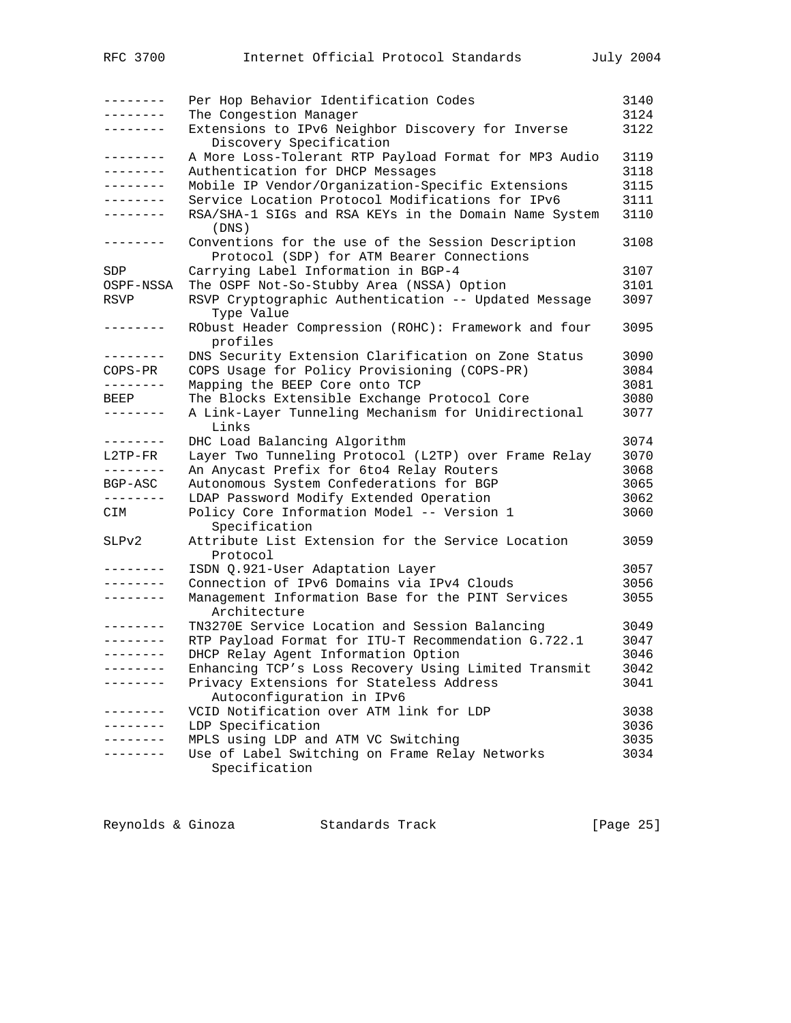| .         | Per Hop Behavior Identification Codes                                          | 3140 |
|-----------|--------------------------------------------------------------------------------|------|
| -------   | The Congestion Manager                                                         | 3124 |
|           | Extensions to IPv6 Neighbor Discovery for Inverse<br>Discovery Specification   | 3122 |
| --------- | A More Loss-Tolerant RTP Payload Format for MP3 Audio                          | 3119 |
| --------  | Authentication for DHCP Messages                                               | 3118 |
| --------  | Mobile IP Vendor/Organization-Specific Extensions                              | 3115 |
| --------  | Service Location Protocol Modifications for IPv6                               | 3111 |
| --------  | RSA/SHA-1 SIGs and RSA KEYs in the Domain Name System<br>(DNS)                 | 3110 |
| --------  | Conventions for the use of the Session Description                             | 3108 |
|           | Protocol (SDP) for ATM Bearer Connections                                      |      |
| SDP       | Carrying Label Information in BGP-4                                            | 3107 |
| OSPF-NSSA | The OSPF Not-So-Stubby Area (NSSA) Option                                      | 3101 |
| RSVP      | RSVP Cryptographic Authentication -- Updated Message<br>Type Value             | 3097 |
| --------  | RObust Header Compression (ROHC): Framework and four<br>profiles               | 3095 |
| --------  | DNS Security Extension Clarification on Zone Status                            | 3090 |
| COPS-PR   | COPS Usage for Policy Provisioning (COPS-PR)                                   | 3084 |
| --------  | Mapping the BEEP Core onto TCP                                                 | 3081 |
| BEEP      | The Blocks Extensible Exchange Protocol Core                                   | 3080 |
| --------  | A Link-Layer Tunneling Mechanism for Unidirectional<br>Links                   | 3077 |
| --------  | DHC Load Balancing Algorithm                                                   | 3074 |
| L2TP-FR   | Layer Two Tunneling Protocol (L2TP) over Frame Relay                           | 3070 |
| --------  | An Anycast Prefix for 6to4 Relay Routers                                       | 3068 |
| BGP-ASC   | Autonomous System Confederations for BGP                                       | 3065 |
| --------  | LDAP Password Modify Extended Operation                                        | 3062 |
| CIM       | Policy Core Information Model -- Version 1                                     | 3060 |
| SLPv2     | Specification<br>Attribute List Extension for the Service Location<br>Protocol | 3059 |
| .         | ISDN Q.921-User Adaptation Layer                                               | 3057 |
| .         | Connection of IPv6 Domains via IPv4 Clouds                                     | 3056 |
| --------  | Management Information Base for the PINT Services<br>Architecture              | 3055 |
| --------  | TN3270E Service Location and Session Balancing                                 | 3049 |
| --------  | RTP Payload Format for ITU-T Recommendation G.722.1                            | 3047 |
| --------  | DHCP Relay Agent Information Option                                            | 3046 |
| --------  | Enhancing TCP's Loss Recovery Using Limited Transmit                           | 3042 |
| -------   | Privacy Extensions for Stateless Address                                       | 3041 |
|           | Autoconfiguration in IPv6                                                      |      |
| -------   | VCID Notification over ATM link for LDP                                        | 3038 |
|           | LDP Specification                                                              | 3036 |
|           | MPLS using LDP and ATM VC Switching                                            | 3035 |
|           | Use of Label Switching on Frame Relay Networks                                 | 3034 |
|           | Specification                                                                  |      |

Reynolds & Ginoza Standards Track [Page 25]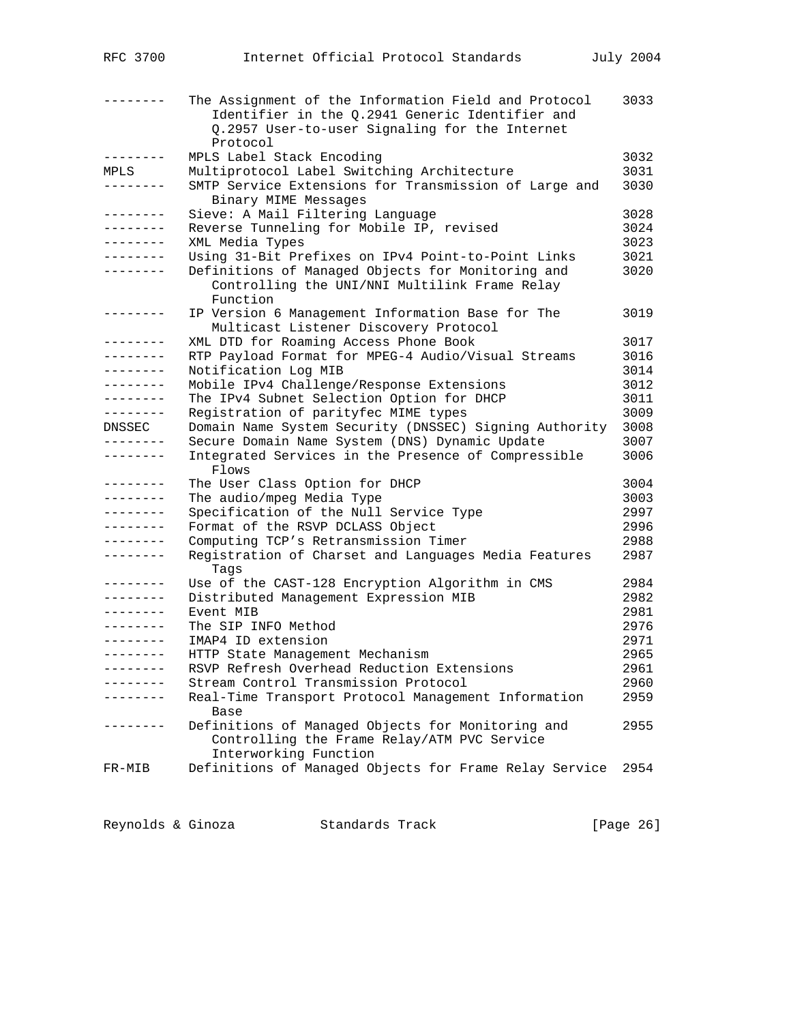|                   | The Assignment of the Information Field and Protocol<br>Identifier in the Q.2941 Generic Identifier and<br>Q.2957 User-to-user Signaling for the Internet<br>Protocol | 3033 |
|-------------------|-----------------------------------------------------------------------------------------------------------------------------------------------------------------------|------|
| - - - - - - - -   | MPLS Label Stack Encoding                                                                                                                                             | 3032 |
| MPLS              | Multiprotocol Label Switching Architecture                                                                                                                            | 3031 |
| -------           | SMTP Service Extensions for Transmission of Large and<br>Binary MIME Messages                                                                                         | 3030 |
| - - - - - - - -   | Sieve: A Mail Filtering Language                                                                                                                                      | 3028 |
| --------          | Reverse Tunneling for Mobile IP, revised                                                                                                                              | 3024 |
| .                 | XML Media Types                                                                                                                                                       | 3023 |
| --------          | Using 31-Bit Prefixes on IPv4 Point-to-Point Links                                                                                                                    | 3021 |
| --------          | Definitions of Managed Objects for Monitoring and<br>Controlling the UNI/NNI Multilink Frame Relay<br>Function                                                        | 3020 |
| $- - - - - - - -$ | IP Version 6 Management Information Base for The<br>Multicast Listener Discovery Protocol                                                                             | 3019 |
| .                 | XML DTD for Roaming Access Phone Book                                                                                                                                 | 3017 |
| $- - - - - - - -$ | RTP Payload Format for MPEG-4 Audio/Visual Streams                                                                                                                    | 3016 |
| --------          | Notification Log MIB                                                                                                                                                  | 3014 |
| --------          | Mobile IPv4 Challenge/Response Extensions                                                                                                                             | 3012 |
| --------          | The IPv4 Subnet Selection Option for DHCP                                                                                                                             | 3011 |
| --------          | Registration of parityfec MIME types                                                                                                                                  | 3009 |
| DNSSEC            | Domain Name System Security (DNSSEC) Signing Authority                                                                                                                | 3008 |
| . <u>.</u> .      | Secure Domain Name System (DNS) Dynamic Update                                                                                                                        | 3007 |
| . <u>.</u>        | Integrated Services in the Presence of Compressible<br>Flows                                                                                                          | 3006 |
| . <u>.</u> .      | The User Class Option for DHCP                                                                                                                                        | 3004 |
|                   | The audio/mpeg Media Type                                                                                                                                             | 3003 |
| . _ _ _ _ _ _ _   | Specification of the Null Service Type                                                                                                                                | 2997 |
| --------          | Format of the RSVP DCLASS Object                                                                                                                                      | 2996 |
| .                 | Computing TCP's Retransmission Timer                                                                                                                                  | 2988 |
| . <u>.</u>        | Registration of Charset and Languages Media Features<br>Tags                                                                                                          | 2987 |
| . <u>.</u> .      | Use of the CAST-128 Encryption Algorithm in CMS                                                                                                                       | 2984 |
| --------          | Distributed Management Expression MIB                                                                                                                                 | 2982 |
| --------          | Event MIB                                                                                                                                                             | 2981 |
| . _ _ _ _ _ _ _   | The SIP INFO Method                                                                                                                                                   | 2976 |
| $- - - - - - - -$ | IMAP4 ID extension                                                                                                                                                    | 2971 |
|                   | HTTP State Management Mechanism                                                                                                                                       | 2965 |
|                   | RSVP Refresh Overhead Reduction Extensions                                                                                                                            | 2961 |
|                   | Stream Control Transmission Protocol                                                                                                                                  | 2960 |
| --------          | Real-Time Transport Protocol Management Information<br>Base                                                                                                           | 2959 |
| . <u>.</u> .      | Definitions of Managed Objects for Monitoring and<br>Controlling the Frame Relay/ATM PVC Service<br>Interworking Function                                             | 2955 |
| FR-MIB            | Definitions of Managed Objects for Frame Relay Service                                                                                                                | 2954 |

Reynolds & Ginoza Standards Track [Page 26]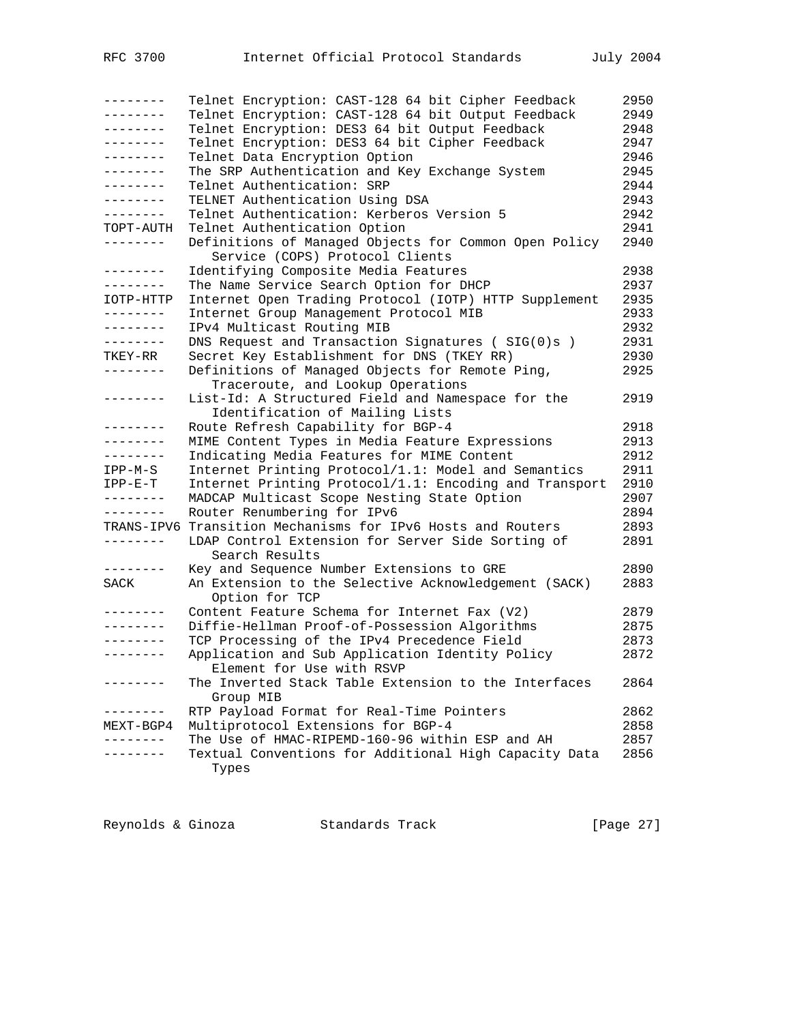| $- - - - - - -$ | Telnet Encryption: CAST-128 64 bit Cipher Feedback                  | 2950 |
|-----------------|---------------------------------------------------------------------|------|
| . <u>.</u>      | Telnet Encryption: CAST-128 64 bit Output Feedback                  | 2949 |
| --------        | Telnet Encryption: DES3 64 bit Output Feedback                      | 2948 |
| --------        | Telnet Encryption: DES3 64 bit Cipher Feedback                      | 2947 |
| --------        | Telnet Data Encryption Option                                       | 2946 |
| ---------       | The SRP Authentication and Key Exchange System                      | 2945 |
| --------        | Telnet Authentication: SRP                                          | 2944 |
| --------        | TELNET Authentication Using DSA                                     | 2943 |
| --------        | Telnet Authentication: Kerberos Version 5                           | 2942 |
| TOPT-AUTH       | Telnet Authentication Option                                        | 2941 |
| ---------       | Definitions of Managed Objects for Common Open Policy               | 2940 |
|                 | Service (COPS) Protocol Clients                                     |      |
| --------        | Identifying Composite Media Features                                | 2938 |
| --------        | The Name Service Search Option for DHCP                             | 2937 |
| IOTP-HTTP       | Internet Open Trading Protocol (IOTP) HTTP Supplement               | 2935 |
| --------        | Internet Group Management Protocol MIB                              | 2933 |
| --------        | IPv4 Multicast Routing MIB                                          | 2932 |
| --------        | DNS Request and Transaction Signatures (SIG(0)s)                    | 2931 |
| TKEY-RR         | Secret Key Establishment for DNS (TKEY RR)                          | 2930 |
| --------        | Definitions of Managed Objects for Remote Ping,                     | 2925 |
|                 | Traceroute, and Lookup Operations                                   |      |
| --------        | List-Id: A Structured Field and Namespace for the                   | 2919 |
|                 | Identification of Mailing Lists                                     |      |
| - - - - - - - - | Route Refresh Capability for BGP-4                                  | 2918 |
| . _ _ _ _ _ _ _ | MIME Content Types in Media Feature Expressions                     | 2913 |
| --------        | Indicating Media Features for MIME Content                          | 2912 |
| $IPP-M-S$       | Internet Printing Protocol/1.1: Model and Semantics                 | 2911 |
| $IPP-E-T$       | Internet Printing Protocol/1.1: Encoding and Transport              | 2910 |
| --------        | MADCAP Multicast Scope Nesting State Option                         | 2907 |
| --------        | Router Renumbering for IPv6                                         | 2894 |
|                 | TRANS-IPV6 Transition Mechanisms for IPv6 Hosts and Routers         | 2893 |
| --------        | LDAP Control Extension for Server Side Sorting of<br>Search Results | 2891 |
| --------        | Key and Sequence Number Extensions to GRE                           | 2890 |
| SACK            | An Extension to the Selective Acknowledgement (SACK)                | 2883 |
|                 | Option for TCP                                                      |      |
|                 | Content Feature Schema for Internet Fax (V2)                        | 2879 |
| --------        | Diffie-Hellman Proof-of-Possession Algorithms                       | 2875 |
| --------        | TCP Processing of the IPv4 Precedence Field                         | 2873 |
| --------        | Application and Sub Application Identity Policy                     | 2872 |
|                 | Element for Use with RSVP                                           |      |
| -------         | The Inverted Stack Table Extension to the Interfaces                | 2864 |
|                 | Group MIB<br>RTP Payload Format for Real-Time Pointers              | 2862 |
| MEXT-BGP4       | Multiprotocol Extensions for BGP-4                                  | 2858 |
|                 | The Use of HMAC-RIPEMD-160-96 within ESP and AH                     | 2857 |
| - - - - - -     | Textual Conventions for Additional High Capacity Data               | 2856 |
|                 | Types                                                               |      |
|                 |                                                                     |      |

Reynolds & Ginoza Standards Track [Page 27]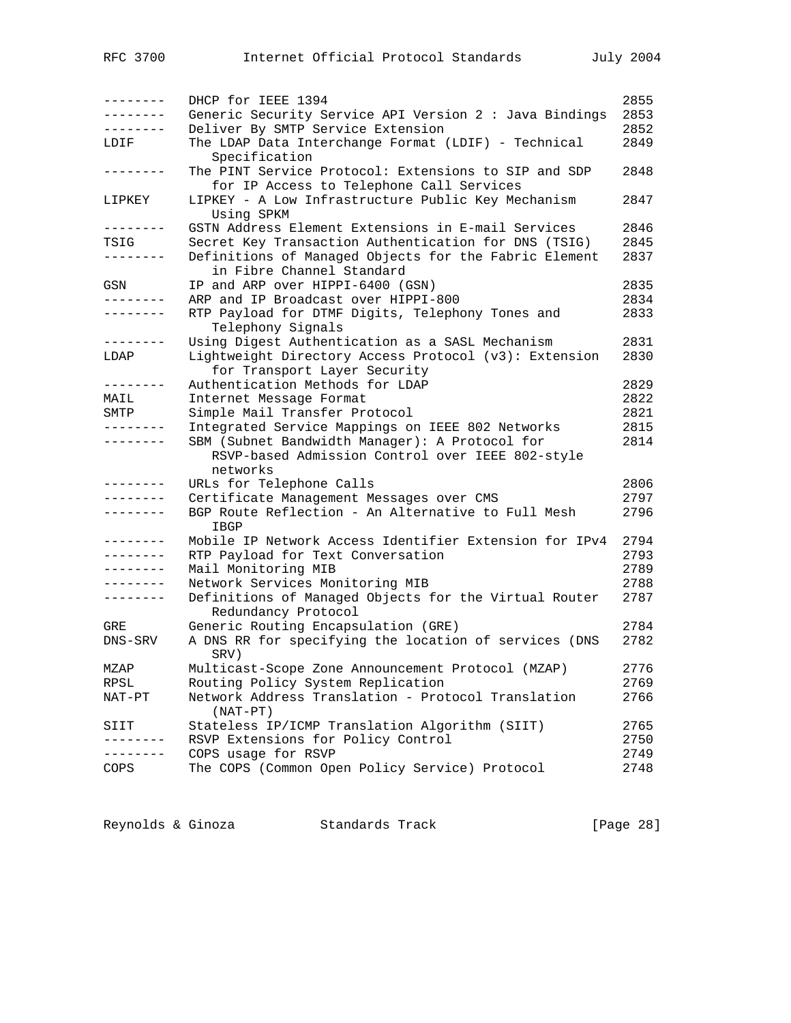| 2853<br>Generic Security Service API Version 2 : Java Bindings<br>-------<br>Deliver By SMTP Service Extension<br>2852<br>The LDAP Data Interchange Format (LDIF) - Technical<br>2849<br>LDIF<br>Specification<br>The PINT Service Protocol: Extensions to SIP and SDP<br>2848<br>-------<br>for IP Access to Telephone Call Services<br>LIPKEY - A Low Infrastructure Public Key Mechanism<br>2847<br>LIPKEY<br>Using SPKM<br>GSTN Address Element Extensions in E-mail Services<br>2846<br>--------<br>Secret Key Transaction Authentication for DNS (TSIG)<br>2845<br>TSIG<br>Definitions of Managed Objects for the Fabric Element<br>2837<br>--------<br>in Fibre Channel Standard<br>IP and ARP over HIPPI-6400 (GSN)<br>2835<br>GSN<br>ARP and IP Broadcast over HIPPI-800<br>2834<br>.<br>RTP Payload for DTMF Digits, Telephony Tones and<br>2833<br>--------<br>Telephony Signals<br>Using Digest Authentication as a SASL Mechanism<br>2831<br>--------<br>2830<br>Lightweight Directory Access Protocol (v3): Extension<br>LDAP<br>for Transport Layer Security<br>Authentication Methods for LDAP<br>2829<br>--------<br>2822<br>Internet Message Format<br>MAIL<br>Simple Mail Transfer Protocol<br>2821<br>SMTP<br>2815<br>Integrated Service Mappings on IEEE 802 Networks<br>. <u>.</u><br>SBM (Subnet Bandwidth Manager): A Protocol for<br>2814<br>RSVP-based Admission Control over IEEE 802-style<br>networks<br>2806<br>URLs for Telephone Calls<br>.<br>2797<br>Certificate Management Messages over CMS<br>$- - - - - - - -$<br>2796<br>BGP Route Reflection - An Alternative to Full Mesh<br>.<br>IBGP<br>Mobile IP Network Access Identifier Extension for IPv4<br>2794<br>$- - - - - - -$<br>RTP Payload for Text Conversation<br>2793<br>--------<br>2789<br>Mail Monitoring MIB<br>--------<br>Network Services Monitoring MIB<br>2788<br>--------<br>Definitions of Managed Objects for the Virtual Router<br>2787<br>--------<br>Redundancy Protocol<br>2784<br>Generic Routing Encapsulation (GRE)<br>GRE<br>A DNS RR for specifying the location of services (DNS<br>2782<br>DNS-SRV<br>SRV)<br>2776<br>Multicast-Scope Zone Announcement Protocol (MZAP)<br>MZAP<br>Routing Policy System Replication<br>2769<br>RPSL<br>Network Address Translation - Protocol Translation<br>2766<br>NAT-PT<br>$(NAT-PT)$<br>2765<br>Stateless IP/ICMP Translation Algorithm (SIIT)<br>SIIT<br>RSVP Extensions for Policy Control<br>2750<br>COPS usage for RSVP<br>2749<br>The COPS (Common Open Policy Service) Protocol<br>2748<br>COPS | $- - - - - - - -$ | DHCP for IEEE 1394 | 2855 |
|----------------------------------------------------------------------------------------------------------------------------------------------------------------------------------------------------------------------------------------------------------------------------------------------------------------------------------------------------------------------------------------------------------------------------------------------------------------------------------------------------------------------------------------------------------------------------------------------------------------------------------------------------------------------------------------------------------------------------------------------------------------------------------------------------------------------------------------------------------------------------------------------------------------------------------------------------------------------------------------------------------------------------------------------------------------------------------------------------------------------------------------------------------------------------------------------------------------------------------------------------------------------------------------------------------------------------------------------------------------------------------------------------------------------------------------------------------------------------------------------------------------------------------------------------------------------------------------------------------------------------------------------------------------------------------------------------------------------------------------------------------------------------------------------------------------------------------------------------------------------------------------------------------------------------------------------------------------------------------------------------------------------------------------------------------------------------------------------------------------------------------------------------------------------------------------------------------------------------------------------------------------------------------------------------------------------------------------------------------------------------------------------------------------------------------------------------------------------------------------------------------------------------------------------------------------|-------------------|--------------------|------|
|                                                                                                                                                                                                                                                                                                                                                                                                                                                                                                                                                                                                                                                                                                                                                                                                                                                                                                                                                                                                                                                                                                                                                                                                                                                                                                                                                                                                                                                                                                                                                                                                                                                                                                                                                                                                                                                                                                                                                                                                                                                                                                                                                                                                                                                                                                                                                                                                                                                                                                                                                                |                   |                    |      |
|                                                                                                                                                                                                                                                                                                                                                                                                                                                                                                                                                                                                                                                                                                                                                                                                                                                                                                                                                                                                                                                                                                                                                                                                                                                                                                                                                                                                                                                                                                                                                                                                                                                                                                                                                                                                                                                                                                                                                                                                                                                                                                                                                                                                                                                                                                                                                                                                                                                                                                                                                                |                   |                    |      |
|                                                                                                                                                                                                                                                                                                                                                                                                                                                                                                                                                                                                                                                                                                                                                                                                                                                                                                                                                                                                                                                                                                                                                                                                                                                                                                                                                                                                                                                                                                                                                                                                                                                                                                                                                                                                                                                                                                                                                                                                                                                                                                                                                                                                                                                                                                                                                                                                                                                                                                                                                                |                   |                    |      |
|                                                                                                                                                                                                                                                                                                                                                                                                                                                                                                                                                                                                                                                                                                                                                                                                                                                                                                                                                                                                                                                                                                                                                                                                                                                                                                                                                                                                                                                                                                                                                                                                                                                                                                                                                                                                                                                                                                                                                                                                                                                                                                                                                                                                                                                                                                                                                                                                                                                                                                                                                                |                   |                    |      |
|                                                                                                                                                                                                                                                                                                                                                                                                                                                                                                                                                                                                                                                                                                                                                                                                                                                                                                                                                                                                                                                                                                                                                                                                                                                                                                                                                                                                                                                                                                                                                                                                                                                                                                                                                                                                                                                                                                                                                                                                                                                                                                                                                                                                                                                                                                                                                                                                                                                                                                                                                                |                   |                    |      |
|                                                                                                                                                                                                                                                                                                                                                                                                                                                                                                                                                                                                                                                                                                                                                                                                                                                                                                                                                                                                                                                                                                                                                                                                                                                                                                                                                                                                                                                                                                                                                                                                                                                                                                                                                                                                                                                                                                                                                                                                                                                                                                                                                                                                                                                                                                                                                                                                                                                                                                                                                                |                   |                    |      |
|                                                                                                                                                                                                                                                                                                                                                                                                                                                                                                                                                                                                                                                                                                                                                                                                                                                                                                                                                                                                                                                                                                                                                                                                                                                                                                                                                                                                                                                                                                                                                                                                                                                                                                                                                                                                                                                                                                                                                                                                                                                                                                                                                                                                                                                                                                                                                                                                                                                                                                                                                                |                   |                    |      |
|                                                                                                                                                                                                                                                                                                                                                                                                                                                                                                                                                                                                                                                                                                                                                                                                                                                                                                                                                                                                                                                                                                                                                                                                                                                                                                                                                                                                                                                                                                                                                                                                                                                                                                                                                                                                                                                                                                                                                                                                                                                                                                                                                                                                                                                                                                                                                                                                                                                                                                                                                                |                   |                    |      |
|                                                                                                                                                                                                                                                                                                                                                                                                                                                                                                                                                                                                                                                                                                                                                                                                                                                                                                                                                                                                                                                                                                                                                                                                                                                                                                                                                                                                                                                                                                                                                                                                                                                                                                                                                                                                                                                                                                                                                                                                                                                                                                                                                                                                                                                                                                                                                                                                                                                                                                                                                                |                   |                    |      |
|                                                                                                                                                                                                                                                                                                                                                                                                                                                                                                                                                                                                                                                                                                                                                                                                                                                                                                                                                                                                                                                                                                                                                                                                                                                                                                                                                                                                                                                                                                                                                                                                                                                                                                                                                                                                                                                                                                                                                                                                                                                                                                                                                                                                                                                                                                                                                                                                                                                                                                                                                                |                   |                    |      |
|                                                                                                                                                                                                                                                                                                                                                                                                                                                                                                                                                                                                                                                                                                                                                                                                                                                                                                                                                                                                                                                                                                                                                                                                                                                                                                                                                                                                                                                                                                                                                                                                                                                                                                                                                                                                                                                                                                                                                                                                                                                                                                                                                                                                                                                                                                                                                                                                                                                                                                                                                                |                   |                    |      |
|                                                                                                                                                                                                                                                                                                                                                                                                                                                                                                                                                                                                                                                                                                                                                                                                                                                                                                                                                                                                                                                                                                                                                                                                                                                                                                                                                                                                                                                                                                                                                                                                                                                                                                                                                                                                                                                                                                                                                                                                                                                                                                                                                                                                                                                                                                                                                                                                                                                                                                                                                                |                   |                    |      |
|                                                                                                                                                                                                                                                                                                                                                                                                                                                                                                                                                                                                                                                                                                                                                                                                                                                                                                                                                                                                                                                                                                                                                                                                                                                                                                                                                                                                                                                                                                                                                                                                                                                                                                                                                                                                                                                                                                                                                                                                                                                                                                                                                                                                                                                                                                                                                                                                                                                                                                                                                                |                   |                    |      |
|                                                                                                                                                                                                                                                                                                                                                                                                                                                                                                                                                                                                                                                                                                                                                                                                                                                                                                                                                                                                                                                                                                                                                                                                                                                                                                                                                                                                                                                                                                                                                                                                                                                                                                                                                                                                                                                                                                                                                                                                                                                                                                                                                                                                                                                                                                                                                                                                                                                                                                                                                                |                   |                    |      |
|                                                                                                                                                                                                                                                                                                                                                                                                                                                                                                                                                                                                                                                                                                                                                                                                                                                                                                                                                                                                                                                                                                                                                                                                                                                                                                                                                                                                                                                                                                                                                                                                                                                                                                                                                                                                                                                                                                                                                                                                                                                                                                                                                                                                                                                                                                                                                                                                                                                                                                                                                                |                   |                    |      |
|                                                                                                                                                                                                                                                                                                                                                                                                                                                                                                                                                                                                                                                                                                                                                                                                                                                                                                                                                                                                                                                                                                                                                                                                                                                                                                                                                                                                                                                                                                                                                                                                                                                                                                                                                                                                                                                                                                                                                                                                                                                                                                                                                                                                                                                                                                                                                                                                                                                                                                                                                                |                   |                    |      |
|                                                                                                                                                                                                                                                                                                                                                                                                                                                                                                                                                                                                                                                                                                                                                                                                                                                                                                                                                                                                                                                                                                                                                                                                                                                                                                                                                                                                                                                                                                                                                                                                                                                                                                                                                                                                                                                                                                                                                                                                                                                                                                                                                                                                                                                                                                                                                                                                                                                                                                                                                                |                   |                    |      |
|                                                                                                                                                                                                                                                                                                                                                                                                                                                                                                                                                                                                                                                                                                                                                                                                                                                                                                                                                                                                                                                                                                                                                                                                                                                                                                                                                                                                                                                                                                                                                                                                                                                                                                                                                                                                                                                                                                                                                                                                                                                                                                                                                                                                                                                                                                                                                                                                                                                                                                                                                                |                   |                    |      |
|                                                                                                                                                                                                                                                                                                                                                                                                                                                                                                                                                                                                                                                                                                                                                                                                                                                                                                                                                                                                                                                                                                                                                                                                                                                                                                                                                                                                                                                                                                                                                                                                                                                                                                                                                                                                                                                                                                                                                                                                                                                                                                                                                                                                                                                                                                                                                                                                                                                                                                                                                                |                   |                    |      |
|                                                                                                                                                                                                                                                                                                                                                                                                                                                                                                                                                                                                                                                                                                                                                                                                                                                                                                                                                                                                                                                                                                                                                                                                                                                                                                                                                                                                                                                                                                                                                                                                                                                                                                                                                                                                                                                                                                                                                                                                                                                                                                                                                                                                                                                                                                                                                                                                                                                                                                                                                                |                   |                    |      |
|                                                                                                                                                                                                                                                                                                                                                                                                                                                                                                                                                                                                                                                                                                                                                                                                                                                                                                                                                                                                                                                                                                                                                                                                                                                                                                                                                                                                                                                                                                                                                                                                                                                                                                                                                                                                                                                                                                                                                                                                                                                                                                                                                                                                                                                                                                                                                                                                                                                                                                                                                                |                   |                    |      |
|                                                                                                                                                                                                                                                                                                                                                                                                                                                                                                                                                                                                                                                                                                                                                                                                                                                                                                                                                                                                                                                                                                                                                                                                                                                                                                                                                                                                                                                                                                                                                                                                                                                                                                                                                                                                                                                                                                                                                                                                                                                                                                                                                                                                                                                                                                                                                                                                                                                                                                                                                                |                   |                    |      |
|                                                                                                                                                                                                                                                                                                                                                                                                                                                                                                                                                                                                                                                                                                                                                                                                                                                                                                                                                                                                                                                                                                                                                                                                                                                                                                                                                                                                                                                                                                                                                                                                                                                                                                                                                                                                                                                                                                                                                                                                                                                                                                                                                                                                                                                                                                                                                                                                                                                                                                                                                                |                   |                    |      |
|                                                                                                                                                                                                                                                                                                                                                                                                                                                                                                                                                                                                                                                                                                                                                                                                                                                                                                                                                                                                                                                                                                                                                                                                                                                                                                                                                                                                                                                                                                                                                                                                                                                                                                                                                                                                                                                                                                                                                                                                                                                                                                                                                                                                                                                                                                                                                                                                                                                                                                                                                                |                   |                    |      |
|                                                                                                                                                                                                                                                                                                                                                                                                                                                                                                                                                                                                                                                                                                                                                                                                                                                                                                                                                                                                                                                                                                                                                                                                                                                                                                                                                                                                                                                                                                                                                                                                                                                                                                                                                                                                                                                                                                                                                                                                                                                                                                                                                                                                                                                                                                                                                                                                                                                                                                                                                                |                   |                    |      |
|                                                                                                                                                                                                                                                                                                                                                                                                                                                                                                                                                                                                                                                                                                                                                                                                                                                                                                                                                                                                                                                                                                                                                                                                                                                                                                                                                                                                                                                                                                                                                                                                                                                                                                                                                                                                                                                                                                                                                                                                                                                                                                                                                                                                                                                                                                                                                                                                                                                                                                                                                                |                   |                    |      |
|                                                                                                                                                                                                                                                                                                                                                                                                                                                                                                                                                                                                                                                                                                                                                                                                                                                                                                                                                                                                                                                                                                                                                                                                                                                                                                                                                                                                                                                                                                                                                                                                                                                                                                                                                                                                                                                                                                                                                                                                                                                                                                                                                                                                                                                                                                                                                                                                                                                                                                                                                                |                   |                    |      |
|                                                                                                                                                                                                                                                                                                                                                                                                                                                                                                                                                                                                                                                                                                                                                                                                                                                                                                                                                                                                                                                                                                                                                                                                                                                                                                                                                                                                                                                                                                                                                                                                                                                                                                                                                                                                                                                                                                                                                                                                                                                                                                                                                                                                                                                                                                                                                                                                                                                                                                                                                                |                   |                    |      |
|                                                                                                                                                                                                                                                                                                                                                                                                                                                                                                                                                                                                                                                                                                                                                                                                                                                                                                                                                                                                                                                                                                                                                                                                                                                                                                                                                                                                                                                                                                                                                                                                                                                                                                                                                                                                                                                                                                                                                                                                                                                                                                                                                                                                                                                                                                                                                                                                                                                                                                                                                                |                   |                    |      |
|                                                                                                                                                                                                                                                                                                                                                                                                                                                                                                                                                                                                                                                                                                                                                                                                                                                                                                                                                                                                                                                                                                                                                                                                                                                                                                                                                                                                                                                                                                                                                                                                                                                                                                                                                                                                                                                                                                                                                                                                                                                                                                                                                                                                                                                                                                                                                                                                                                                                                                                                                                |                   |                    |      |
|                                                                                                                                                                                                                                                                                                                                                                                                                                                                                                                                                                                                                                                                                                                                                                                                                                                                                                                                                                                                                                                                                                                                                                                                                                                                                                                                                                                                                                                                                                                                                                                                                                                                                                                                                                                                                                                                                                                                                                                                                                                                                                                                                                                                                                                                                                                                                                                                                                                                                                                                                                |                   |                    |      |
|                                                                                                                                                                                                                                                                                                                                                                                                                                                                                                                                                                                                                                                                                                                                                                                                                                                                                                                                                                                                                                                                                                                                                                                                                                                                                                                                                                                                                                                                                                                                                                                                                                                                                                                                                                                                                                                                                                                                                                                                                                                                                                                                                                                                                                                                                                                                                                                                                                                                                                                                                                |                   |                    |      |
|                                                                                                                                                                                                                                                                                                                                                                                                                                                                                                                                                                                                                                                                                                                                                                                                                                                                                                                                                                                                                                                                                                                                                                                                                                                                                                                                                                                                                                                                                                                                                                                                                                                                                                                                                                                                                                                                                                                                                                                                                                                                                                                                                                                                                                                                                                                                                                                                                                                                                                                                                                |                   |                    |      |
|                                                                                                                                                                                                                                                                                                                                                                                                                                                                                                                                                                                                                                                                                                                                                                                                                                                                                                                                                                                                                                                                                                                                                                                                                                                                                                                                                                                                                                                                                                                                                                                                                                                                                                                                                                                                                                                                                                                                                                                                                                                                                                                                                                                                                                                                                                                                                                                                                                                                                                                                                                |                   |                    |      |
|                                                                                                                                                                                                                                                                                                                                                                                                                                                                                                                                                                                                                                                                                                                                                                                                                                                                                                                                                                                                                                                                                                                                                                                                                                                                                                                                                                                                                                                                                                                                                                                                                                                                                                                                                                                                                                                                                                                                                                                                                                                                                                                                                                                                                                                                                                                                                                                                                                                                                                                                                                |                   |                    |      |
|                                                                                                                                                                                                                                                                                                                                                                                                                                                                                                                                                                                                                                                                                                                                                                                                                                                                                                                                                                                                                                                                                                                                                                                                                                                                                                                                                                                                                                                                                                                                                                                                                                                                                                                                                                                                                                                                                                                                                                                                                                                                                                                                                                                                                                                                                                                                                                                                                                                                                                                                                                |                   |                    |      |
|                                                                                                                                                                                                                                                                                                                                                                                                                                                                                                                                                                                                                                                                                                                                                                                                                                                                                                                                                                                                                                                                                                                                                                                                                                                                                                                                                                                                                                                                                                                                                                                                                                                                                                                                                                                                                                                                                                                                                                                                                                                                                                                                                                                                                                                                                                                                                                                                                                                                                                                                                                |                   |                    |      |
|                                                                                                                                                                                                                                                                                                                                                                                                                                                                                                                                                                                                                                                                                                                                                                                                                                                                                                                                                                                                                                                                                                                                                                                                                                                                                                                                                                                                                                                                                                                                                                                                                                                                                                                                                                                                                                                                                                                                                                                                                                                                                                                                                                                                                                                                                                                                                                                                                                                                                                                                                                |                   |                    |      |
|                                                                                                                                                                                                                                                                                                                                                                                                                                                                                                                                                                                                                                                                                                                                                                                                                                                                                                                                                                                                                                                                                                                                                                                                                                                                                                                                                                                                                                                                                                                                                                                                                                                                                                                                                                                                                                                                                                                                                                                                                                                                                                                                                                                                                                                                                                                                                                                                                                                                                                                                                                |                   |                    |      |
|                                                                                                                                                                                                                                                                                                                                                                                                                                                                                                                                                                                                                                                                                                                                                                                                                                                                                                                                                                                                                                                                                                                                                                                                                                                                                                                                                                                                                                                                                                                                                                                                                                                                                                                                                                                                                                                                                                                                                                                                                                                                                                                                                                                                                                                                                                                                                                                                                                                                                                                                                                |                   |                    |      |
|                                                                                                                                                                                                                                                                                                                                                                                                                                                                                                                                                                                                                                                                                                                                                                                                                                                                                                                                                                                                                                                                                                                                                                                                                                                                                                                                                                                                                                                                                                                                                                                                                                                                                                                                                                                                                                                                                                                                                                                                                                                                                                                                                                                                                                                                                                                                                                                                                                                                                                                                                                |                   |                    |      |
|                                                                                                                                                                                                                                                                                                                                                                                                                                                                                                                                                                                                                                                                                                                                                                                                                                                                                                                                                                                                                                                                                                                                                                                                                                                                                                                                                                                                                                                                                                                                                                                                                                                                                                                                                                                                                                                                                                                                                                                                                                                                                                                                                                                                                                                                                                                                                                                                                                                                                                                                                                |                   |                    |      |
|                                                                                                                                                                                                                                                                                                                                                                                                                                                                                                                                                                                                                                                                                                                                                                                                                                                                                                                                                                                                                                                                                                                                                                                                                                                                                                                                                                                                                                                                                                                                                                                                                                                                                                                                                                                                                                                                                                                                                                                                                                                                                                                                                                                                                                                                                                                                                                                                                                                                                                                                                                |                   |                    |      |
|                                                                                                                                                                                                                                                                                                                                                                                                                                                                                                                                                                                                                                                                                                                                                                                                                                                                                                                                                                                                                                                                                                                                                                                                                                                                                                                                                                                                                                                                                                                                                                                                                                                                                                                                                                                                                                                                                                                                                                                                                                                                                                                                                                                                                                                                                                                                                                                                                                                                                                                                                                |                   |                    |      |
|                                                                                                                                                                                                                                                                                                                                                                                                                                                                                                                                                                                                                                                                                                                                                                                                                                                                                                                                                                                                                                                                                                                                                                                                                                                                                                                                                                                                                                                                                                                                                                                                                                                                                                                                                                                                                                                                                                                                                                                                                                                                                                                                                                                                                                                                                                                                                                                                                                                                                                                                                                |                   |                    |      |
|                                                                                                                                                                                                                                                                                                                                                                                                                                                                                                                                                                                                                                                                                                                                                                                                                                                                                                                                                                                                                                                                                                                                                                                                                                                                                                                                                                                                                                                                                                                                                                                                                                                                                                                                                                                                                                                                                                                                                                                                                                                                                                                                                                                                                                                                                                                                                                                                                                                                                                                                                                |                   |                    |      |
|                                                                                                                                                                                                                                                                                                                                                                                                                                                                                                                                                                                                                                                                                                                                                                                                                                                                                                                                                                                                                                                                                                                                                                                                                                                                                                                                                                                                                                                                                                                                                                                                                                                                                                                                                                                                                                                                                                                                                                                                                                                                                                                                                                                                                                                                                                                                                                                                                                                                                                                                                                |                   |                    |      |
|                                                                                                                                                                                                                                                                                                                                                                                                                                                                                                                                                                                                                                                                                                                                                                                                                                                                                                                                                                                                                                                                                                                                                                                                                                                                                                                                                                                                                                                                                                                                                                                                                                                                                                                                                                                                                                                                                                                                                                                                                                                                                                                                                                                                                                                                                                                                                                                                                                                                                                                                                                |                   |                    |      |

Reynolds & Ginoza Standards Track [Page 28]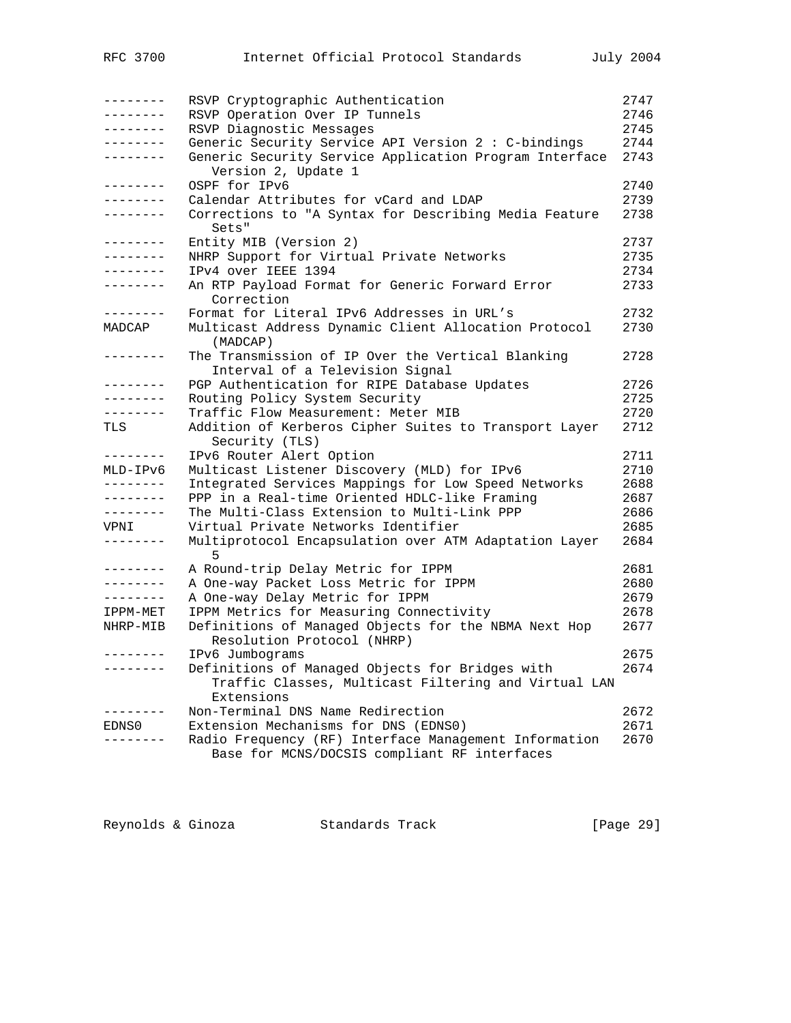| --------          | RSVP Cryptographic Authentication                      | 2747 |
|-------------------|--------------------------------------------------------|------|
| --------          | RSVP Operation Over IP Tunnels                         | 2746 |
| --------          | RSVP Diagnostic Messages                               | 2745 |
| --------          | Generic Security Service API Version 2 : C-bindings    | 2744 |
| --------          | Generic Security Service Application Program Interface | 2743 |
|                   | Version 2, Update 1                                    |      |
| --------          | OSPF for IPv6                                          | 2740 |
| - - - - - - - -   | Calendar Attributes for yCard and LDAP                 | 2739 |
| $- - - - - - - -$ | Corrections to "A Syntax for Describing Media Feature  | 2738 |
|                   | Sets"                                                  |      |
| .                 | Entity MIB (Version 2)                                 | 2737 |
| .                 | NHRP Support for Virtual Private Networks              | 2735 |
| . <u>.</u>        | IPv4 over IEEE 1394                                    | 2734 |
| - - - - - - - -   | An RTP Payload Format for Generic Forward Error        | 2733 |
|                   | Correction                                             |      |
| $- - - - - - - -$ | Format for Literal IPv6 Addresses in URL's             | 2732 |
| MADCAP            | Multicast Address Dynamic Client Allocation Protocol   | 2730 |
|                   | (MADCAP)                                               |      |
| $- - - - - - -$   | The Transmission of IP Over the Vertical Blanking      | 2728 |
|                   | Interval of a Television Signal                        |      |
| . <u>.</u> .      | PGP Authentication for RIPE Database Updates           | 2726 |
| . <u>.</u> .      | Routing Policy System Security                         | 2725 |
| --------          | Traffic Flow Measurement: Meter MIB                    | 2720 |
| TLS               | Addition of Kerberos Cipher Suites to Transport Layer  | 2712 |
|                   | Security (TLS)                                         |      |
| --------          | IPv6 Router Alert Option                               | 2711 |
| MLD-IPv6          | Multicast Listener Discovery (MLD) for IPv6            | 2710 |
| --------          | Integrated Services Mappings for Low Speed Networks    | 2688 |
| --------          | PPP in a Real-time Oriented HDLC-like Framing          | 2687 |
| --------          | The Multi-Class Extension to Multi-Link PPP            | 2686 |
| VPNI              | Virtual Private Networks Identifier                    | 2685 |
| --------          | Multiprotocol Encapsulation over ATM Adaptation Layer  | 2684 |
|                   | 5                                                      |      |
|                   | A Round-trip Delay Metric for IPPM                     | 2681 |
| -------           | A One-way Packet Loss Metric for IPPM                  | 2680 |
| $- - - - - - -$   | A One-way Delay Metric for IPPM                        | 2679 |
| IPPM-MET          | IPPM Metrics for Measuring Connectivity                | 2678 |
| NHRP-MIB          | Definitions of Managed Objects for the NBMA Next Hop   | 2677 |
|                   | Resolution Protocol (NHRP)                             |      |
| --------          | IPv6 Jumbograms                                        | 2675 |
|                   | Definitions of Managed Objects for Bridges with        | 2674 |
|                   | Traffic Classes, Multicast Filtering and Virtual LAN   |      |
|                   | Extensions                                             |      |
| - - - - -         | Non-Terminal DNS Name Redirection                      | 2672 |
| EDNS0             | Extension Mechanisms for DNS (EDNS0)                   | 2671 |
|                   | Radio Frequency (RF) Interface Management Information  | 2670 |
|                   | Base for MCNS/DOCSIS compliant RF interfaces           |      |

| Reynolds & Ginoza | Standards Track | [Page 29] |
|-------------------|-----------------|-----------|
|                   |                 |           |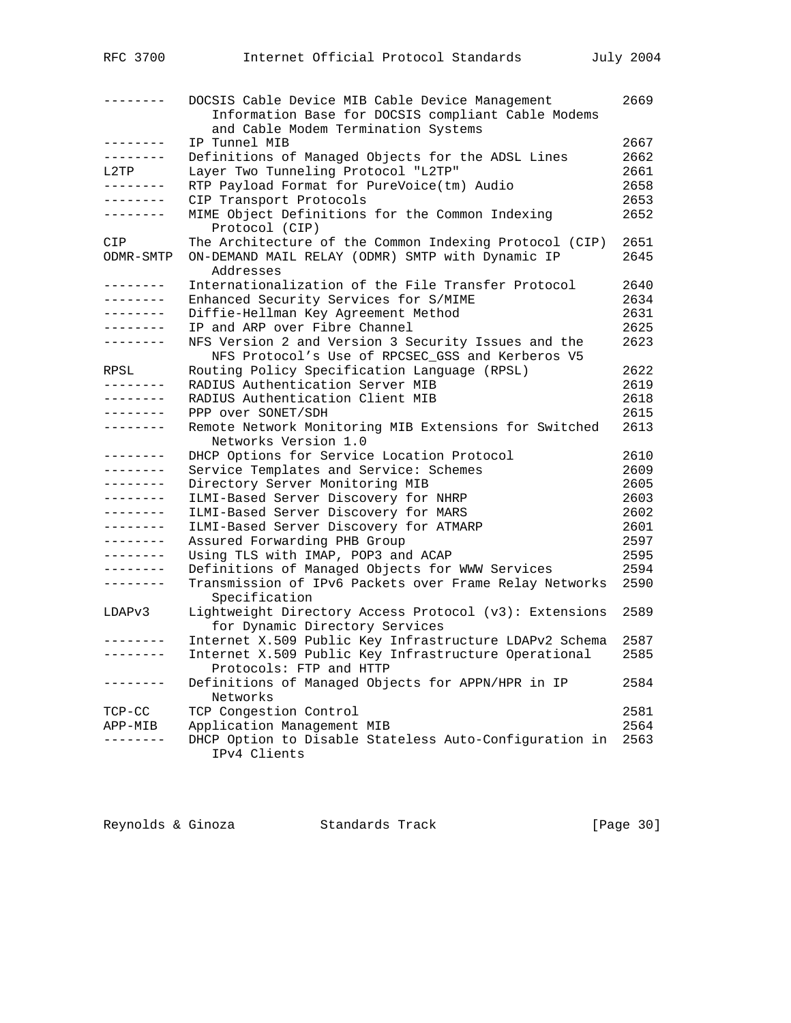| RFC 3700          | Internet Official Protocol Standards                                                                    | July 2004    |
|-------------------|---------------------------------------------------------------------------------------------------------|--------------|
|                   | DOCSIS Cable Device MIB Cable Device Management<br>Information Base for DOCSIS compliant Cable Modems   | 2669         |
|                   | and Cable Modem Termination Systems                                                                     |              |
| --------          | IP Tunnel MIB                                                                                           | 2667         |
| --------          | Definitions of Managed Objects for the ADSL Lines                                                       | 2662         |
| L2TP<br>--------  | Layer Two Tunneling Protocol "L2TP"                                                                     | 2661         |
| --------          | RTP Payload Format for PureVoice(tm) Audio                                                              | 2658<br>2653 |
| --------          | CIP Transport Protocols                                                                                 | 2652         |
|                   | MIME Object Definitions for the Common Indexing<br>Protocol (CIP)                                       |              |
| CIP               | The Architecture of the Common Indexing Protocol (CIP)                                                  | 2651         |
| ODMR-SMTP         | ON-DEMAND MAIL RELAY (ODMR) SMTP with Dynamic IP<br>Addresses                                           | 2645         |
| --------          | Internationalization of the File Transfer Protocol                                                      | 2640         |
| --------          | Enhanced Security Services for S/MIME                                                                   | 2634         |
| --------          | Diffie-Hellman Key Agreement Method                                                                     | 2631         |
| --------          | IP and ARP over Fibre Channel                                                                           | 2625         |
| --------          | NFS Version 2 and Version 3 Security Issues and the<br>NFS Protocol's Use of RPCSEC_GSS and Kerberos V5 | 2623         |
| RPSL              | Routing Policy Specification Language (RPSL)                                                            | 2622         |
| --------          | RADIUS Authentication Server MIB                                                                        | 2619         |
| --------          | RADIUS Authentication Client MIB                                                                        | 2618         |
| --------          | PPP over SONET/SDH                                                                                      | 2615         |
| --------          | Remote Network Monitoring MIB Extensions for Switched<br>Networks Version 1.0                           | 2613         |
| --------          | DHCP Options for Service Location Protocol                                                              | 2610         |
| --------          | Service Templates and Service: Schemes                                                                  | 2609         |
| --------          | Directory Server Monitoring MIB                                                                         | 2605         |
| --------          | ILMI-Based Server Discovery for NHRP                                                                    | 2603         |
| ---------         | ILMI-Based Server Discovery for MARS                                                                    | 2602         |
| --------          | ILMI-Based Server Discovery for ATMARP                                                                  | 2601         |
| --------          | Assured Forwarding PHB Group                                                                            | 2597         |
| --------          | Using TLS with IMAP, POP3 and ACAP                                                                      | 2595         |
| $- - - - - - - -$ | Definitions of Managed Objects for WWW Services                                                         | 2594         |
| --------          | Transmission of IPv6 Packets over Frame Relay Networks<br>Specification                                 | 2590         |
| LDAPv3            | Lightweight Directory Access Protocol (v3): Extensions<br>for Dynamic Directory Services                | 2589         |
| .                 | Internet X.509 Public Key Infrastructure LDAPv2 Schema                                                  | 2587         |
|                   | Internet X.509 Public Key Infrastructure Operational<br>Protocols: FTP and HTTP                         | 2585         |
| --------          | Definitions of Managed Objects for APPN/HPR in IP<br>Networks                                           | 2584         |
| TCP-CC            | TCP Congestion Control                                                                                  | 2581         |
| APP-MIB           | Application Management MIB                                                                              | 2564         |
|                   | DHCP Option to Disable Stateless Auto-Configuration in<br>IPv4 Clients                                  | 2563         |
|                   |                                                                                                         |              |

| Reynolds & Ginoza |  | Standards Track |  | [Page 30] |  |
|-------------------|--|-----------------|--|-----------|--|
|-------------------|--|-----------------|--|-----------|--|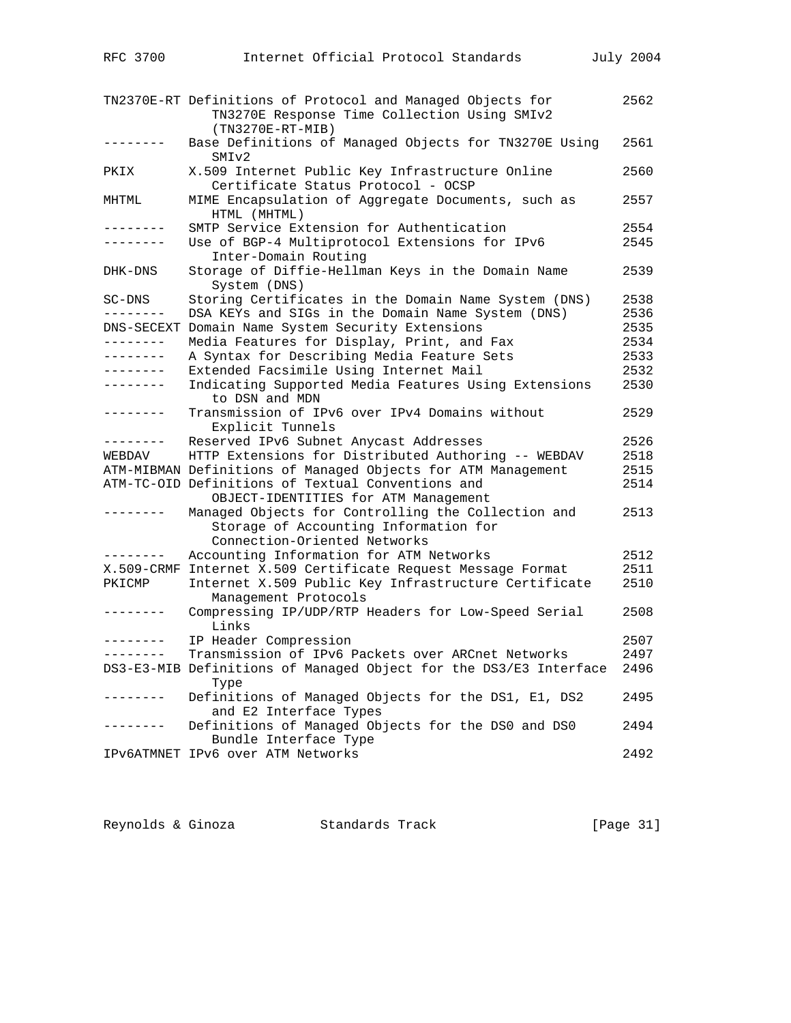|                      | TN2370E-RT Definitions of Protocol and Managed Objects for<br>TN3270E Response Time Collection Using SMIv2                  | 2562         |
|----------------------|-----------------------------------------------------------------------------------------------------------------------------|--------------|
|                      | $(TN3270E-RT-MIB)$<br>Base Definitions of Managed Objects for TN3270E Using<br>SMI <sub>v2</sub>                            | 2561         |
| PKIX                 | X.509 Internet Public Key Infrastructure Online<br>Certificate Status Protocol - OCSP                                       | 2560         |
| MHTML                | MIME Encapsulation of Aggregate Documents, such as<br>HTML (MHTML)                                                          | 2557         |
| --------<br>-------- | SMTP Service Extension for Authentication<br>Use of BGP-4 Multiprotocol Extensions for IPv6<br>Inter-Domain Routing         | 2554<br>2545 |
| DHK-DNS              | Storage of Diffie-Hellman Keys in the Domain Name<br>System (DNS)                                                           | 2539         |
| SC-DNS               | Storing Certificates in the Domain Name System (DNS)                                                                        | 2538         |
|                      | DSA KEYs and SIGs in the Domain Name System (DNS)                                                                           | 2536         |
|                      | DNS-SECEXT Domain Name System Security Extensions                                                                           | 2535         |
| --------             | Media Features for Display, Print, and Fax                                                                                  | 2534         |
| --------             | A Syntax for Describing Media Feature Sets                                                                                  | 2533         |
| . <u>.</u>           | Extended Facsimile Using Internet Mail                                                                                      | 2532         |
| . <u>.</u> .         | Indicating Supported Media Features Using Extensions<br>to DSN and MDN                                                      | 2530         |
| . _ _ _ _ _ _ _      | Transmission of IPv6 over IPv4 Domains without<br>Explicit Tunnels                                                          | 2529         |
| --------             | Reserved IPv6 Subnet Anycast Addresses                                                                                      | 2526         |
| WEBDAV               | HTTP Extensions for Distributed Authoring -- WEBDAV                                                                         | 2518         |
|                      | ATM-MIBMAN Definitions of Managed Objects for ATM Management                                                                | 2515         |
|                      | ATM-TC-OID Definitions of Textual Conventions and<br>OBJECT-IDENTITIES for ATM Management                                   | 2514         |
| $- - - - - - - -$    | Managed Objects for Controlling the Collection and<br>Storage of Accounting Information for<br>Connection-Oriented Networks | 2513         |
| $- - - - - - -$      | Accounting Information for ATM Networks                                                                                     | 2512         |
|                      | X.509-CRMF Internet X.509 Certificate Request Message Format                                                                | 2511         |
| PKICMP               | Internet X.509 Public Key Infrastructure Certificate<br>Management Protocols                                                | 2510         |
| . – – – – – – –      | Compressing IP/UDP/RTP Headers for Low-Speed Serial<br>Links                                                                | 2508         |
| --------             | IP Header Compression                                                                                                       | 2507         |
| --------             | Transmission of IPv6 Packets over ARCnet Networks                                                                           | 2497         |
|                      | DS3-E3-MIB Definitions of Managed Object for the DS3/E3 Interface<br>Type                                                   | 2496         |
|                      | Definitions of Managed Objects for the DS1, E1, DS2<br>and E2 Interface Types                                               | 2495         |
|                      | Definitions of Managed Objects for the DS0 and DS0<br>Bundle Interface Type                                                 | 2494         |
|                      | IPV6ATMNET IPV6 over ATM Networks                                                                                           | 2492         |

| Reynolds & Ginoza | Standards Track | [Page 31] |  |
|-------------------|-----------------|-----------|--|
|                   |                 |           |  |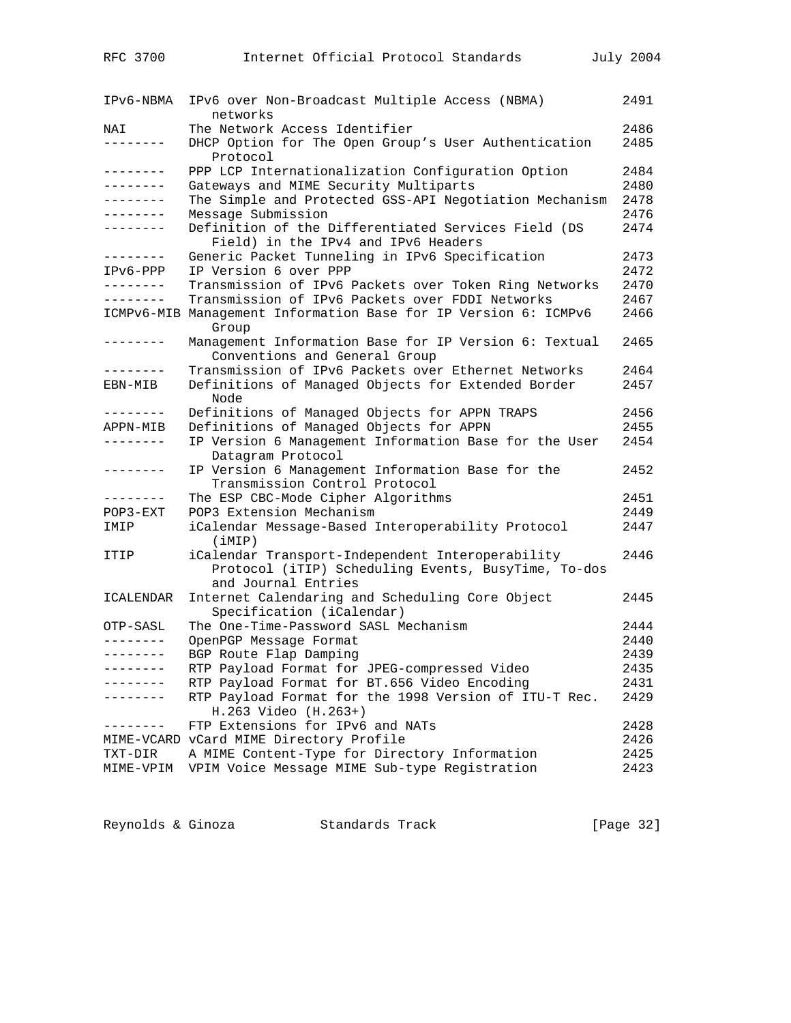| IPv6-NBMA    | IPv6 over Non-Broadcast Multiple Access (NBMA)<br>networks                                                                     | 2491 |
|--------------|--------------------------------------------------------------------------------------------------------------------------------|------|
| NAI          | The Network Access Identifier                                                                                                  | 2486 |
| --------     | DHCP Option for The Open Group's User Authentication<br>Protocol                                                               | 2485 |
| --------     | PPP LCP Internationalization Configuration Option                                                                              | 2484 |
| --------     | Gateways and MIME Security Multiparts                                                                                          | 2480 |
| --------     | The Simple and Protected GSS-API Negotiation Mechanism                                                                         | 2478 |
| . <u>.</u> . | Message Submission                                                                                                             | 2476 |
| --------     | Definition of the Differentiated Services Field (DS<br>Field) in the IPv4 and IPv6 Headers                                     | 2474 |
| --------     | Generic Packet Tunneling in IPv6 Specification                                                                                 | 2473 |
| $IPv6-PPP$   | IP Version 6 over PPP                                                                                                          | 2472 |
| ---------    | Transmission of IPv6 Packets over Token Ring Networks                                                                          | 2470 |
| --------     | Transmission of IPv6 Packets over FDDI Networks                                                                                | 2467 |
|              | ICMPv6-MIB Management Information Base for IP Version 6: ICMPv6<br>Group                                                       | 2466 |
| --------     | Management Information Base for IP Version 6: Textual<br>Conventions and General Group                                         | 2465 |
| --------     | Transmission of IPv6 Packets over Ethernet Networks                                                                            | 2464 |
| EBN-MIB      | Definitions of Managed Objects for Extended Border<br>Node                                                                     | 2457 |
| --------     | Definitions of Managed Objects for APPN TRAPS                                                                                  | 2456 |
| APPN-MIB     | Definitions of Managed Objects for APPN                                                                                        | 2455 |
| --------     | IP Version 6 Management Information Base for the User<br>Datagram Protocol                                                     | 2454 |
| --------     | IP Version 6 Management Information Base for the<br>Transmission Control Protocol                                              | 2452 |
| --------     | The ESP CBC-Mode Cipher Algorithms                                                                                             | 2451 |
| $POP3 - EXT$ | POP3 Extension Mechanism                                                                                                       | 2449 |
| IMIP         | iCalendar Message-Based Interoperability Protocol<br>(iMIP)                                                                    | 2447 |
| ITIP         | iCalendar Transport-Independent Interoperability<br>Protocol (iTIP) Scheduling Events, BusyTime, To-dos<br>and Journal Entries | 2446 |
| ICALENDAR    | Internet Calendaring and Scheduling Core Object<br>Specification (iCalendar)                                                   | 2445 |
| OTP-SASL     | The One-Time-Password SASL Mechanism                                                                                           | 2444 |
| --------     | OpenPGP Message Format                                                                                                         | 2440 |
| --------     | BGP Route Flap Damping                                                                                                         | 2439 |
| -------      | RTP Payload Format for JPEG-compressed Video                                                                                   | 2435 |
|              | RTP Payload Format for BT.656 Video Encoding                                                                                   | 2431 |
|              | RTP Payload Format for the 1998 Version of ITU-T Rec.<br>H.263 Video (H.263+)                                                  | 2429 |
| $- - - - -$  | FTP Extensions for IPv6 and NATs                                                                                               | 2428 |
|              | MIME-VCARD vCard MIME Directory Profile                                                                                        | 2426 |
| TXT-DIR      | A MIME Content-Type for Directory Information                                                                                  | 2425 |
| MIME-VPIM    | VPIM Voice Message MIME Sub-type Registration                                                                                  | 2423 |
|              |                                                                                                                                |      |

| Reynolds & Ginoza |  | Standards Track | [Page 32] |  |
|-------------------|--|-----------------|-----------|--|
|-------------------|--|-----------------|-----------|--|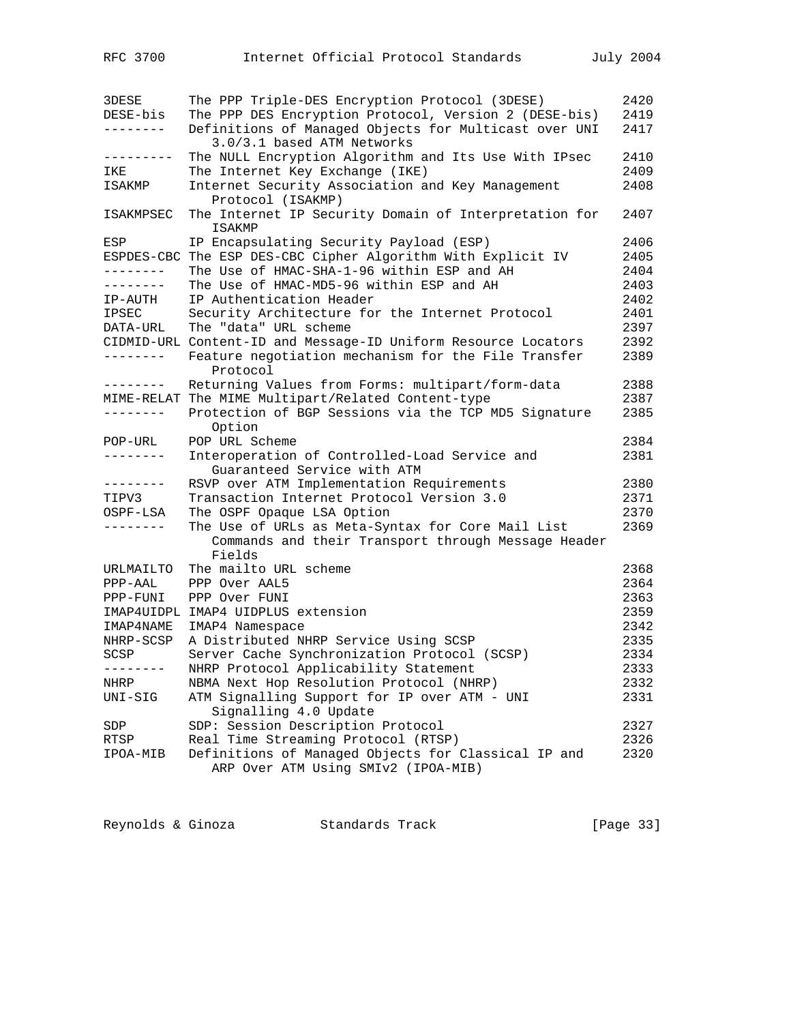| 3DESE           | The PPP Triple-DES Encryption Protocol (3DESE)                         | 2420 |
|-----------------|------------------------------------------------------------------------|------|
| DESE-bis        | The PPP DES Encryption Protocol, Version 2 (DESE-bis)                  | 2419 |
| --------        | Definitions of Managed Objects for Multicast over UNI                  | 2417 |
|                 | 3.0/3.1 based ATM Networks                                             |      |
| ---------       | The NULL Encryption Algorithm and Its Use With IPsec                   | 2410 |
| IKE             | The Internet Key Exchange (IKE)                                        | 2409 |
| ISAKMP          | Internet Security Association and Key Management                       | 2408 |
|                 | Protocol (ISAKMP)                                                      |      |
| ISAKMPSEC       | The Internet IP Security Domain of Interpretation for<br><b>ISAKMP</b> | 2407 |
| ESP             | IP Encapsulating Security Payload (ESP)                                | 2406 |
|                 | ESPDES-CBC The ESP DES-CBC Cipher Algorithm With Explicit IV           | 2405 |
| --------        | The Use of HMAC-SHA-1-96 within ESP and AH                             | 2404 |
| . - - - - - - - | The Use of HMAC-MD5-96 within ESP and AH                               | 2403 |
| IP-AUTH         | IP Authentication Header                                               | 2402 |
| <b>IPSEC</b>    | Security Architecture for the Internet Protocol                        | 2401 |
| DATA-URL        | The "data" URL scheme                                                  | 2397 |
|                 | CIDMID-URL Content-ID and Message-ID Uniform Resource Locators         | 2392 |
| ---------       | Feature negotiation mechanism for the File Transfer                    | 2389 |
|                 | Protocol                                                               |      |
| --------        | Returning Values from Forms: multipart/form-data                       | 2388 |
| MIME-RELAT      | The MIME Multipart/Related Content-type                                | 2387 |
| --------        | Protection of BGP Sessions via the TCP MD5 Signature<br>Option         | 2385 |
| $POP-URL$       | POP URL Scheme                                                         | 2384 |
|                 | Interoperation of Controlled-Load Service and                          | 2381 |
|                 | Guaranteed Service with ATM                                            |      |
| --------        | RSVP over ATM Implementation Requirements                              | 2380 |
| TIPV3           | Transaction Internet Protocol Version 3.0                              | 2371 |
| OSPF-LSA        | The OSPF Opaque LSA Option                                             | 2370 |
| --------        | The Use of URLs as Meta-Syntax for Core Mail List                      | 2369 |
|                 | Commands and their Transport through Message Header<br>Fields          |      |
| URLMAILTO       | The mailto URL scheme                                                  | 2368 |
| $PPP-AAL$       | PPP Over AAL5                                                          | 2364 |
| PPP-FUNI        | PPP Over FUNI                                                          | 2363 |
|                 | IMAP4UIDPL IMAP4 UIDPLUS extension                                     | 2359 |
| IMAP4NAME       | IMAP4 Namespace                                                        | 2342 |
| NHRP-SCSP       | A Distributed NHRP Service Using SCSP                                  | 2335 |
| SCSP            | Server Cache Synchronization Protocol (SCSP)                           | 2334 |
|                 |                                                                        | 2333 |
|                 | NHRP Protocol Applicability Statement                                  |      |
| NHRP            | NBMA Next Hop Resolution Protocol (NHRP)                               | 2332 |
| UNI-SIG         | ATM Signalling Support for IP over ATM - UNI                           | 2331 |
|                 | Signalling 4.0 Update                                                  |      |
| SDP             | SDP: Session Description Protocol                                      | 2327 |
| RTSP            | Real Time Streaming Protocol (RTSP)                                    | 2326 |
| IPOA-MIB        | Definitions of Managed Objects for Classical IP and                    | 2320 |
|                 | ARP Over ATM Using SMIv2 (IPOA-MIB)                                    |      |

Reynolds & Ginoza Standards Track [Page 33]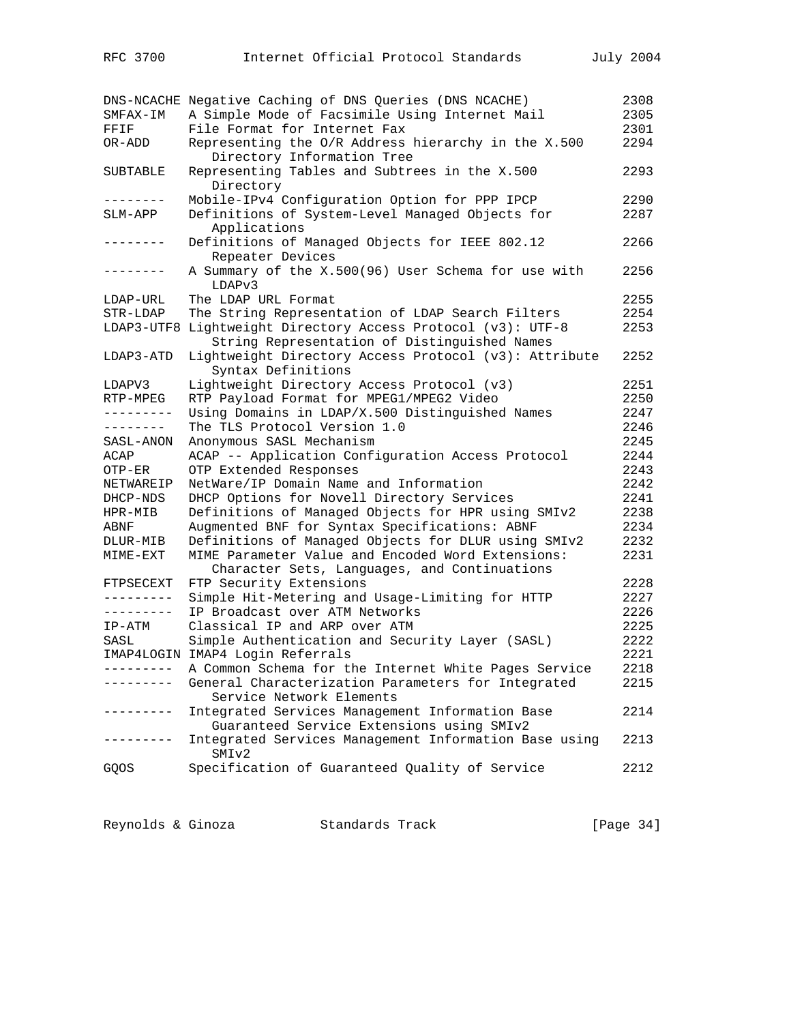|            | DNS-NCACHE Negative Caching of DNS Queries (DNS NCACHE)                                      | 2308 |
|------------|----------------------------------------------------------------------------------------------|------|
| SMFAX-IM   | A Simple Mode of Facsimile Using Internet Mail                                               | 2305 |
| FFIF       | File Format for Internet Fax                                                                 | 2301 |
| OR-ADD     | Representing the O/R Address hierarchy in the X.500<br>Directory Information Tree            | 2294 |
| SUBTABLE   | Representing Tables and Subtrees in the X.500                                                | 2293 |
|            | Directory                                                                                    |      |
| --------   | Mobile-IPv4 Configuration Option for PPP IPCP                                                | 2290 |
| SLM-APP    | Definitions of System-Level Managed Objects for                                              | 2287 |
|            | Applications                                                                                 |      |
| --------   | Definitions of Managed Objects for IEEE 802.12                                               | 2266 |
|            | Repeater Devices                                                                             |      |
| --------   | A Summary of the X.500(96) User Schema for use with<br>LDAPv3                                | 2256 |
| LDAP-URL   | The LDAP URL Format                                                                          | 2255 |
| STR-LDAP   | The String Representation of LDAP Search Filters                                             | 2254 |
| LDAP3-UTF8 | Lightweight Directory Access Protocol (v3): UTF-8                                            | 2253 |
|            | String Representation of Distinguished Names                                                 |      |
| LDAP3-ATD  | Lightweight Directory Access Protocol (v3): Attribute<br>Syntax Definitions                  | 2252 |
| LDAPV3     | Lightweight Directory Access Protocol (v3)                                                   | 2251 |
| RTP-MPEG   | RTP Payload Format for MPEG1/MPEG2 Video                                                     | 2250 |
| ---------  | Using Domains in LDAP/X.500 Distinguished Names                                              | 2247 |
| --------   | The TLS Protocol Version 1.0                                                                 | 2246 |
| SASL-ANON  | Anonymous SASL Mechanism                                                                     | 2245 |
| ACAP       | ACAP -- Application Configuration Access Protocol                                            | 2244 |
| OTP-ER     | OTP Extended Responses                                                                       | 2243 |
| NETWAREIP  | NetWare/IP Domain Name and Information                                                       | 2242 |
| DHCP-NDS   | DHCP Options for Novell Directory Services                                                   | 2241 |
| HPR-MIB    | Definitions of Managed Objects for HPR using SMIv2                                           | 2238 |
| ABNF       | Augmented BNF for Syntax Specifications: ABNF                                                | 2234 |
| DLUR-MIB   | Definitions of Managed Objects for DLUR using SMIv2                                          | 2232 |
| MIME-EXT   | MIME Parameter Value and Encoded Word Extensions:                                            | 2231 |
|            | Character Sets, Languages, and Continuations                                                 |      |
| FTPSECEXT  | FTP Security Extensions                                                                      | 2228 |
| ---------  | Simple Hit-Metering and Usage-Limiting for HTTP                                              | 2227 |
| ---------  | IP Broadcast over ATM Networks                                                               | 2226 |
| IP-ATM     | Classical IP and ARP over ATM                                                                | 2225 |
| SASL       | Simple Authentication and Security Layer (SASL)                                              | 2222 |
|            | IMAP4LOGIN IMAP4 Login Referrals                                                             | 2221 |
| ---------- | A Common Schema for the Internet White Pages Service                                         | 2218 |
| -------    | General Characterization Parameters for Integrated<br>Service Network Elements               | 2215 |
|            | Integrated Services Management Information Base<br>Guaranteed Service Extensions using SMIv2 | 2214 |
|            | Integrated Services Management Information Base using<br>SMIv2                               | 2213 |
| GQOS       | Specification of Guaranteed Quality of Service                                               | 2212 |

Reynolds & Ginoza Standards Track [Page 34]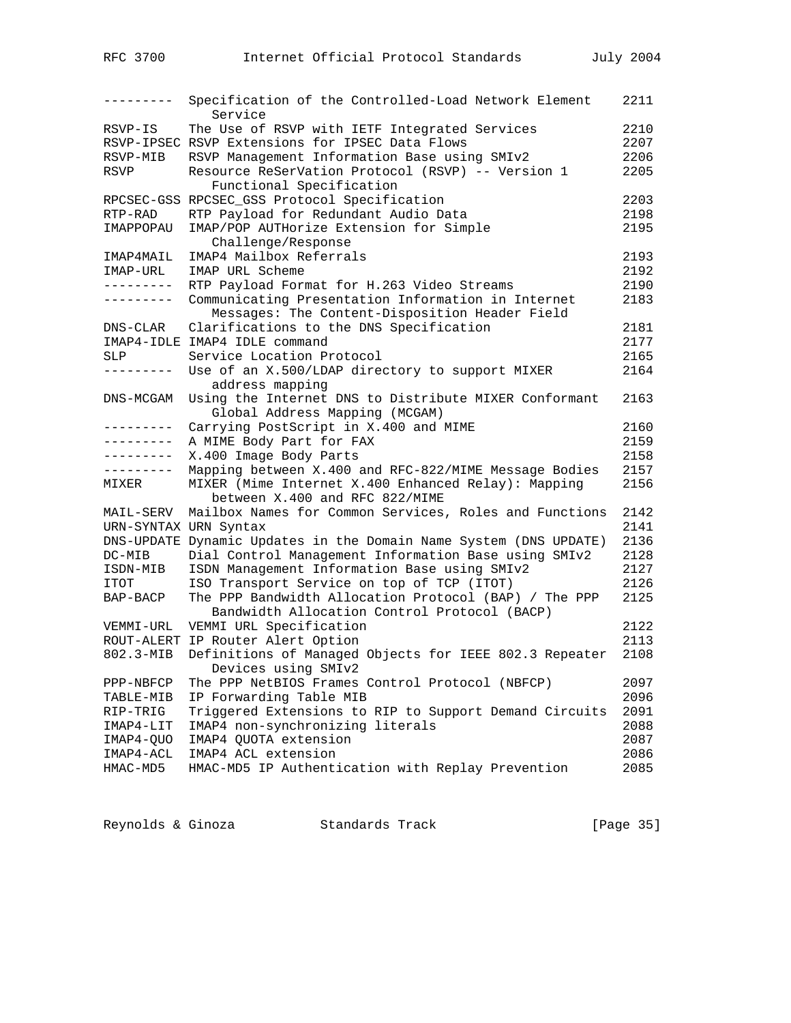| --------- | Specification of the Controlled-Load Network Element<br>Service                       | 2211 |
|-----------|---------------------------------------------------------------------------------------|------|
| RSVP-IS   | The Use of RSVP with IETF Integrated Services                                         | 2210 |
|           | RSVP-IPSEC RSVP Extensions for IPSEC Data Flows                                       | 2207 |
| RSVP-MIB  | RSVP Management Information Base using SMIv2                                          | 2206 |
| RSVP      | Resource ReSerVation Protocol (RSVP) -- Version 1                                     | 2205 |
|           | Functional Specification                                                              |      |
|           | RPCSEC-GSS RPCSEC_GSS Protocol Specification                                          | 2203 |
| RTP-RAD   | RTP Payload for Redundant Audio Data                                                  | 2198 |
| IMAPPOPAU | IMAP/POP AUTHorize Extension for Simple                                               | 2195 |
|           | Challenge/Response                                                                    |      |
| IMAP4MAIL | IMAP4 Mailbox Referrals                                                               | 2193 |
| IMAP-URL  | IMAP URL Scheme                                                                       | 2192 |
| --------- | RTP Payload Format for H.263 Video Streams                                            | 2190 |
| --------- | Communicating Presentation Information in Internet                                    | 2183 |
|           | Messages: The Content-Disposition Header Field                                        |      |
| DNS-CLAR  | Clarifications to the DNS Specification                                               | 2181 |
|           | IMAP4-IDLE IMAP4 IDLE command                                                         | 2177 |
| SLP       | Service Location Protocol                                                             | 2165 |
| --------- | Use of an X.500/LDAP directory to support MIXER                                       | 2164 |
|           | address mapping                                                                       |      |
| DNS-MCGAM | Using the Internet DNS to Distribute MIXER Conformant                                 | 2163 |
|           | Global Address Mapping (MCGAM)                                                        |      |
|           | Carrying PostScript in X.400 and MIME                                                 | 2160 |
|           | A MIME Body Part for FAX                                                              | 2159 |
|           | X.400 Image Body Parts                                                                | 2158 |
| --------- | Mapping between X.400 and RFC-822/MIME Message Bodies                                 | 2157 |
| MIXER     | MIXER (Mime Internet X.400 Enhanced Relay): Mapping<br>between X.400 and RFC 822/MIME | 2156 |
| MAIL-SERV | Mailbox Names for Common Services, Roles and Functions                                | 2142 |
|           | URN-SYNTAX URN Syntax                                                                 | 2141 |
|           | DNS-UPDATE Dynamic Updates in the Domain Name System (DNS UPDATE)                     | 2136 |
| DC-MIB    | Dial Control Management Information Base using SMIv2                                  | 2128 |
| ISDN-MIB  | ISDN Management Information Base using SMIv2                                          | 2127 |
| ITOT      | ISO Transport Service on top of TCP (ITOT)                                            | 2126 |
| BAP-BACP  | The PPP Bandwidth Allocation Protocol (BAP) / The PPP                                 | 2125 |
|           | Bandwidth Allocation Control Protocol (BACP)                                          |      |
| VEMMI-URL | VEMMI URL Specification                                                               | 2122 |
|           | ROUT-ALERT IP Router Alert Option                                                     | 2113 |
| 802.3-MIB | Definitions of Managed Objects for IEEE 802.3 Repeater                                | 2108 |
|           | Devices using SMIv2                                                                   |      |
| PPP-NBFCP | The PPP NetBIOS Frames Control Protocol (NBFCP)                                       | 2097 |
| TABLE-MIB | IP Forwarding Table MIB                                                               | 2096 |
| RIP-TRIG  | Triggered Extensions to RIP to Support Demand Circuits                                | 2091 |
| IMAP4-LIT | IMAP4 non-synchronizing literals                                                      | 2088 |
| IMAP4-QUO | IMAP4 QUOTA extension                                                                 | 2087 |
| IMAP4-ACL | IMAP4 ACL extension                                                                   | 2086 |
| HMAC-MD5  | HMAC-MD5 IP Authentication with Replay Prevention                                     | 2085 |
|           |                                                                                       |      |

Reynolds & Ginoza Standards Track [Page 35]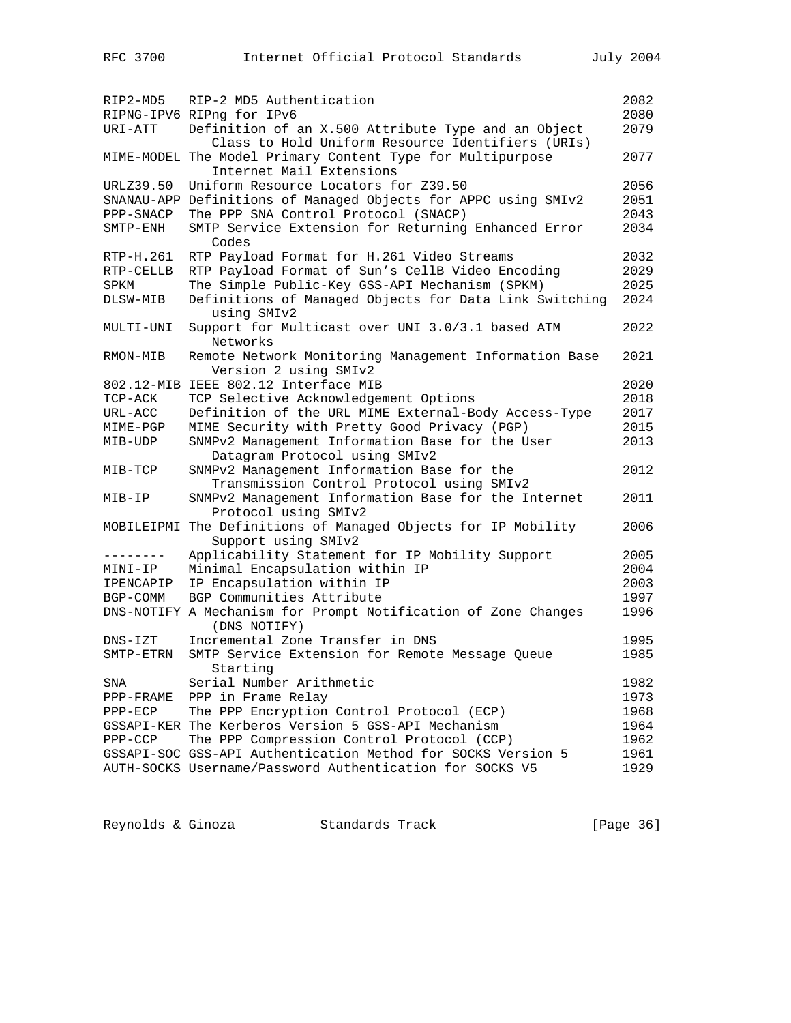| RIP2-MD5    | RIP-2 MD5 Authentication<br>RIPNG-IPV6 RIPng for IPv6                                                                                       | 2082<br>2080 |
|-------------|---------------------------------------------------------------------------------------------------------------------------------------------|--------------|
| URI-ATT     | Definition of an X.500 Attribute Type and an Object                                                                                         | 2079         |
|             | Class to Hold Uniform Resource Identifiers (URIs)<br>MIME-MODEL The Model Primary Content Type for Multipurpose<br>Internet Mail Extensions | 2077         |
| URLZ39.50   | Uniform Resource Locators for Z39.50                                                                                                        | 2056         |
|             | SNANAU-APP Definitions of Managed Objects for APPC using SMIv2                                                                              | 2051         |
| PPP-SNACP   | The PPP SNA Control Protocol (SNACP)                                                                                                        | 2043         |
| SMTP-ENH    | SMTP Service Extension for Returning Enhanced Error<br>Codes                                                                                | 2034         |
| RTP-H.261   | RTP Payload Format for H.261 Video Streams                                                                                                  | 2032         |
| RTP-CELLB   | RTP Payload Format of Sun's CellB Video Encoding                                                                                            | 2029         |
| SPKM        | The Simple Public-Key GSS-API Mechanism (SPKM)                                                                                              | 2025         |
| DLSW-MIB    | Definitions of Managed Objects for Data Link Switching<br>using SMIv2                                                                       | 2024         |
| MULTI-UNI   | Support for Multicast over UNI 3.0/3.1 based ATM<br>Networks                                                                                | 2022         |
| RMON-MIB    | Remote Network Monitoring Management Information Base<br>Version 2 using SMIv2                                                              | 2021         |
|             | 802.12-MIB IEEE 802.12 Interface MIB                                                                                                        | 2020         |
| TCP-ACK     | TCP Selective Acknowledgement Options                                                                                                       | 2018         |
| URL-ACC     | Definition of the URL MIME External-Body Access-Type                                                                                        | 2017         |
| MIME-PGP    | MIME Security with Pretty Good Privacy (PGP)                                                                                                | 2015         |
| MIB-UDP     | SNMPv2 Management Information Base for the User<br>Datagram Protocol using SMIv2                                                            | 2013         |
| $MIB-TCP$   | SNMPv2 Management Information Base for the<br>Transmission Control Protocol using SMIv2                                                     | 2012         |
| MIB-IP      | SNMPv2 Management Information Base for the Internet<br>Protocol using SMIv2                                                                 | 2011         |
|             | MOBILEIPMI The Definitions of Managed Objects for IP Mobility<br>Support using SMIv2                                                        | 2006         |
| --------    | Applicability Statement for IP Mobility Support                                                                                             | 2005         |
| MINI-IP     | Minimal Encapsulation within IP                                                                                                             | 2004         |
| IPENCAPIP   | IP Encapsulation within IP                                                                                                                  | 2003         |
| BGP-COMM    | BGP Communities Attribute                                                                                                                   | 1997         |
|             | DNS-NOTIFY A Mechanism for Prompt Notification of Zone Changes<br>(DNS NOTIFY)                                                              | 1996         |
| $DNS - IZT$ | Incremental Zone Transfer in DNS                                                                                                            | 1995         |
| SMTP-ETRN   | SMTP Service Extension for Remote Message Queue<br>Starting                                                                                 | 1985         |
| SNA         | Serial Number Arithmetic                                                                                                                    | 1982         |
| PPP-FRAME   | PPP in Frame Relay                                                                                                                          | 1973         |
| $PPP-ECP$   | The PPP Encryption Control Protocol (ECP)                                                                                                   | 1968         |
|             | GSSAPI-KER The Kerberos Version 5 GSS-API Mechanism                                                                                         | 1964         |
| $PPP-CCP$   | The PPP Compression Control Protocol (CCP)                                                                                                  | 1962         |
|             | GSSAPI-SOC GSS-API Authentication Method for SOCKS Version 5                                                                                | 1961         |
|             | AUTH-SOCKS Username/Password Authentication for SOCKS V5                                                                                    | 1929         |

Reynolds & Ginoza Standards Track [Page 36]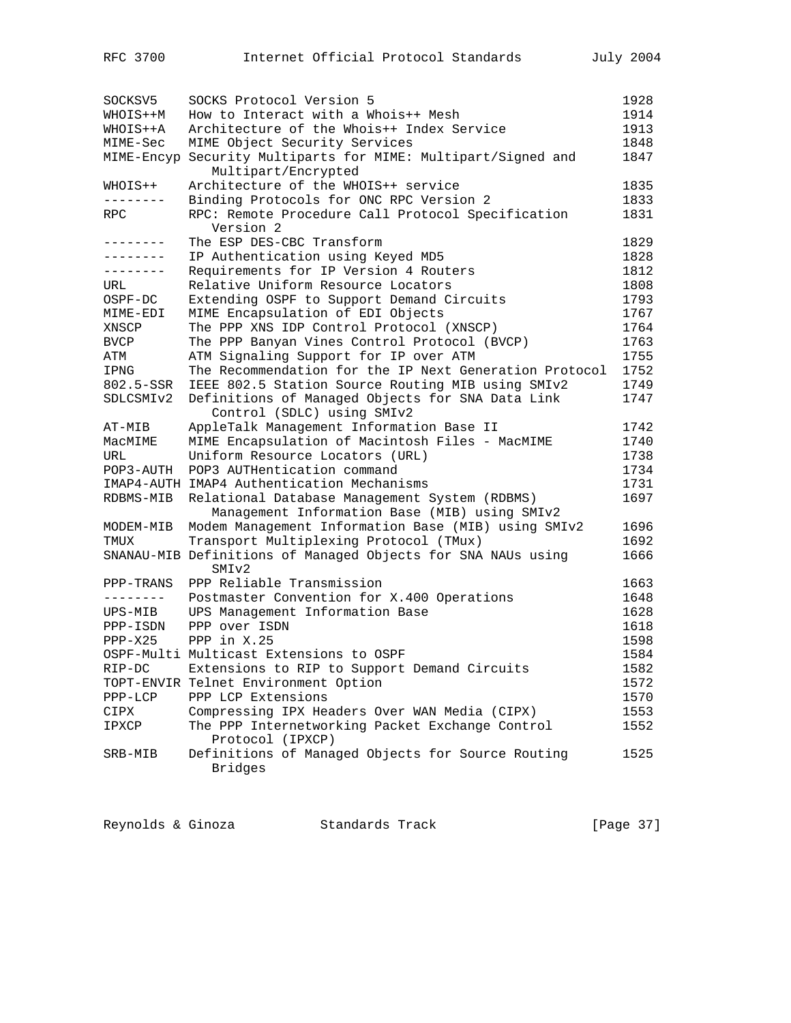| SOCKSV5   | SOCKS Protocol Version 5                                                       | 1928 |
|-----------|--------------------------------------------------------------------------------|------|
| WHOIS++M  | How to Interact with a Whois++ Mesh                                            | 1914 |
| WHOIS++A  | Architecture of the Whois++ Index Service                                      | 1913 |
| MIME-Sec  | MIME Object Security Services                                                  | 1848 |
|           | MIME-Encyp Security Multiparts for MIME: Multipart/Signed and                  | 1847 |
|           | Multipart/Encrypted                                                            |      |
| WHOIS++   | Architecture of the WHOIS++ service                                            | 1835 |
| .         | Binding Protocols for ONC RPC Version 2                                        | 1833 |
| RPC       | RPC: Remote Procedure Call Protocol Specification                              | 1831 |
|           | Version 2                                                                      |      |
| --------  | The ESP DES-CBC Transform                                                      | 1829 |
| --------  | IP Authentication using Keyed MD5                                              | 1828 |
| --------  | Requirements for IP Version 4 Routers                                          | 1812 |
| URL       | Relative Uniform Resource Locators                                             | 1808 |
| OSPF-DC   | Extending OSPF to Support Demand Circuits                                      | 1793 |
| MIME-EDI  | MIME Encapsulation of EDI Objects                                              | 1767 |
| XNSCP     | The PPP XNS IDP Control Protocol (XNSCP)                                       | 1764 |
| BVCP      | The PPP Banyan Vines Control Protocol (BVCP)                                   | 1763 |
|           |                                                                                | 1755 |
| ATM       | ATM Signaling Support for IP over ATM                                          |      |
| IPNG      | The Recommendation for the IP Next Generation Protocol                         | 1752 |
| 802.5-SSR | IEEE 802.5 Station Source Routing MIB using SMIv2                              | 1749 |
| SDLCSMIv2 | Definitions of Managed Objects for SNA Data Link<br>Control (SDLC) using SMIv2 | 1747 |
| AT-MIB    | AppleTalk Management Information Base II                                       | 1742 |
| MacMIME   | MIME Encapsulation of Macintosh Files - MacMIME                                | 1740 |
| URL       | Uniform Resource Locators (URL)                                                | 1738 |
| POP3-AUTH | POP3 AUTHentication command                                                    | 1734 |
|           | IMAP4-AUTH IMAP4 Authentication Mechanisms                                     | 1731 |
| RDBMS-MIB | Relational Database Management System (RDBMS)                                  | 1697 |
|           | Management Information Base (MIB) using SMIv2                                  |      |
| MODEM-MIB | Modem Management Information Base (MIB) using SMIv2                            | 1696 |
| TMUX      | Transport Multiplexing Protocol (TMux)                                         | 1692 |
|           | SNANAU-MIB Definitions of Managed Objects for SNA NAUs using                   | 1666 |
|           | SMIv2                                                                          |      |
| PPP-TRANS | PPP Reliable Transmission                                                      | 1663 |
| --------- | Postmaster Convention for X.400 Operations                                     | 1648 |
| UPS-MIB   | UPS Management Information Base                                                | 1628 |
| PPP-ISDN  | PPP over ISDN                                                                  | 1618 |
| $PPP-X25$ | PPP in $X.25$                                                                  | 1598 |
|           | OSPF-Multi Multicast Extensions to OSPF                                        | 1584 |
| RIP-DC    | Extensions to RIP to Support Demand Circuits                                   | 1582 |
|           | TOPT-ENVIR Telnet Environment Option                                           | 1572 |
| $PPP-LCP$ | PPP LCP Extensions                                                             | 1570 |
| CIPX      | Compressing IPX Headers Over WAN Media (CIPX)                                  | 1553 |
| IPXCP     | The PPP Internetworking Packet Exchange Control                                | 1552 |
|           | Protocol (IPXCP)                                                               |      |
| SRB-MIB   | Definitions of Managed Objects for Source Routing                              | 1525 |
|           | <b>Bridges</b>                                                                 |      |
|           |                                                                                |      |

Reynolds & Ginoza Standards Track [Page 37]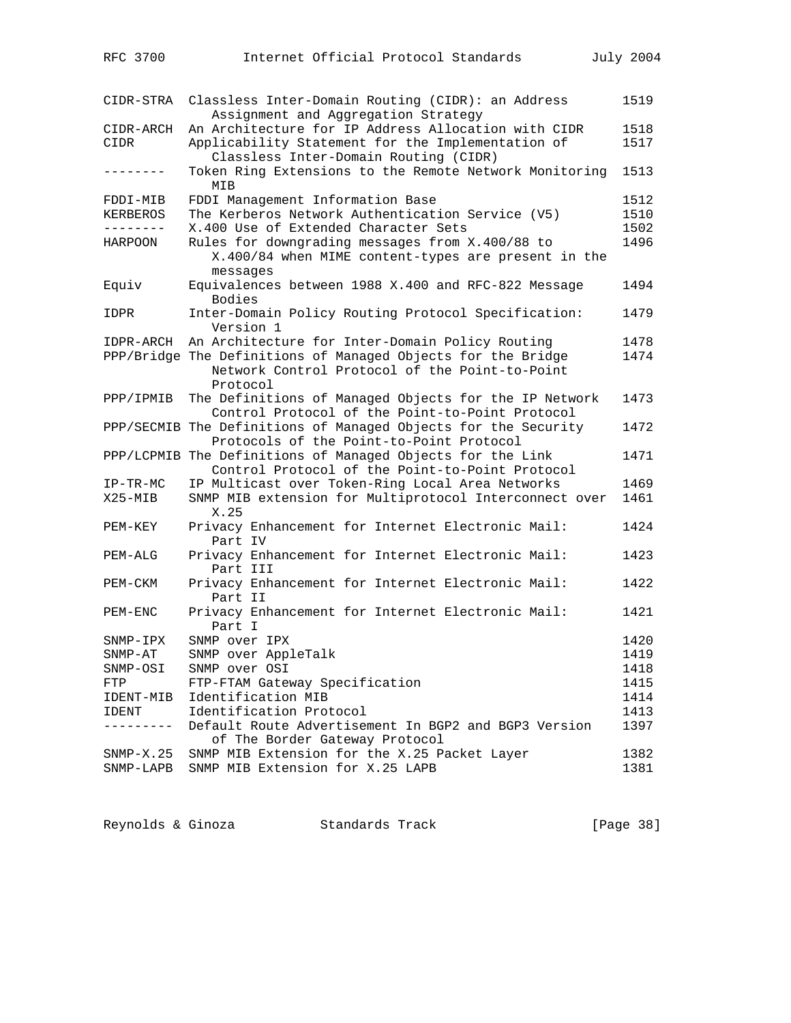| RFC 3700                 | Internet Official Protocol Standards                                                                           | July 2004    |
|--------------------------|----------------------------------------------------------------------------------------------------------------|--------------|
|                          |                                                                                                                |              |
| CIDR-STRA                | Classless Inter-Domain Routing (CIDR): an Address                                                              | 1519         |
|                          | Assignment and Aggregation Strategy                                                                            |              |
| CIDR-ARCH                | An Architecture for IP Address Allocation with CIDR                                                            | 1518         |
| CIDR                     | Applicability Statement for the Implementation of                                                              | 1517         |
| -------                  | Classless Inter-Domain Routing (CIDR)<br>Token Ring Extensions to the Remote Network Monitoring                | 1513         |
|                          | MIB                                                                                                            |              |
| FDDI-MIB                 | FDDI Management Information Base                                                                               | 1512         |
| KERBEROS                 | The Kerberos Network Authentication Service (V5)                                                               | 1510         |
| . <i>.</i> .             | X.400 Use of Extended Character Sets                                                                           | 1502         |
| HARPOON                  | Rules for downgrading messages from X.400/88 to                                                                | 1496         |
|                          | X.400/84 when MIME content-types are present in the<br>messages                                                |              |
| Equiv                    | Equivalences between 1988 X.400 and RFC-822 Message                                                            | 1494         |
|                          | Bodies                                                                                                         |              |
| IDPR                     | Inter-Domain Policy Routing Protocol Specification:                                                            | 1479         |
|                          | Version 1                                                                                                      |              |
| IDPR-ARCH                | An Architecture for Inter-Domain Policy Routing                                                                | 1478         |
|                          | PPP/Bridge The Definitions of Managed Objects for the Bridge<br>Network Control Protocol of the Point-to-Point | 1474         |
|                          | Protocol                                                                                                       |              |
| PPP/IPMIB                | The Definitions of Managed Objects for the IP Network                                                          | 1473         |
|                          | Control Protocol of the Point-to-Point Protocol                                                                |              |
|                          | PPP/SECMIB The Definitions of Managed Objects for the Security                                                 | 1472         |
|                          | Protocols of the Point-to-Point Protocol                                                                       |              |
|                          | PPP/LCPMIB The Definitions of Managed Objects for the Link<br>Control Protocol of the Point-to-Point Protocol  | 1471         |
| $IP-TR-MC$               | IP Multicast over Token-Ring Local Area Networks                                                               | 1469         |
| $X25 - MIB$              | SNMP MIB extension for Multiprotocol Interconnect over                                                         | 1461         |
|                          | X.25                                                                                                           |              |
| PEM-KEY                  | Privacy Enhancement for Internet Electronic Mail:                                                              | 1424         |
|                          | Part IV                                                                                                        |              |
| PEM-ALG                  | Privacy Enhancement for Internet Electronic Mail:<br>Part III                                                  | 1423         |
| PEM-CKM                  | Privacy Enhancement for Internet Electronic Mail:                                                              | 1422         |
|                          | Part II                                                                                                        |              |
| PEM-ENC                  | Privacy Enhancement for Internet Electronic Mail:<br>Part I                                                    | 1421         |
| SNMP-IPX                 | SNMP over IPX                                                                                                  | 1420         |
| SNMP-AT                  | SNMP over AppleTalk                                                                                            | 1419         |
| SNMP-OSI                 | SNMP over OSI                                                                                                  | 1418         |
| FTP                      | FTP-FTAM Gateway Specification                                                                                 | 1415         |
| IDENT-MIB                | Identification MIB                                                                                             | 1414         |
| IDENT                    | Identification Protocol                                                                                        | 1413         |
|                          | Default Route Advertisement In BGP2 and BGP3 Version                                                           | 1397         |
|                          | of The Border Gateway Protocol                                                                                 |              |
| $SNMP-X.25$<br>SNMP-LAPB | SNMP MIB Extension for the X.25 Packet Layer<br>SNMP MIB Extension for X.25 LAPB                               | 1382<br>1381 |
|                          |                                                                                                                |              |

| Reynolds & Ginoza |  | Standards Track | [Page 38] |  |
|-------------------|--|-----------------|-----------|--|
|-------------------|--|-----------------|-----------|--|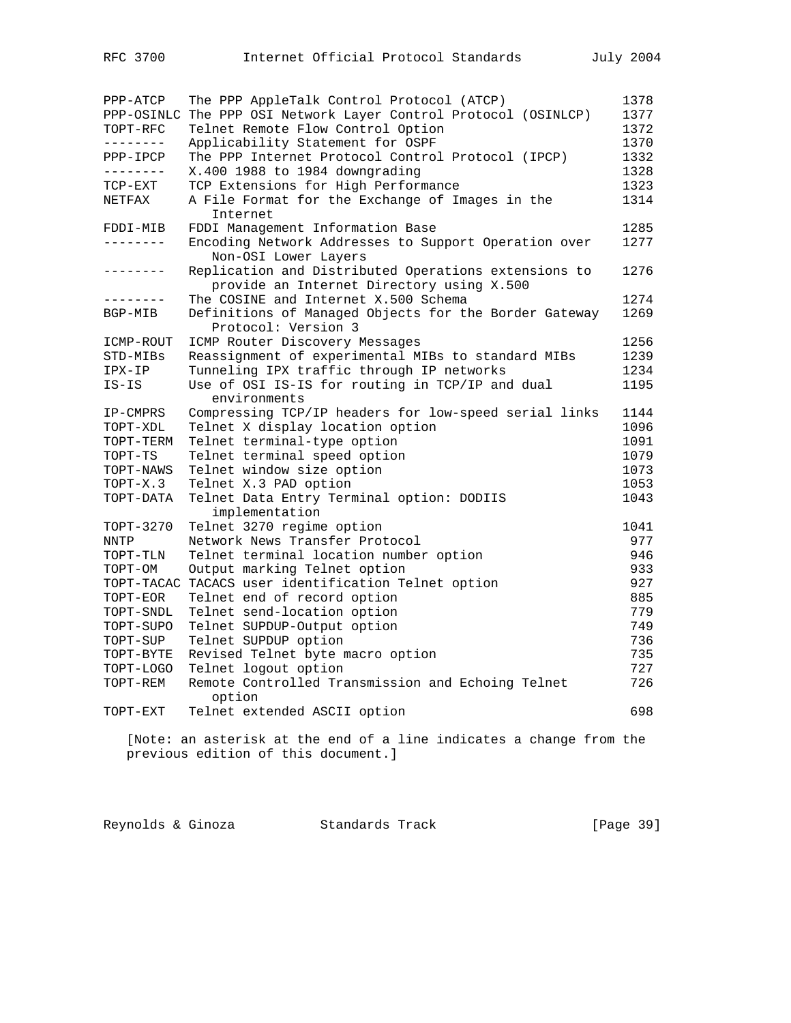| PPP-ATCP    | The PPP AppleTalk Control Protocol (ATCP)             | 1378 |
|-------------|-------------------------------------------------------|------|
| PPP-OSINLC  | The PPP OSI Network Layer Control Protocol (OSINLCP)  | 1377 |
| TOPT-RFC    | Telnet Remote Flow Control Option                     | 1372 |
| --------    | Applicability Statement for OSPF                      | 1370 |
| PPP-IPCP    | The PPP Internet Protocol Control Protocol (IPCP)     | 1332 |
| --------    | X.400 1988 to 1984 downgrading                        | 1328 |
| TCP-EXT     | TCP Extensions for High Performance                   | 1323 |
| NETFAX      | A File Format for the Exchange of Images in the       | 1314 |
|             | Internet                                              |      |
| FDDI-MIB    | FDDI Management Information Base                      | 1285 |
| ---------   | Encoding Network Addresses to Support Operation over  | 1277 |
|             | Non-OSI Lower Layers                                  |      |
|             | Replication and Distributed Operations extensions to  | 1276 |
|             | provide an Internet Directory using X.500             |      |
| .           | The COSINE and Internet X.500 Schema                  | 1274 |
| BGP-MIB     | Definitions of Managed Objects for the Border Gateway | 1269 |
|             | Protocol: Version 3                                   |      |
| ICMP-ROUT   | ICMP Router Discovery Messages                        | 1256 |
| STD-MIBs    | Reassignment of experimental MIBs to standard MIBs    | 1239 |
| IPX-IP      | Tunneling IPX traffic through IP networks             | 1234 |
| $IS-IS$     | Use of OSI IS-IS for routing in TCP/IP and dual       | 1195 |
|             | environments                                          |      |
| IP-CMPRS    | Compressing TCP/IP headers for low-speed serial links | 1144 |
| TOPT-XDL    | Telnet X display location option                      | 1096 |
| TOPT-TERM   | Telnet terminal-type option                           | 1091 |
| TOPT-TS     | Telnet terminal speed option                          | 1079 |
| TOPT-NAWS   | Telnet window size option                             | 1073 |
| TOPT-X.3    | Telnet X.3 PAD option                                 | 1053 |
| TOPT-DATA   | Telnet Data Entry Terminal option: DODIIS             | 1043 |
|             | implementation                                        |      |
| TOPT-3270   | Telnet 3270 regime option                             | 1041 |
| <b>NNTP</b> | Network News Transfer Protocol                        | 977  |
| TOPT-TLN    | Telnet terminal location number option                | 946  |
| TOPT-OM     | Output marking Telnet option                          | 933  |
| TOPT-TACAC  | TACACS user identification Telnet option              | 927  |
| TOPT-EOR    | Telnet end of record option                           | 885  |
| TOPT-SNDL   | Telnet send-location option                           | 779  |
| TOPT-SUPO   | Telnet SUPDUP-Output option                           | 749  |
| TOPT-SUP    | Telnet SUPDUP option                                  | 736  |
| TOPT-BYTE   | Revised Telnet byte macro option                      | 735  |
| TOPT-LOGO   | Telnet logout option                                  | 727  |
| TOPT-REM    | Remote Controlled Transmission and Echoing Telnet     | 726  |
|             | option                                                |      |
| TOPT-EXT    | Telnet extended ASCII option                          | 698  |
|             |                                                       |      |

 [Note: an asterisk at the end of a line indicates a change from the previous edition of this document.]

Reynolds & Ginoza Standards Track [Page 39]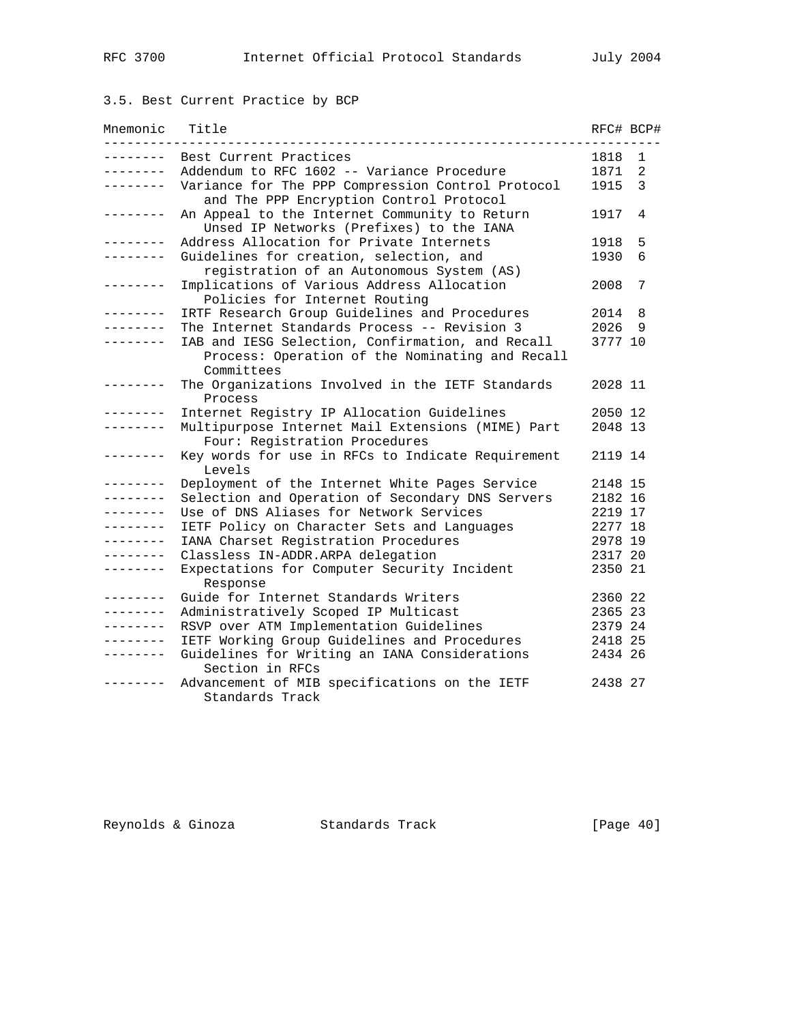## 3.5. Best Current Practice by BCP

| Mnemonic        | Title                                                                                                             | RFC# BCP# |                |
|-----------------|-------------------------------------------------------------------------------------------------------------------|-----------|----------------|
| -------         | Best Current Practices                                                                                            | 1818      | 1              |
| .               | Addendum to RFC 1602 -- Variance Procedure                                                                        | 1871      | $\overline{2}$ |
| . <u>.</u> .    | Variance for The PPP Compression Control Protocol<br>and The PPP Encryption Control Protocol                      | 1915      | 3              |
| . _ _ _ _ _ _ _ | An Appeal to the Internet Community to Return<br>Unsed IP Networks (Prefixes) to the IANA                         | 1917      | 4              |
| .               | Address Allocation for Private Internets                                                                          | 1918      | 5              |
| . <u>.</u> .    | Guidelines for creation, selection, and<br>registration of an Autonomous System (AS)                              | 1930      | 6              |
| . <u>.</u> .    | Implications of Various Address Allocation<br>Policies for Internet Routing                                       | 2008      | 7              |
| $- - - - - - -$ | IRTF Research Group Guidelines and Procedures                                                                     | 2014      | 8              |
| . _ _ _ _ _ _ _ | The Internet Standards Process -- Revision 3                                                                      | 2026      | 9              |
|                 | IAB and IESG Selection, Confirmation, and Recall<br>Process: Operation of the Nominating and Recall<br>Committees | 3777 10   |                |
| -------         | The Organizations Involved in the IETF Standards<br>Process                                                       | 2028 11   |                |
| -------         | Internet Registry IP Allocation Guidelines                                                                        | 2050 12   |                |
| . <u>.</u> .    | Multipurpose Internet Mail Extensions (MIME) Part<br>Four: Registration Procedures                                | 2048 13   |                |
| .               | Key words for use in RFCs to Indicate Requirement<br>Levels                                                       | 2119 14   |                |
| ---------       | Deployment of the Internet White Pages Service                                                                    | 2148 15   |                |
| --------        | Selection and Operation of Secondary DNS Servers                                                                  | 2182 16   |                |
| --------        | Use of DNS Aliases for Network Services                                                                           | 2219 17   |                |
| --------        | IETF Policy on Character Sets and Languages                                                                       | 2277 18   |                |
| --------        | IANA Charset Registration Procedures                                                                              | 2978 19   |                |
| ---------       | Classless IN-ADDR.ARPA delegation                                                                                 | 2317 20   |                |
| --------        | Expectations for Computer Security Incident<br>Response                                                           | 2350 21   |                |
| . <u>.</u> .    | Guide for Internet Standards Writers                                                                              | 2360 22   |                |
| --------        | Administratively Scoped IP Multicast                                                                              | 2365 23   |                |
|                 | RSVP over ATM Implementation Guidelines                                                                           | 2379 24   |                |
| --------        | IETF Working Group Guidelines and Procedures                                                                      | 2418 25   |                |
| --------        | Guidelines for Writing an IANA Considerations<br>Section in RFCs                                                  | 2434 26   |                |
|                 | Advancement of MIB specifications on the IETF<br>Standards Track                                                  | 2438 27   |                |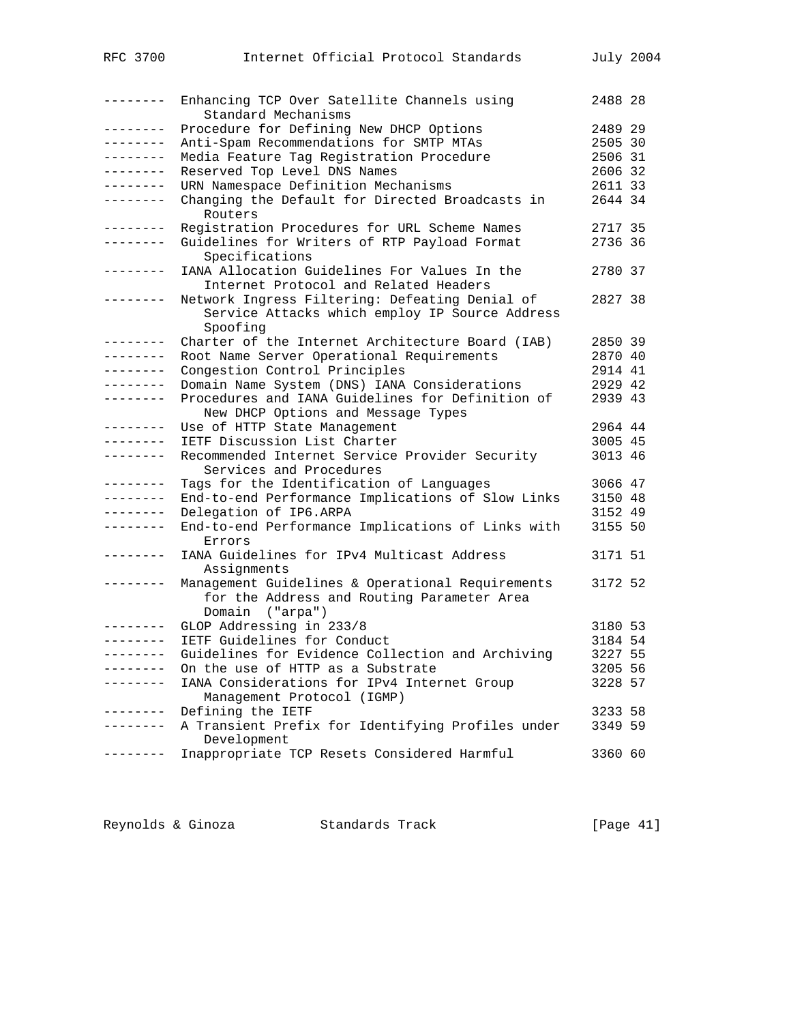| RFC 3700  | Internet Official Protocol Standards                                                                              |         | July 2004 |
|-----------|-------------------------------------------------------------------------------------------------------------------|---------|-----------|
| --------  | Enhancing TCP Over Satellite Channels using<br>Standard Mechanisms                                                | 2488 28 |           |
| --------  | Procedure for Defining New DHCP Options                                                                           | 2489 29 |           |
| --------  | Anti-Spam Recommendations for SMTP MTAs                                                                           | 2505 30 |           |
| --------  | Media Feature Tag Registration Procedure                                                                          | 2506 31 |           |
| --------- | Reserved Top Level DNS Names                                                                                      | 2606 32 |           |
| --------- | URN Namespace Definition Mechanisms                                                                               | 2611 33 |           |
| --------  | Changing the Default for Directed Broadcasts in<br>Routers                                                        | 2644 34 |           |
| --------  | Registration Procedures for URL Scheme Names                                                                      | 2717 35 |           |
| --------  | Guidelines for Writers of RTP Payload Format<br>Specifications                                                    | 2736 36 |           |
| --------  | IANA Allocation Guidelines For Values In the                                                                      | 2780 37 |           |
|           | Internet Protocol and Related Headers                                                                             |         |           |
| --------  | Network Ingress Filtering: Defeating Denial of                                                                    | 2827 38 |           |
|           | Service Attacks which employ IP Source Address<br>Spoofing                                                        |         |           |
| --------- | Charter of the Internet Architecture Board (IAB)                                                                  | 2850 39 |           |
| --------- | Root Name Server Operational Requirements                                                                         | 2870 40 |           |
| --------  | Congestion Control Principles                                                                                     | 2914 41 |           |
| --------  | Domain Name System (DNS) IANA Considerations                                                                      | 2929 42 |           |
| --------  | Procedures and IANA Guidelines for Definition of<br>New DHCP Options and Message Types                            | 2939 43 |           |
| --------  | Use of HTTP State Management                                                                                      | 2964 44 |           |
| --------  | IETF Discussion List Charter                                                                                      | 3005 45 |           |
| --------  | Recommended Internet Service Provider Security<br>Services and Procedures                                         | 3013 46 |           |
| --------  | Tags for the Identification of Languages                                                                          | 3066 47 |           |
| --------- | End-to-end Performance Implications of Slow Links                                                                 | 3150 48 |           |
| --------  | Delegation of IP6.ARPA                                                                                            | 3152 49 |           |
| --------  | End-to-end Performance Implications of Links with<br>Errors                                                       | 3155 50 |           |
| --------  | IANA Guidelines for IPv4 Multicast Address<br>Assignments                                                         | 3171 51 |           |
| --------  | Management Guidelines & Operational Requirements<br>for the Address and Routing Parameter Area<br>Domain ("arpa") | 3172 52 |           |
|           | GLOP Addressing in 233/8                                                                                          | 3180 53 |           |
| --------  | IETF Guidelines for Conduct                                                                                       | 3184 54 |           |
| --------  | Guidelines for Evidence Collection and Archiving                                                                  | 3227 55 |           |
| --------  | On the use of HTTP as a Substrate                                                                                 | 3205 56 |           |
| --------  | IANA Considerations for IPv4 Internet Group<br>Management Protocol (IGMP)                                         | 3228 57 |           |
| --------  | Defining the IETF                                                                                                 | 3233 58 |           |
| --------  | A Transient Prefix for Identifying Profiles under<br>Development                                                  | 3349 59 |           |
| -------   | Inappropriate TCP Resets Considered Harmful                                                                       | 3360 60 |           |

Reynolds & Ginoza Standards Track [Page 41]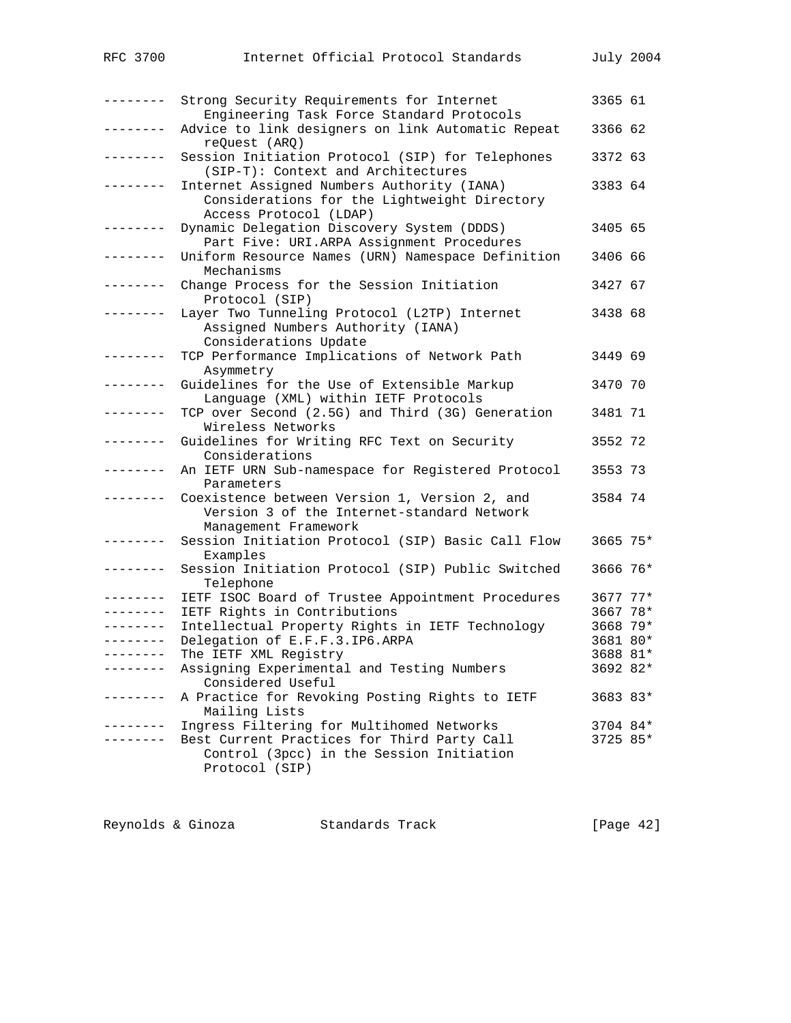| RFC 3700           | Internet Official Protocol Standards                                                   |          | July 2004 |
|--------------------|----------------------------------------------------------------------------------------|----------|-----------|
|                    |                                                                                        |          |           |
| . <u>.</u> .       |                                                                                        |          |           |
|                    | Strong Security Requirements for Internet<br>Engineering Task Force Standard Protocols | 3365 61  |           |
| . <u>.</u> .       | Advice to link designers on link Automatic Repeat                                      | 3366 62  |           |
|                    | reQuest (ARQ)                                                                          |          |           |
| --------           | Session Initiation Protocol (SIP) for Telephones                                       | 3372 63  |           |
|                    | (SIP-T): Context and Architectures                                                     |          |           |
| -------            | Internet Assigned Numbers Authority (IANA)                                             | 3383 64  |           |
|                    | Considerations for the Lightweight Directory                                           |          |           |
| .                  | Access Protocol (LDAP)<br>Dynamic Delegation Discovery System (DDDS)                   | 3405 65  |           |
|                    | Part Five: URI.ARPA Assignment Procedures                                              |          |           |
| .                  | Uniform Resource Names (URN) Namespace Definition                                      | 3406 66  |           |
|                    | Mechanisms                                                                             |          |           |
| --------           | Change Process for the Session Initiation                                              | 3427 67  |           |
|                    | Protocol (SIP)                                                                         |          |           |
| --------           | Layer Two Tunneling Protocol (L2TP) Internet                                           | 3438 68  |           |
|                    | Assigned Numbers Authority (IANA)<br>Considerations Update                             |          |           |
| -------            | TCP Performance Implications of Network Path                                           | 3449 69  |           |
|                    | Asymmetry                                                                              |          |           |
| . <u>.</u> .       | Guidelines for the Use of Extensible Markup                                            | 3470 70  |           |
|                    | Language (XML) within IETF Protocols                                                   |          |           |
| ________           | TCP over Second (2.5G) and Third (3G) Generation                                       | 3481 71  |           |
| -------            | Wireless Networks                                                                      | 3552 72  |           |
|                    | Guidelines for Writing RFC Text on Security<br>Considerations                          |          |           |
|                    | An IETF URN Sub-namespace for Registered Protocol                                      | 3553 73  |           |
|                    | Parameters                                                                             |          |           |
| ________           | Coexistence between Version 1, Version 2, and                                          | 3584 74  |           |
|                    | Version 3 of the Internet-standard Network                                             |          |           |
|                    | Management Framework                                                                   |          |           |
| . _ _ _ _ _ _ _    | Session Initiation Protocol (SIP) Basic Call Flow<br>Examples                          | 3665 75* |           |
| ---------          | Session Initiation Protocol (SIP) Public Switched                                      | 3666 76* |           |
|                    | Telephone                                                                              |          |           |
| --------           | IETF ISOC Board of Trustee Appointment Procedures                                      | 3677 77* |           |
|                    | IETF Rights in Contributions                                                           | 3667 78* |           |
|                    | Intellectual Property Rights in IETF Technology                                        | 3668 79* |           |
| --------           | Delegation of E.F.F.3.IP6.ARPA                                                         | 3681 80* |           |
| ------<br>-------- | The IETF XML Registry                                                                  | 3688 81* |           |
|                    | Assigning Experimental and Testing Numbers<br>Considered Useful                        | 3692 82* |           |
| - - - - - - - -    | A Practice for Revoking Posting Rights to IETF                                         | 3683 83* |           |
|                    | Mailing Lists                                                                          |          |           |
| --------           | Ingress Filtering for Multihomed Networks                                              | 3704 84* |           |
| $- - - - - -$      | Best Current Practices for Third Party Call                                            | 3725 85* |           |
|                    | Control (3pcc) in the Session Initiation                                               |          |           |
|                    | Protocol (SIP)                                                                         |          |           |
|                    |                                                                                        |          |           |

| Reynolds & Ginoza<br>Standards Track | [Page $42$ ] |
|--------------------------------------|--------------|
|--------------------------------------|--------------|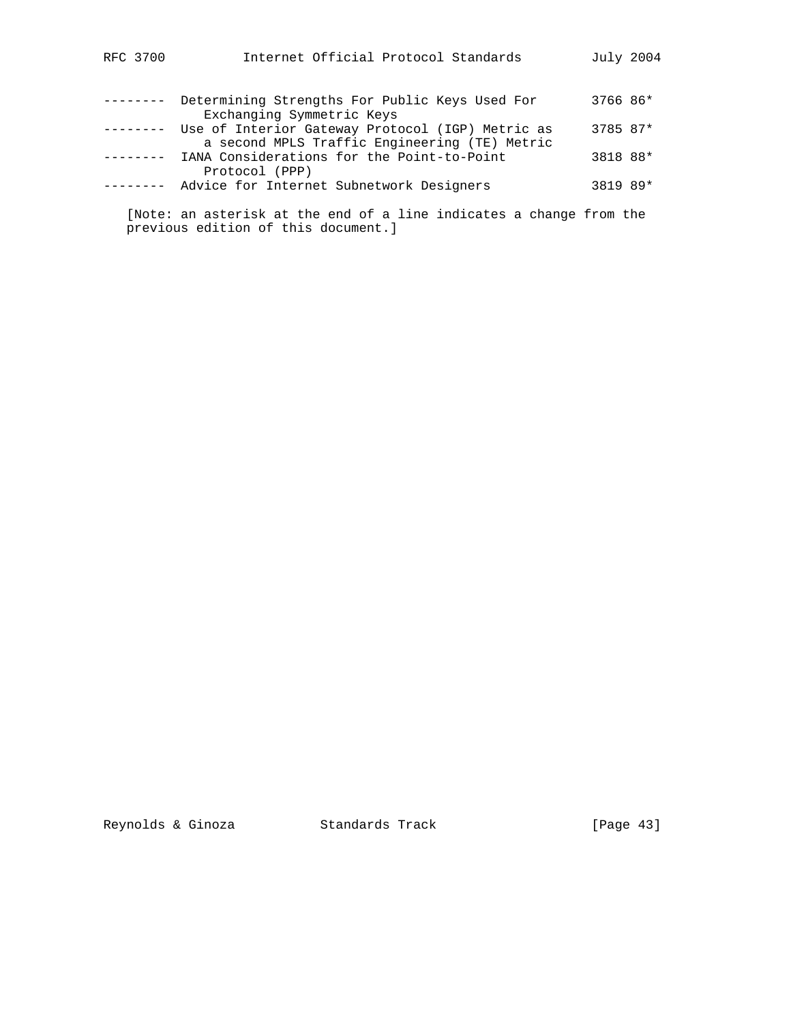| RFC 3700 | Internet Official Protocol Standards                                                              | July 2004 |  |
|----------|---------------------------------------------------------------------------------------------------|-----------|--|
|          | Determining Strengths For Public Keys Used For<br>Exchanging Symmetric Keys                       | 3766 86*  |  |
|          | Use of Interior Gateway Protocol (IGP) Metric as<br>a second MPLS Traffic Engineering (TE) Metric | 3785 87*  |  |
|          | IANA Considerations for the Point-to-Point<br>Protocol (PPP)                                      | 3818 88*  |  |
|          | Advice for Internet Subnetwork Designers                                                          | 3819 89*  |  |

 [Note: an asterisk at the end of a line indicates a change from the previous edition of this document.]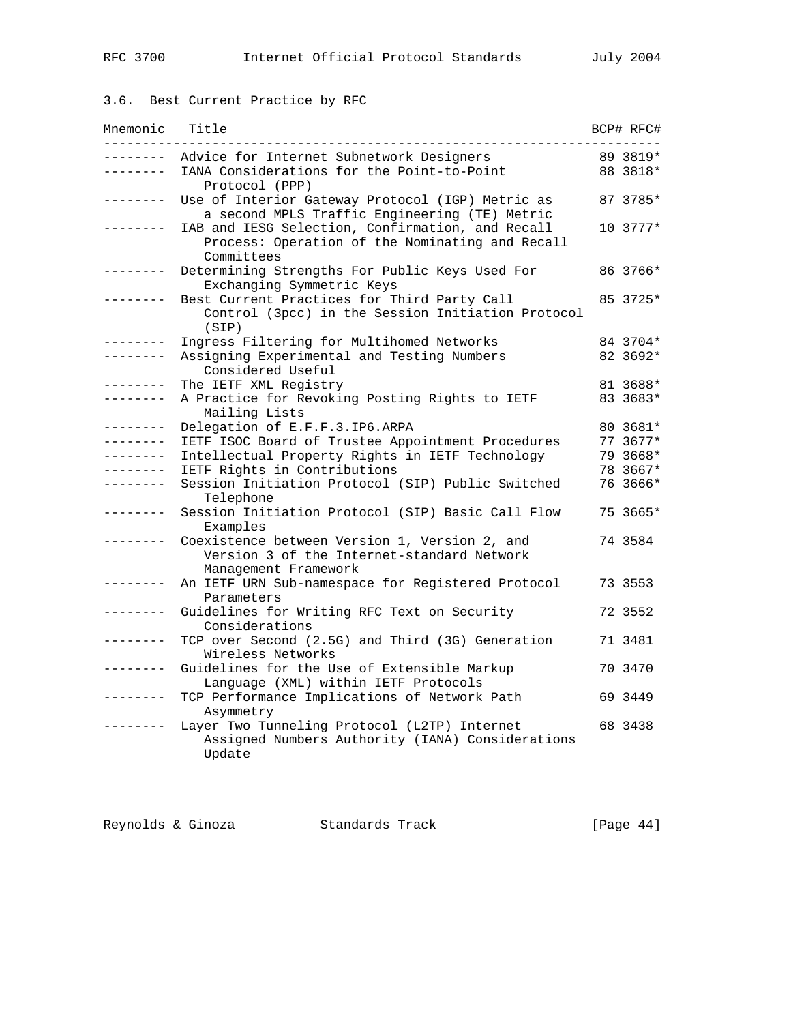# 3.6. Best Current Practice by RFC

| Mnemonic           | Title                                                                                                                                                              | BCP# RFC#            |
|--------------------|--------------------------------------------------------------------------------------------------------------------------------------------------------------------|----------------------|
| ------<br>-------- | Advice for Internet Subnetwork Designers<br>IANA Considerations for the Point-to-Point                                                                             | 89 3819*<br>88 3818* |
|                    | Protocol (PPP)<br>Use of Interior Gateway Protocol (IGP) Metric as                                                                                                 | 87 3785*             |
|                    | a second MPLS Traffic Engineering (TE) Metric<br>IAB and IESG Selection, Confirmation, and Recall<br>Process: Operation of the Nominating and Recall<br>Committees | 10 3777*             |
|                    | Determining Strengths For Public Keys Used For<br>Exchanging Symmetric Keys                                                                                        | 86 3766*             |
|                    | Best Current Practices for Third Party Call<br>Control (3pcc) in the Session Initiation Protocol<br>(SIP)                                                          | 85 3725*             |
|                    | Ingress Filtering for Multihomed Networks                                                                                                                          | 84 3704*             |
|                    | Assigning Experimental and Testing Numbers<br>Considered Useful                                                                                                    | 82 3692*             |
| -------            | The IETF XML Registry                                                                                                                                              | 81 3688*             |
| -------            | A Practice for Revoking Posting Rights to IETF<br>Mailing Lists                                                                                                    | 83 3683*             |
| -------            | Delegation of E.F.F.3.IP6.ARPA                                                                                                                                     | 80 3681*             |
|                    | IETF ISOC Board of Trustee Appointment Procedures                                                                                                                  | 77 3677*             |
| $- - - - - - - -$  | Intellectual Property Rights in IETF Technology                                                                                                                    | 79 3668*             |
| ------             | IETF Rights in Contributions                                                                                                                                       | 78 3667*             |
| البابيات بالبابيات | Session Initiation Protocol (SIP) Public Switched<br>Telephone                                                                                                     | 76 3666*             |
| --------           | Session Initiation Protocol (SIP) Basic Call Flow<br>Examples                                                                                                      | 75 3665*             |
|                    | Coexistence between Version 1, Version 2, and<br>Version 3 of the Internet-standard Network<br>Management Framework                                                | 74 3584              |
|                    | An IETF URN Sub-namespace for Registered Protocol<br>Parameters                                                                                                    | 73 3553              |
|                    | Guidelines for Writing RFC Text on Security<br>Considerations                                                                                                      | 72 3552              |
|                    | TCP over Second (2.5G) and Third (3G) Generation<br>Wireless Networks                                                                                              | 71 3481              |
| ------             | Guidelines for the Use of Extensible Markup<br>Language (XML) within IETF Protocols                                                                                | 70 3470              |
|                    | TCP Performance Implications of Network Path<br>Asymmetry                                                                                                          | 69 3449              |
|                    | Layer Two Tunneling Protocol (L2TP) Internet<br>Assigned Numbers Authority (IANA) Considerations<br>Update                                                         | 68 3438              |

| [Page $44$ ]<br>Reynolds & Ginoza<br>Standards Track |  |
|------------------------------------------------------|--|
|------------------------------------------------------|--|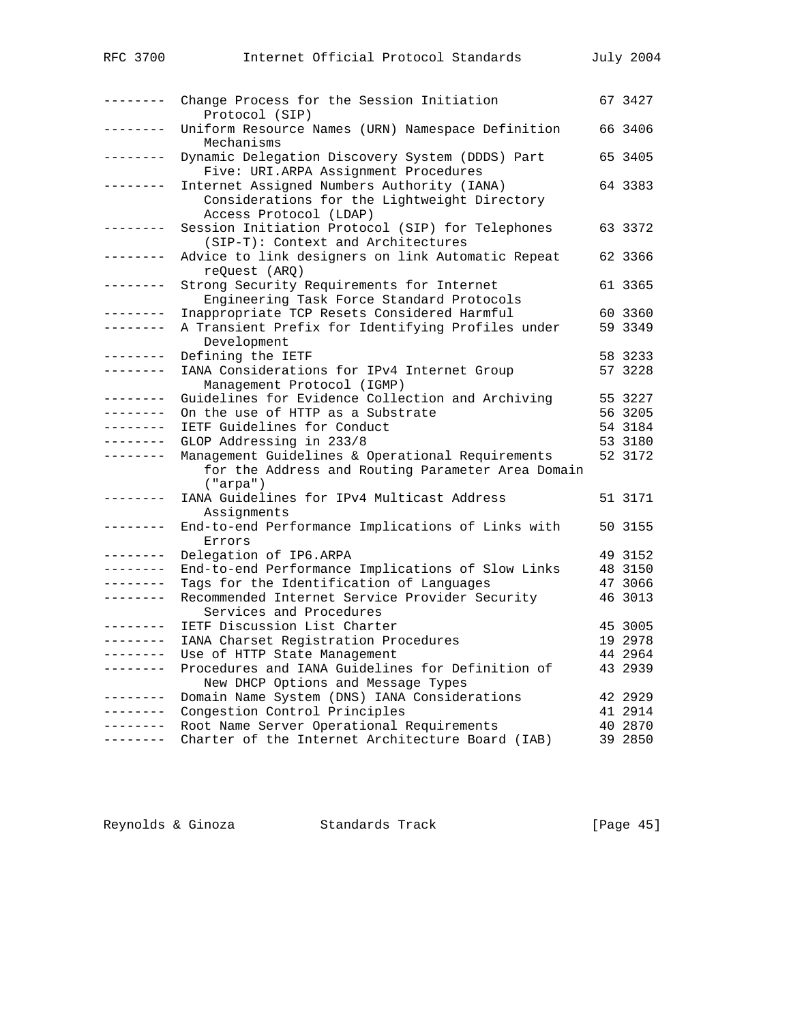| RFC 3700          | Internet Official Protocol Standards                                                                                 | July 2004 |
|-------------------|----------------------------------------------------------------------------------------------------------------------|-----------|
| ---------         | Change Process for the Session Initiation<br>Protocol (SIP)                                                          | 67 3427   |
| --------          | Uniform Resource Names (URN) Namespace Definition<br>Mechanisms                                                      | 66 3406   |
| .                 | Dynamic Delegation Discovery System (DDDS) Part<br>Five: URI.ARPA Assignment Procedures                              | 65 3405   |
| --------          | Internet Assigned Numbers Authority (IANA)<br>Considerations for the Lightweight Directory<br>Access Protocol (LDAP) | 64 3383   |
| -------           | Session Initiation Protocol (SIP) for Telephones<br>(SIP-T): Context and Architectures                               | 63 3372   |
| . <u>.</u> .      | Advice to link designers on link Automatic Repeat<br>reQuest (ARQ)                                                   | 62 3366   |
| --------          | Strong Security Requirements for Internet<br>Engineering Task Force Standard Protocols                               | 61 3365   |
| $- - - - - - - -$ | Inappropriate TCP Resets Considered Harmful                                                                          | 60 3360   |
| --------          | A Transient Prefix for Identifying Profiles under<br>Development                                                     | 59 3349   |
| --------          | Defining the IETF                                                                                                    | 58 3233   |
| . <i>.</i> .      | IANA Considerations for IPv4 Internet Group<br>Management Protocol (IGMP)                                            | 57 3228   |
| ---------         | Guidelines for Evidence Collection and Archiving                                                                     | 55 3227   |
| . <u>.</u> .      | On the use of HTTP as a Substrate                                                                                    | 56 3205   |
| --------          | IETF Guidelines for Conduct                                                                                          | 54 3184   |
| .                 | GLOP Addressing in 233/8                                                                                             | 53 3180   |
| .                 | Management Guidelines & Operational Requirements                                                                     | 52 3172   |
|                   | for the Address and Routing Parameter Area Domain<br>("arga")                                                        |           |
| --------          | IANA Guidelines for IPv4 Multicast Address<br>Assignments                                                            | 51 3171   |
| --------          | End-to-end Performance Implications of Links with<br>Errors                                                          | 50 3155   |
| . <u>.</u> .      | Delegation of IP6.ARPA                                                                                               | 49 3152   |
| .                 | End-to-end Performance Implications of Slow Links                                                                    | 48 3150   |
| . <u>.</u> .      | Tags for the Identification of Languages                                                                             | 47 3066   |
| --------          | Recommended Internet Service Provider Security<br>Services and Procedures                                            | 46 3013   |
|                   | IETF Discussion List Charter                                                                                         | 45 3005   |
| ---------         | IANA Charset Registration Procedures                                                                                 | 19 2978   |
|                   | Use of HTTP State Management                                                                                         | 44 2964   |
| .                 | Procedures and IANA Guidelines for Definition of<br>New DHCP Options and Message Types                               | 43 2939   |
| ---------         | Domain Name System (DNS) IANA Considerations                                                                         | 42 2929   |
| --------          | Congestion Control Principles                                                                                        | 41 2914   |
| $- - - - - - - -$ | Root Name Server Operational Requirements                                                                            | 40 2870   |
| --------          | Charter of the Internet Architecture Board (IAB)                                                                     | 39 2850   |

Reynolds & Ginoza Standards Track [Page 45]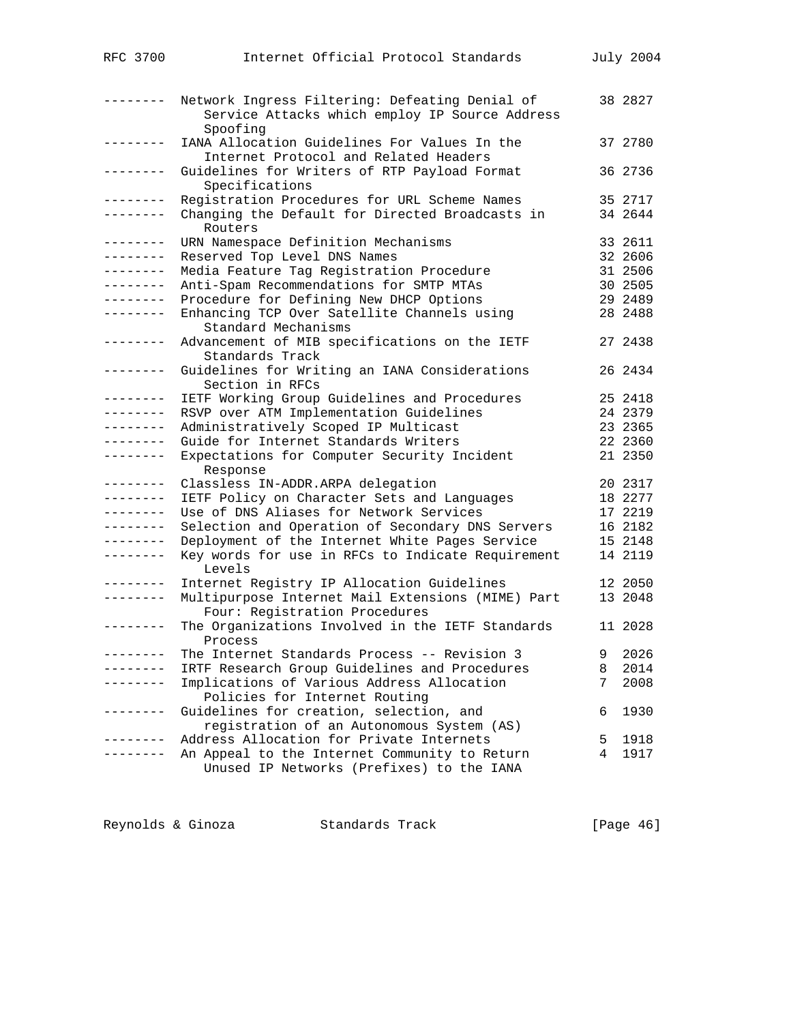| RFC 3700            | Internet Official Protocol Standards                                                                         |    | July 2004 |
|---------------------|--------------------------------------------------------------------------------------------------------------|----|-----------|
|                     |                                                                                                              |    |           |
| --------            | Network Ingress Filtering: Defeating Denial of<br>Service Attacks which employ IP Source Address<br>Spoofing |    | 38 2827   |
| . – – – – – – –     | IANA Allocation Guidelines For Values In the<br>Internet Protocol and Related Headers                        |    | 37 2780   |
| . <u>.</u> .        | Guidelines for Writers of RTP Payload Format<br>Specifications                                               |    | 36 2736   |
| . <u>.</u> .        | Registration Procedures for URL Scheme Names                                                                 |    | 35 2717   |
| . <u>.</u>          | Changing the Default for Directed Broadcasts in<br>Routers                                                   |    | 34 2644   |
| --------            | URN Namespace Definition Mechanisms                                                                          |    | 33 2611   |
| --------            | Reserved Top Level DNS Names                                                                                 |    | 32 2606   |
| --------            | Media Feature Tag Registration Procedure                                                                     |    | 31 2506   |
| --------            | Anti-Spam Recommendations for SMTP MTAs                                                                      |    | 30 2505   |
| --------            | Procedure for Defining New DHCP Options                                                                      |    | 29 2489   |
| ---------           | Enhancing TCP Over Satellite Channels using<br>Standard Mechanisms                                           |    | 28 2488   |
| --------            | Advancement of MIB specifications on the IETF<br>Standards Track                                             |    | 27 2438   |
| --------            | Guidelines for Writing an IANA Considerations<br>Section in RFCs                                             |    | 26 2434   |
| ---------           | IETF Working Group Guidelines and Procedures                                                                 |    | 25 2418   |
| $- - - - - - - - -$ | RSVP over ATM Implementation Guidelines                                                                      |    | 24 2379   |
| $- - - - - - - -$   | Administratively Scoped IP Multicast                                                                         |    | 23 2365   |
| --------            | Guide for Internet Standards Writers                                                                         |    | 22 2360   |
| --------            | Expectations for Computer Security Incident<br>Response                                                      |    | 21 2350   |
| --------            | Classless IN-ADDR.ARPA delegation                                                                            |    | 20 2317   |
| $- - - - - - - - -$ | IETF Policy on Character Sets and Languages                                                                  |    | 18 2277   |
| $- - - - - - - - -$ | Use of DNS Aliases for Network Services                                                                      |    | 17 2219   |
| --------            | Selection and Operation of Secondary DNS Servers                                                             |    | 16 2182   |
| --------            | Deployment of the Internet White Pages Service                                                               |    | 15 2148   |
| --------            | Key words for use in RFCs to Indicate Requirement<br>Levels                                                  |    | 14 2119   |
| . <u>.</u> .        | Internet Registry IP Allocation Guidelines                                                                   |    | 12 2050   |
| --------            | Multipurpose Internet Mail Extensions (MIME) Part<br>Four: Registration Procedures                           |    | 13 2048   |
|                     | The Organizations Involved in the IETF Standards<br>Process                                                  |    | 11 2028   |
|                     | The Internet Standards Process -- Revision 3                                                                 | 9. | 2026      |
|                     | IRTF Research Group Guidelines and Procedures                                                                | 8  | 2014      |
|                     | Implications of Various Address Allocation<br>Policies for Internet Routing                                  | 7  | 2008      |
| -----               | Guidelines for creation, selection, and<br>registration of an Autonomous System (AS)                         | 6  | 1930      |
|                     | Address Allocation for Private Internets                                                                     | 5  | 1918      |
|                     | An Appeal to the Internet Community to Return<br>Unused IP Networks (Prefixes) to the IANA                   | 4  | 1917      |
|                     |                                                                                                              |    |           |

Reynolds & Ginoza Standards Track [Page 46]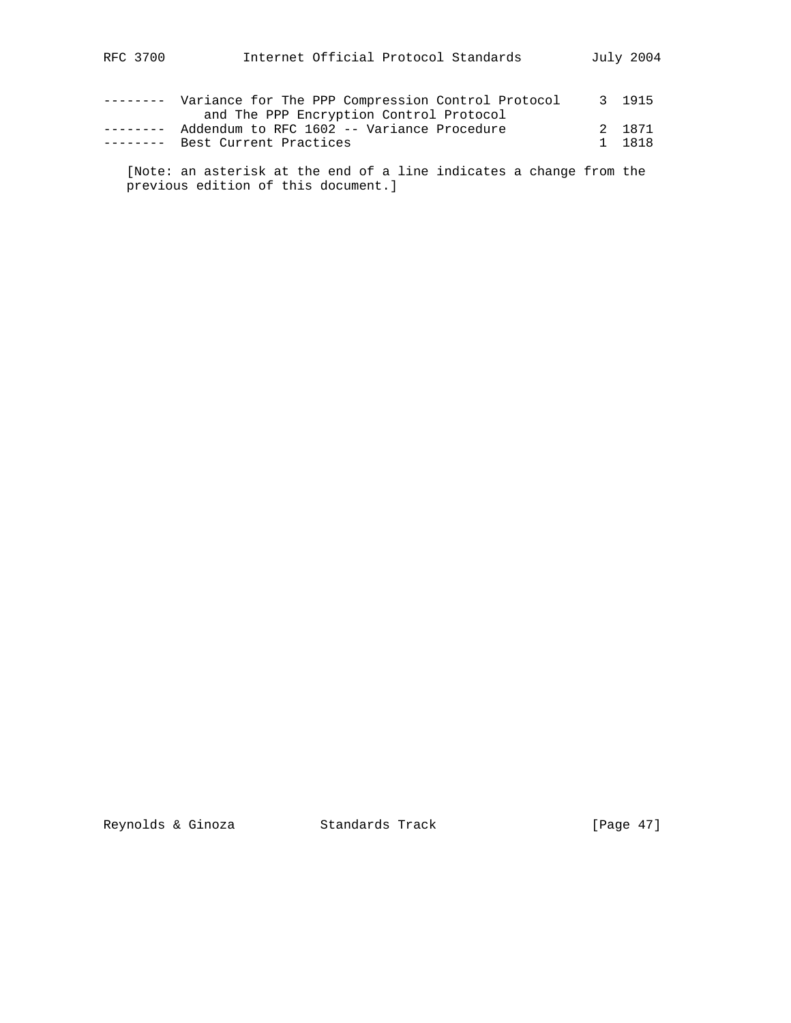| RFC 3700 |  | Internet Official Protocol Standards | July 2004 |  |
|----------|--|--------------------------------------|-----------|--|
|          |  |                                      |           |  |

| _________ | Variance for The PPP Compression Control Protocol | 3 1915  |
|-----------|---------------------------------------------------|---------|
|           | and The PPP Encryption Control Protocol           |         |
|           | Addendum to RFC 1602 -- Variance Procedure        | 2. 1871 |
| _________ | Best Current Practices                            | 1 1818  |
|           |                                                   |         |

 [Note: an asterisk at the end of a line indicates a change from the previous edition of this document.]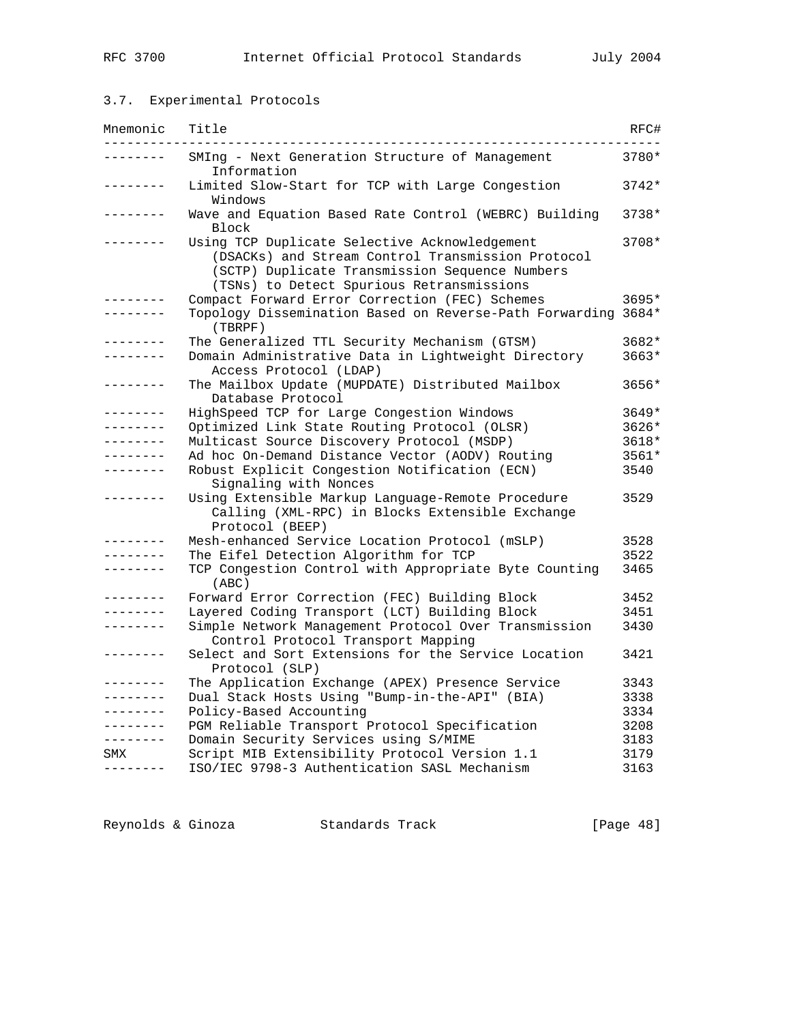## 3.7. Experimental Protocols

| Mnemonic            | Title                                                                                                                                                                                             | RFC#    |
|---------------------|---------------------------------------------------------------------------------------------------------------------------------------------------------------------------------------------------|---------|
| -------             | SMIng - Next Generation Structure of Management<br>Information                                                                                                                                    | 3780*   |
| -------             | Limited Slow-Start for TCP with Large Congestion<br>Windows                                                                                                                                       | $3742*$ |
|                     | Wave and Equation Based Rate Control (WEBRC) Building<br>Block                                                                                                                                    | 3738*   |
|                     | Using TCP Duplicate Selective Acknowledgement<br>(DSACKs) and Stream Control Transmission Protocol<br>(SCTP) Duplicate Transmission Sequence Numbers<br>(TSNs) to Detect Spurious Retransmissions | 3708*   |
|                     | Compact Forward Error Correction (FEC) Schemes                                                                                                                                                    | 3695*   |
|                     | Topology Dissemination Based on Reverse-Path Forwarding 3684*<br>(TBRPF)                                                                                                                          |         |
| -------             | The Generalized TTL Security Mechanism (GTSM)                                                                                                                                                     | 3682*   |
| -------             | Domain Administrative Data in Lightweight Directory<br>Access Protocol (LDAP)                                                                                                                     | $3663*$ |
|                     | The Mailbox Update (MUPDATE) Distributed Mailbox<br>Database Protocol                                                                                                                             | 3656*   |
| --------            | HighSpeed TCP for Large Congestion Windows                                                                                                                                                        | 3649*   |
|                     | Optimized Link State Routing Protocol (OLSR)                                                                                                                                                      | $3626*$ |
| -------             | Multicast Source Discovery Protocol (MSDP)                                                                                                                                                        | 3618*   |
| -------             | Ad hoc On-Demand Distance Vector (AODV) Routing                                                                                                                                                   | 3561*   |
| $- - - - - - - - -$ | Robust Explicit Congestion Notification (ECN)<br>Signaling with Nonces                                                                                                                            | 3540    |
| -------             | Using Extensible Markup Language-Remote Procedure<br>Calling (XML-RPC) in Blocks Extensible Exchange<br>Protocol (BEEP)                                                                           | 3529    |
|                     | Mesh-enhanced Service Location Protocol (mSLP)                                                                                                                                                    | 3528    |
| -------             | The Eifel Detection Algorithm for TCP                                                                                                                                                             | 3522    |
|                     | TCP Congestion Control with Appropriate Byte Counting<br>(ABC)                                                                                                                                    | 3465    |
| --------            | Forward Error Correction (FEC) Building Block                                                                                                                                                     | 3452    |
| . _ _ _ _ _ _ _     | Layered Coding Transport (LCT) Building Block                                                                                                                                                     | 3451    |
| .                   | Simple Network Management Protocol Over Transmission<br>Control Protocol Transport Mapping                                                                                                        | 3430    |
| $- - - - - - - -$   | Select and Sort Extensions for the Service Location<br>Protocol (SLP)                                                                                                                             | 3421    |
|                     | The Application Exchange (APEX) Presence Service                                                                                                                                                  | 3343    |
|                     | Dual Stack Hosts Using "Bump-in-the-API" (BIA)                                                                                                                                                    | 3338    |
|                     | Policy-Based Accounting                                                                                                                                                                           | 3334    |
| . <u>.</u> .        | PGM Reliable Transport Protocol Specification                                                                                                                                                     | 3208    |
| --------            | Domain Security Services using S/MIME                                                                                                                                                             | 3183    |
| SMX                 | Script MIB Extensibility Protocol Version 1.1                                                                                                                                                     | 3179    |
| --------            | ISO/IEC 9798-3 Authentication SASL Mechanism                                                                                                                                                      | 3163    |

Reynolds & Ginoza Standards Track [Page 48]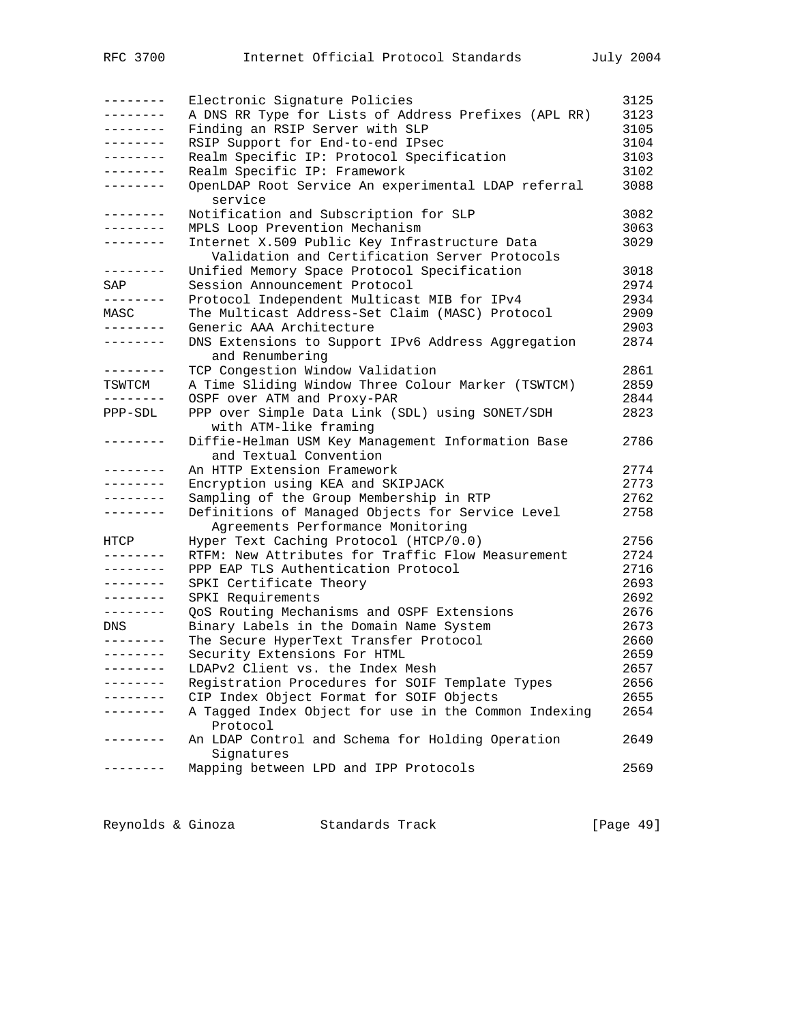| --------     | Electronic Signature Policies                        | 3125 |
|--------------|------------------------------------------------------|------|
| --------     | A DNS RR Type for Lists of Address Prefixes (APL RR) | 3123 |
| --------     | Finding an RSIP Server with SLP                      | 3105 |
| --------     | RSIP Support for End-to-end IPsec                    | 3104 |
| --------     | Realm Specific IP: Protocol Specification            | 3103 |
|              | Realm Specific IP: Framework                         | 3102 |
| --------     | OpenLDAP Root Service An experimental LDAP referral  | 3088 |
|              | service                                              |      |
| --------     | Notification and Subscription for SLP                | 3082 |
| . <u>.</u> . | MPLS Loop Prevention Mechanism                       | 3063 |
| --------     | Internet X.509 Public Key Infrastructure Data        | 3029 |
|              | Validation and Certification Server Protocols        |      |
| --------     | Unified Memory Space Protocol Specification          | 3018 |
| SAP          | Session Announcement Protocol                        | 2974 |
| --------     | Protocol Independent Multicast MIB for IPv4          | 2934 |
| MASC         | The Multicast Address-Set Claim (MASC) Protocol      | 2909 |
| --------     | Generic AAA Architecture                             | 2903 |
| --------     | DNS Extensions to Support IPv6 Address Aggregation   | 2874 |
|              | and Renumbering                                      |      |
| --------     | TCP Congestion Window Validation                     | 2861 |
| TSWTCM       | A Time Sliding Window Three Colour Marker (TSWTCM)   | 2859 |
| .            | OSPF over ATM and Proxy-PAR                          | 2844 |
| PPP-SDL      | PPP over Simple Data Link (SDL) using SONET/SDH      | 2823 |
|              | with ATM-like framing                                |      |
| .            | Diffie-Helman USM Key Management Information Base    | 2786 |
|              | and Textual Convention                               |      |
| --------     | An HTTP Extension Framework                          | 2774 |
| --------     | Encryption using KEA and SKIPJACK                    | 2773 |
| --------     | Sampling of the Group Membership in RTP              | 2762 |
|              | Definitions of Managed Objects for Service Level     | 2758 |
|              | Agreements Performance Monitoring                    |      |
| HTCP         | Hyper Text Caching Protocol (HTCP/0.0)               | 2756 |
| --------     | RTFM: New Attributes for Traffic Flow Measurement    | 2724 |
| --------     | PPP EAP TLS Authentication Protocol                  | 2716 |
| --------     | SPKI Certificate Theory                              | 2693 |
| --------     | SPKI Requirements                                    | 2692 |
| --------     | QoS Routing Mechanisms and OSPF Extensions           | 2676 |
| DNS          | Binary Labels in the Domain Name System              | 2673 |
|              | The Secure HyperText Transfer Protocol               | 2660 |
| --------     | Security Extensions For HTML                         | 2659 |
| --------     | LDAPv2 Client vs. the Index Mesh                     | 2657 |
| -------      | Registration Procedures for SOIF Template Types      | 2656 |
|              | CIP Index Object Format for SOIF Objects             | 2655 |
|              | A Tagged Index Object for use in the Common Indexing | 2654 |
|              | Protocol                                             |      |
| . <i>.</i> . | An LDAP Control and Schema for Holding Operation     | 2649 |
|              | Signatures                                           |      |
|              | Mapping between LPD and IPP Protocols                | 2569 |
|              |                                                      |      |

Reynolds & Ginoza Standards Track [Page 49]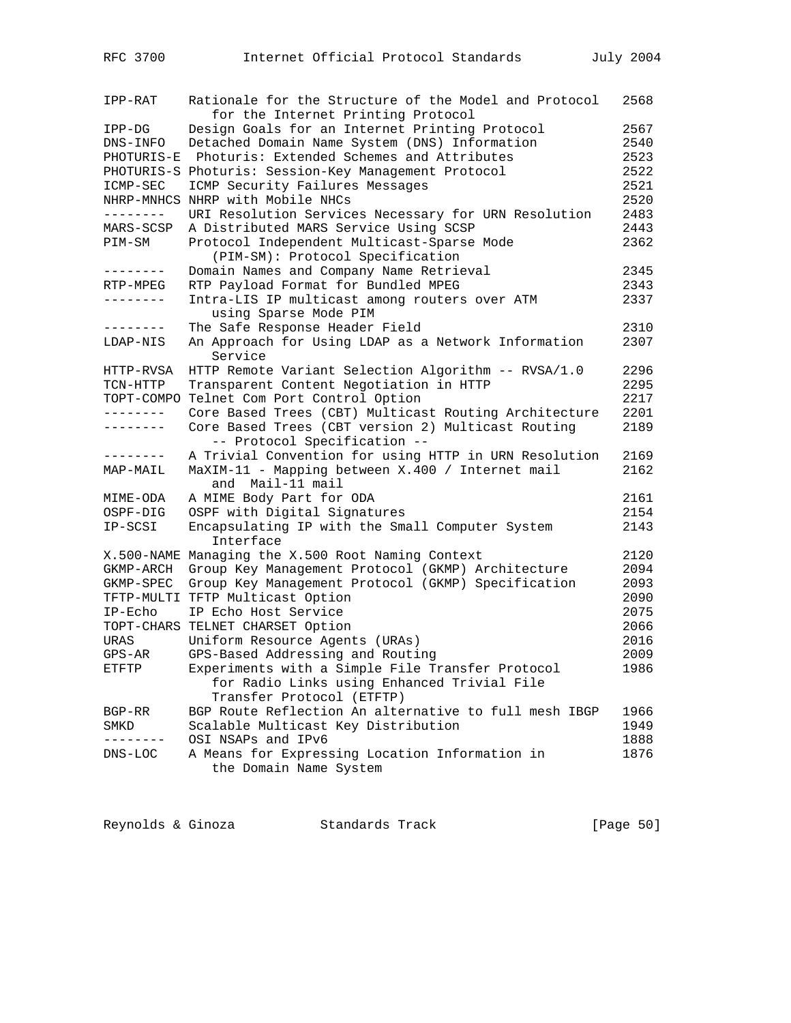| IPP-RAT         | Rationale for the Structure of the Model and Protocol<br>for the Internet Printing Protocol | 2568 |
|-----------------|---------------------------------------------------------------------------------------------|------|
| IPP-DG          | Design Goals for an Internet Printing Protocol                                              | 2567 |
| DNS-INFO        | Detached Domain Name System (DNS) Information                                               | 2540 |
| PHOTURIS-E      | Photuris: Extended Schemes and Attributes                                                   | 2523 |
|                 | PHOTURIS-S Photuris: Session-Key Management Protocol                                        | 2522 |
| ICMP-SEC        | ICMP Security Failures Messages                                                             | 2521 |
|                 | NHRP-MNHCS NHRP with Mobile NHCs                                                            | 2520 |
| --------        | URI Resolution Services Necessary for URN Resolution                                        | 2483 |
| MARS-SCSP       | A Distributed MARS Service Using SCSP                                                       | 2443 |
| PIM-SM          | Protocol Independent Multicast-Sparse Mode                                                  | 2362 |
|                 | (PIM-SM): Protocol Specification                                                            |      |
|                 | Domain Names and Company Name Retrieval                                                     | 2345 |
| RTP-MPEG        | RTP Payload Format for Bundled MPEG                                                         | 2343 |
| --------        | Intra-LIS IP multicast among routers over ATM                                               | 2337 |
|                 | using Sparse Mode PIM                                                                       |      |
| --------        | The Safe Response Header Field                                                              | 2310 |
|                 |                                                                                             |      |
| LDAP-NIS        | An Approach for Using LDAP as a Network Information<br>Service                              | 2307 |
| HTTP-RVSA       | HTTP Remote Variant Selection Algorithm -- RVSA/1.0                                         | 2296 |
| TCN-HTTP        | Transparent Content Negotiation in HTTP                                                     | 2295 |
| TOPT-COMPO      | Telnet Com Port Control Option                                                              | 2217 |
| ---------       | Core Based Trees (CBT) Multicast Routing Architecture                                       | 2201 |
| --------        | Core Based Trees (CBT version 2) Multicast Routing<br>-- Protocol Specification --          | 2189 |
| --------        | A Trivial Convention for using HTTP in URN Resolution                                       | 2169 |
| MAP-MAIL        | MaXIM-11 - Mapping between X.400 / Internet mail<br>and Mail-11 mail                        | 2162 |
| MIME-ODA        | A MIME Body Part for ODA                                                                    | 2161 |
| OSPF-DIG        | OSPF with Digital Signatures                                                                | 2154 |
| IP-SCSI         | Encapsulating IP with the Small Computer System                                             | 2143 |
|                 | Interface                                                                                   |      |
|                 | X.500-NAME Managing the X.500 Root Naming Context                                           | 2120 |
| GKMP-ARCH       | Group Key Management Protocol (GKMP) Architecture                                           | 2094 |
| GKMP-SPEC       | Group Key Management Protocol (GKMP) Specification                                          | 2093 |
|                 | TFTP-MULTI TFTP Multicast Option                                                            | 2090 |
| $IP-{\rm Echo}$ | IP Echo Host Service                                                                        | 2075 |
|                 | TOPT-CHARS TELNET CHARSET Option                                                            | 2066 |
| <b>URAS</b>     | Uniform Resource Agents (URAs)                                                              | 2016 |
| $GPS-AR$        | GPS-Based Addressing and Routing                                                            | 2009 |
| ETFTP           | Experiments with a Simple File Transfer Protocol                                            | 1986 |
|                 | for Radio Links using Enhanced Trivial File<br>Transfer Protocol (ETFTP)                    |      |
| BGP-RR          | BGP Route Reflection An alternative to full mesh IBGP                                       | 1966 |
| SMKD            | Scalable Multicast Key Distribution                                                         | 1949 |
|                 | OSI NSAPs and IPv6                                                                          | 1888 |
| $DNS-LOC$       | A Means for Expressing Location Information in<br>the Domain Name System                    | 1876 |
|                 |                                                                                             |      |

Reynolds & Ginoza Standards Track [Page 50]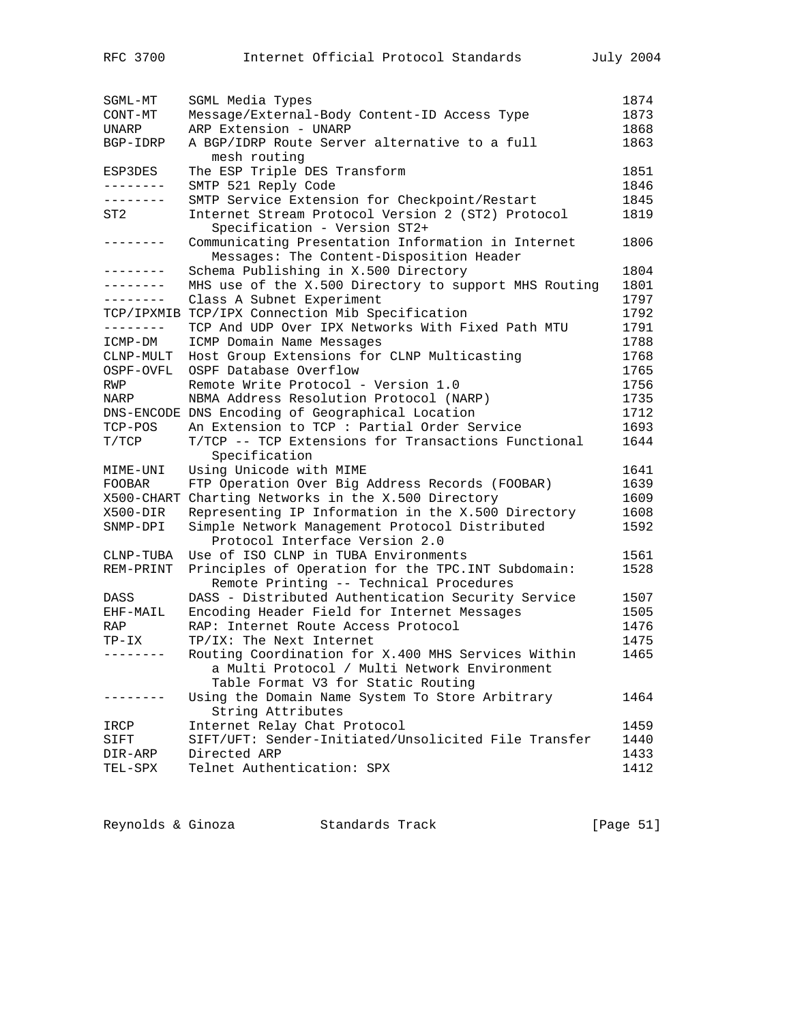| SGML-MT             | SGML Media Types                                                                                           | 1874 |
|---------------------|------------------------------------------------------------------------------------------------------------|------|
| CONT-MT             | Message/External-Body Content-ID Access Type                                                               | 1873 |
| UNARP               | ARP Extension - UNARP                                                                                      | 1868 |
| BGP-IDRP            | A BGP/IDRP Route Server alternative to a full                                                              | 1863 |
|                     | mesh routing                                                                                               |      |
| ESP3DES             | The ESP Triple DES Transform                                                                               | 1851 |
| --------            | SMTP 521 Reply Code                                                                                        | 1846 |
| --------            | SMTP Service Extension for Checkpoint/Restart                                                              | 1845 |
| ST2                 | Internet Stream Protocol Version 2 (ST2) Protocol<br>Specification - Version ST2+                          | 1819 |
| $- - - - - - - - -$ | Communicating Presentation Information in Internet<br>Messages: The Content-Disposition Header             | 1806 |
| .                   | Schema Publishing in X.500 Directory                                                                       | 1804 |
| -------             | MHS use of the X.500 Directory to support MHS Routing                                                      | 1801 |
| --------            | Class A Subnet Experiment                                                                                  | 1797 |
| TCP/IPXMIB          | TCP/IPX Connection Mib Specification                                                                       | 1792 |
| --------            | TCP And UDP Over IPX Networks With Fixed Path MTU                                                          | 1791 |
| ICMP-DM             | ICMP Domain Name Messages                                                                                  | 1788 |
| CLNP-MULT           | Host Group Extensions for CLNP Multicasting                                                                | 1768 |
| OSPF-OVFL           | OSPF Database Overflow                                                                                     | 1765 |
| RWP                 | Remote Write Protocol - Version 1.0                                                                        | 1756 |
| NARP                | NBMA Address Resolution Protocol (NARP)                                                                    | 1735 |
|                     | DNS-ENCODE DNS Encoding of Geographical Location                                                           | 1712 |
| TCP-POS             | An Extension to TCP : Partial Order Service                                                                | 1693 |
| T/TCP               | T/TCP -- TCP Extensions for Transactions Functional<br>Specification                                       | 1644 |
| MIME-UNI            | Using Unicode with MIME                                                                                    | 1641 |
| FOOBAR              | FTP Operation Over Big Address Records (FOOBAR)                                                            | 1639 |
|                     | X500-CHART Charting Networks in the X.500 Directory                                                        | 1609 |
| X500-DIR            | Representing IP Information in the X.500 Directory                                                         | 1608 |
| SNMP-DPI            | Simple Network Management Protocol Distributed<br>Protocol Interface Version 2.0                           | 1592 |
| CLNP-TUBA           | Use of ISO CLNP in TUBA Environments                                                                       | 1561 |
| REM-PRINT           | Principles of Operation for the TPC. INT Subdomain:<br>Remote Printing -- Technical Procedures             | 1528 |
| DASS                | DASS - Distributed Authentication Security Service                                                         | 1507 |
| EHF-MAIL            | Encoding Header Field for Internet Messages                                                                | 1505 |
| RAP                 | RAP: Internet Route Access Protocol                                                                        | 1476 |
| TP-IX               | TP/IX: The Next Internet                                                                                   | 1475 |
| --------            | Routing Coordination for X.400 MHS Services Within<br>a Multi Protocol / Multi Network Environment         | 1465 |
|                     | Table Format V3 for Static Routing<br>Using the Domain Name System To Store Arbitrary<br>String Attributes | 1464 |
| IRCP                | Internet Relay Chat Protocol                                                                               | 1459 |
| SIFT                | SIFT/UFT: Sender-Initiated/Unsolicited File Transfer                                                       | 1440 |
| DIR-ARP             | Directed ARP                                                                                               | 1433 |
| TEL-SPX             | Telnet Authentication: SPX                                                                                 | 1412 |
|                     |                                                                                                            |      |

| [Page 51]<br>Reynolds & Ginoza<br>Standards Track |  |  |
|---------------------------------------------------|--|--|
|---------------------------------------------------|--|--|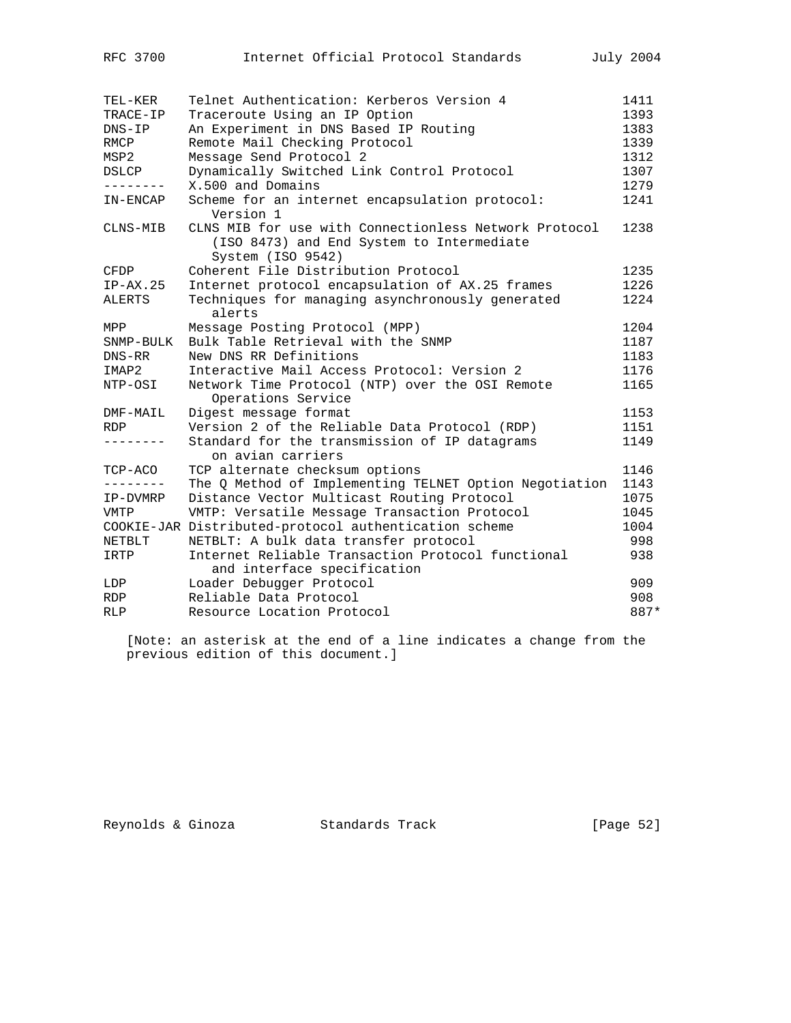| TEL-KER      | Telnet Authentication: Kerberos Version 4                                                                               | 1411 |
|--------------|-------------------------------------------------------------------------------------------------------------------------|------|
| TRACE-IP     | Traceroute Using an IP Option                                                                                           | 1393 |
| $DNS-IP$     | An Experiment in DNS Based IP Routing                                                                                   | 1383 |
| <b>RMCP</b>  | Remote Mail Checking Protocol                                                                                           | 1339 |
| MSP2         | Message Send Protocol 2                                                                                                 | 1312 |
| <b>DSLCP</b> | Dynamically Switched Link Control Protocol                                                                              | 1307 |
|              | X.500 and Domains                                                                                                       | 1279 |
| IN-ENCAP     | Scheme for an internet encapsulation protocol:<br>Version 1                                                             | 1241 |
| CLNS-MIB     | CLNS MIB for use with Connectionless Network Protocol<br>(ISO 8473) and End System to Intermediate<br>System (ISO 9542) | 1238 |
| CFDP         | Coherent File Distribution Protocol                                                                                     | 1235 |
| $IP-AX.25$   | Internet protocol encapsulation of AX.25 frames                                                                         | 1226 |
| ALERTS       | Techniques for managing asynchronously generated<br>alerts                                                              | 1224 |
| MPP          | Message Posting Protocol (MPP)                                                                                          | 1204 |
| SNMP-BULK    | Bulk Table Retrieval with the SNMP                                                                                      | 1187 |
| DNS-RR       | New DNS RR Definitions                                                                                                  | 1183 |
| IMAP2        | Interactive Mail Access Protocol: Version 2                                                                             | 1176 |
| NTP-OSI      | Network Time Protocol (NTP) over the OSI Remote<br>Operations Service                                                   | 1165 |
| DMF-MAIL     | Digest message format                                                                                                   | 1153 |
| <b>RDP</b>   | Version 2 of the Reliable Data Protocol (RDP)                                                                           | 1151 |
| --------     | Standard for the transmission of IP datagrams<br>on avian carriers                                                      | 1149 |
| TCP-ACO      | TCP alternate checksum options                                                                                          | 1146 |
|              | The Q Method of Implementing TELNET Option Negotiation                                                                  | 1143 |
| IP-DVMRP     | Distance Vector Multicast Routing Protocol                                                                              | 1075 |
| VMTP         | VMTP: Versatile Message Transaction Protocol                                                                            | 1045 |
|              | COOKIE-JAR Distributed-protocol authentication scheme                                                                   | 1004 |
| NETBLT       | NETBLT: A bulk data transfer protocol                                                                                   | 998  |
| IRTP         | Internet Reliable Transaction Protocol functional<br>and interface specification                                        | 938  |
| LDP          | Loader Debugger Protocol                                                                                                | 909  |
| <b>RDP</b>   | Reliable Data Protocol                                                                                                  | 908  |
| <b>RLP</b>   | Resource Location Protocol                                                                                              | 887* |
|              |                                                                                                                         |      |

 [Note: an asterisk at the end of a line indicates a change from the previous edition of this document.]

Reynolds & Ginoza Standards Track [Page 52]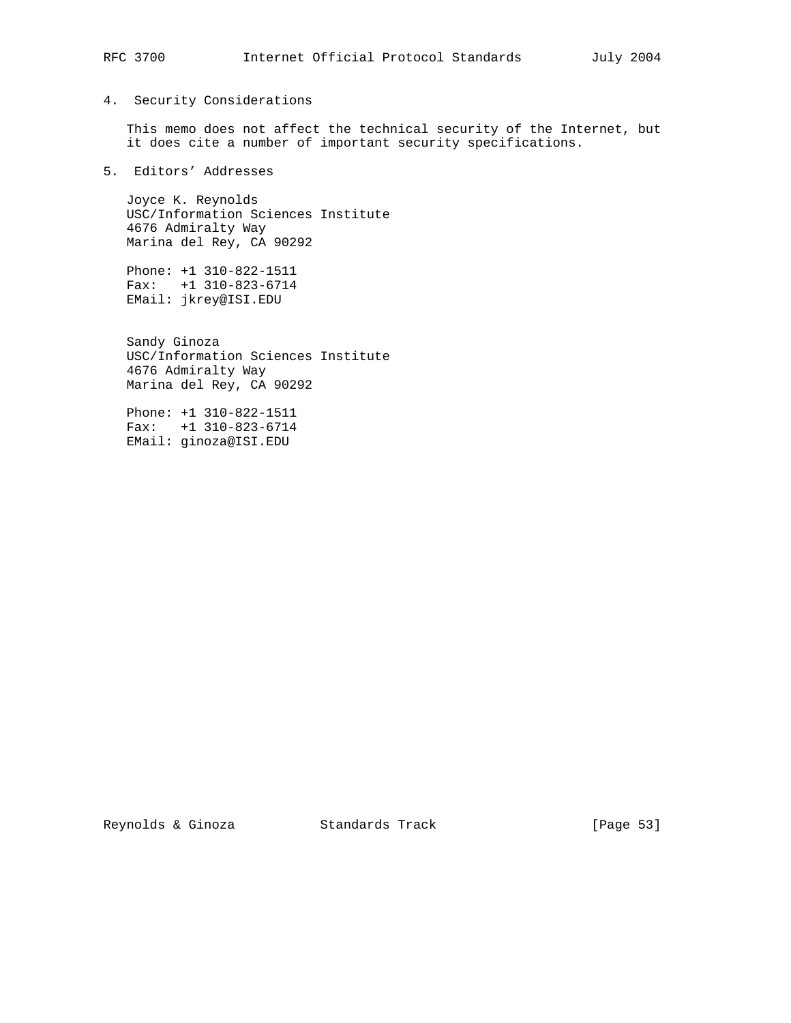### 4. Security Considerations

 This memo does not affect the technical security of the Internet, but it does cite a number of important security specifications.

### 5. Editors' Addresses

 Joyce K. Reynolds USC/Information Sciences Institute 4676 Admiralty Way Marina del Rey, CA 90292

 Phone: +1 310-822-1511 Fax: +1 310-823-6714 EMail: jkrey@ISI.EDU

> Sandy Ginoza USC/Information Sciences Institute 4676 Admiralty Way Marina del Rey, CA 90292

 Phone: +1 310-822-1511 Fax: +1 310-823-6714 EMail: ginoza@ISI.EDU